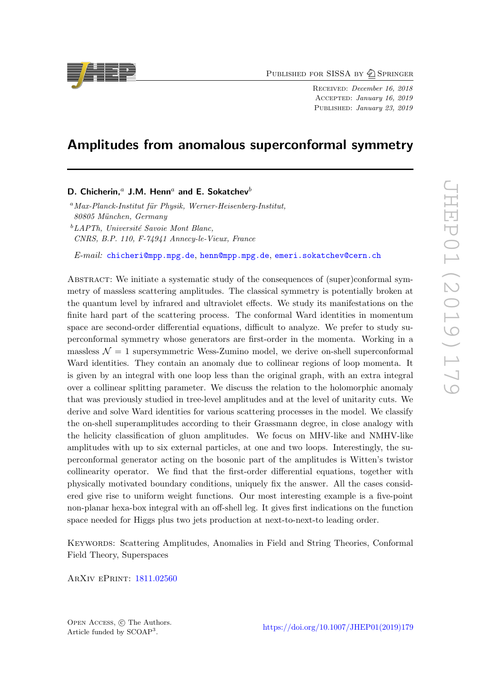PUBLISHED FOR SISSA BY 2 SPRINGER

Received: December 16, 2018 Accepted: January 16, 2019 PUBLISHED: January 23, 2019

# Amplitudes from anomalous superconformal symmetry

D. Chicherin,<sup>a</sup> J.M. Henn<sup>a</sup> and E. Sokatchev<sup>b</sup>

 $^{a}$ Max-Planck-Institut für Physik, Werner-Heisenberg-Institut, 80805 München, Germany  ${}^bL$ APTh, Université Savoie Mont Blanc,

CNRS, B.P. 110, F-74941 Annecy-le-Vieux, France

E-mail: [chicheri@mpp.mpg.de](mailto:chicheri@mpp.mpg.de), [henn@mpp.mpg.de](mailto:henn@mpp.mpg.de), [emeri.sokatchev@cern.ch](mailto:emeri.sokatchev@cern.ch)

ABSTRACT: We initiate a systematic study of the consequences of (super)conformal symmetry of massless scattering amplitudes. The classical symmetry is potentially broken at the quantum level by infrared and ultraviolet effects. We study its manifestations on the finite hard part of the scattering process. The conformal Ward identities in momentum space are second-order differential equations, difficult to analyze. We prefer to study superconformal symmetry whose generators are first-order in the momenta. Working in a massless  $\mathcal{N} = 1$  supersymmetric Wess-Zumino model, we derive on-shell superconformal Ward identities. They contain an anomaly due to collinear regions of loop momenta. It is given by an integral with one loop less than the original graph, with an extra integral over a collinear splitting parameter. We discuss the relation to the holomorphic anomaly that was previously studied in tree-level amplitudes and at the level of unitarity cuts. We derive and solve Ward identities for various scattering processes in the model. We classify the on-shell superamplitudes according to their Grassmann degree, in close analogy with the helicity classification of gluon amplitudes. We focus on MHV-like and NMHV-like amplitudes with up to six external particles, at one and two loops. Interestingly, the superconformal generator acting on the bosonic part of the amplitudes is Witten's twistor collinearity operator. We find that the first-order differential equations, together with physically motivated boundary conditions, uniquely fix the answer. All the cases considered give rise to uniform weight functions. Our most interesting example is a five-point non-planar hexa-box integral with an off-shell leg. It gives first indications on the function space needed for Higgs plus two jets production at next-to-next-to leading order.

Keywords: Scattering Amplitudes, Anomalies in Field and String Theories, Conformal Field Theory, Superspaces

ArXiv ePrint: [1811.02560](https://arxiv.org/abs/1811.02560)



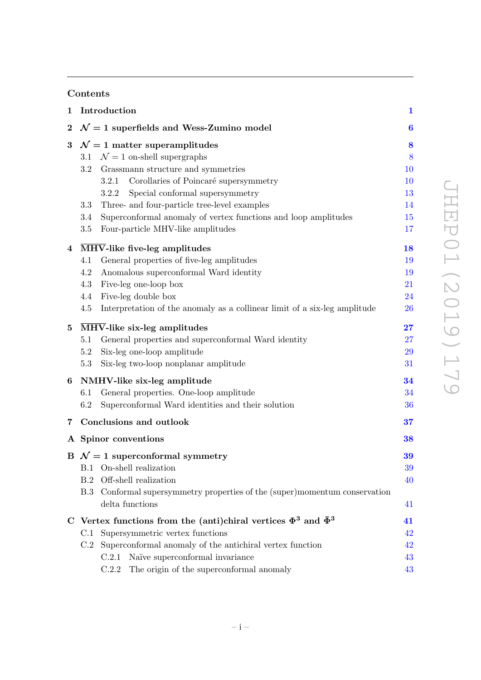# Contents

| 1        |     | Introduction                                                                              | $\mathbf{1}$             |
|----------|-----|-------------------------------------------------------------------------------------------|--------------------------|
| $\bf{2}$ |     | $\mathcal{N}=1$ superfields and Wess-Zumino model                                         | $\boldsymbol{6}$         |
| $\bf{3}$ |     | $\mathcal{N}=1$ matter superamplitudes                                                    | 8                        |
|          | 3.1 | $\mathcal{N}=1$ on-shell supergraphs                                                      | 8                        |
|          | 3.2 | Grassmann structure and symmetries                                                        | 10                       |
|          |     | Corollaries of Poincaré supersymmetry<br>3.2.1                                            | 10                       |
|          |     | Special conformal supersymmetry<br>3.2.2                                                  | 13                       |
|          | 3.3 | Three- and four-particle tree-level examples                                              | 14                       |
|          | 3.4 | Superconformal anomaly of vertex functions and loop amplitudes                            | 15                       |
|          | 3.5 | Four-particle MHV-like amplitudes                                                         | <sup>17</sup>            |
| 4        |     | MHV-like five-leg amplitudes                                                              | 18                       |
|          | 4.1 | General properties of five-leg amplitudes                                                 | 19                       |
|          | 4.2 | Anomalous superconformal Ward identity                                                    | 19                       |
|          | 4.3 | Five-leg one-loop box                                                                     | 21                       |
|          | 4.4 | Five-leg double box                                                                       | 24                       |
|          | 4.5 | Interpretation of the anomaly as a collinear limit of a six-leg amplitude                 | 26                       |
| $\bf{5}$ |     | MHV-like six-leg amplitudes                                                               | $\overline{\mathbf{27}}$ |
|          | 5.1 | General properties and superconformal Ward identity                                       | 27                       |
|          | 5.2 | Six-leg one-loop amplitude                                                                | 29                       |
|          | 5.3 | Six-leg two-loop nonplanar amplitude                                                      | 31                       |
| 6        |     | NMHV-like six-leg amplitude                                                               | 34                       |
|          | 6.1 | General properties. One-loop amplitude                                                    | 34                       |
|          | 6.2 | Superconformal Ward identities and their solution                                         | 36                       |
| 7        |     | Conclusions and outlook                                                                   | 37                       |
|          |     | A Spinor conventions                                                                      | 38                       |
|          |     | $\mathbf{B}$ $\mathcal{N}=1$ superconformal symmetry                                      | 39                       |
|          |     | B.1 On-shell realization                                                                  | 39                       |
|          | B.2 | Off-shell realization                                                                     | 40                       |
|          | B.3 | Conformal supersymmetry properties of the (super)momentum conservation<br>delta functions | 41                       |
|          |     | C Vertex functions from the (anti)chiral vertices $\Phi^3$ and $\bar{\Phi}^3$             | 41                       |
|          |     | C.1 Supersymmetric vertex functions                                                       | 42                       |
|          |     | C.2 Superconformal anomaly of the antichiral vertex function                              | 42                       |
|          |     | Naïve superconformal invariance<br>C.2.1                                                  | 43                       |
|          |     | C.2.2 The origin of the superconformal anomaly                                            | 43                       |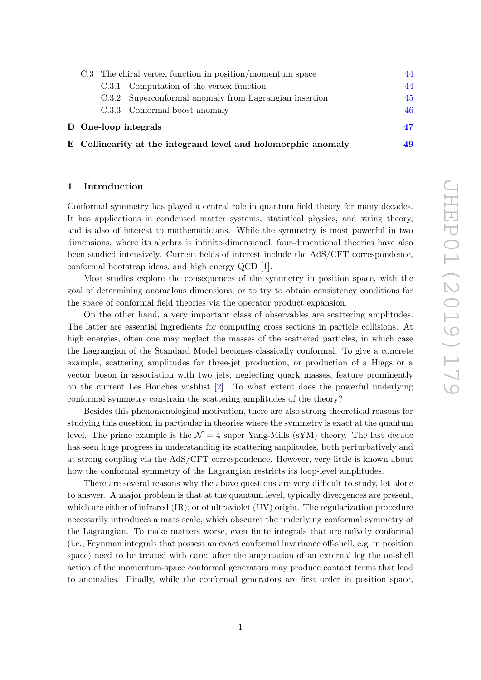|                                                               | C.3 The chiral vertex function in position/momentum space |                                                        |    |  |  |  |  |  |
|---------------------------------------------------------------|-----------------------------------------------------------|--------------------------------------------------------|----|--|--|--|--|--|
|                                                               |                                                           | C.3.1 Computation of the vertex function               | 44 |  |  |  |  |  |
|                                                               |                                                           | C.3.2 Superconformal anomaly from Lagrangian insertion | 45 |  |  |  |  |  |
|                                                               |                                                           | C.3.3 Conformal boost anomaly                          | 46 |  |  |  |  |  |
| D One-loop integrals                                          |                                                           |                                                        |    |  |  |  |  |  |
| E Collinearity at the integrand level and holomorphic anomaly |                                                           |                                                        |    |  |  |  |  |  |

# <span id="page-2-0"></span>1 Introduction

Conformal symmetry has played a central role in quantum field theory for many decades. It has applications in condensed matter systems, statistical physics, and string theory, and is also of interest to mathematicians. While the symmetry is most powerful in two dimensions, where its algebra is infinite-dimensional, four-dimensional theories have also been studied intensively. Current fields of interest include the AdS/CFT correspondence, conformal bootstrap ideas, and high energy QCD [\[1\]](#page-52-0).

Most studies explore the consequences of the symmetry in position space, with the goal of determining anomalous dimensions, or to try to obtain consistency conditions for the space of conformal field theories via the operator product expansion.

On the other hand, a very important class of observables are scattering amplitudes. The latter are essential ingredients for computing cross sections in particle collisions. At high energies, often one may neglect the masses of the scattered particles, in which case the Lagrangian of the Standard Model becomes classically conformal. To give a concrete example, scattering amplitudes for three-jet production, or production of a Higgs or a vector boson in association with two jets, neglecting quark masses, feature prominently on the current Les Houches wishlist [\[2\]](#page-52-1). To what extent does the powerful underlying conformal symmetry constrain the scattering amplitudes of the theory?

Besides this phenomenological motivation, there are also strong theoretical reasons for studying this question, in particular in theories where the symmetry is exact at the quantum level. The prime example is the  $\mathcal{N} = 4$  super Yang-Mills (sYM) theory. The last decade has seen huge progress in understanding its scattering amplitudes, both perturbatively and at strong coupling via the AdS/CFT correspondence. However, very little is known about how the conformal symmetry of the Lagrangian restricts its loop-level amplitudes.

There are several reasons why the above questions are very difficult to study, let alone to answer. A major problem is that at the quantum level, typically divergences are present, which are either of infrared (IR), or of ultraviolet (UV) origin. The regularization procedure necessarily introduces a mass scale, which obscures the underlying conformal symmetry of the Lagrangian. To make matters worse, even finite integrals that are naïvely conformal (i.e., Feynman integrals that possess an exact conformal invariance off-shell, e.g. in position space) need to be treated with care: after the amputation of an external leg the on-shell action of the momentum-space conformal generators may produce contact terms that lead to anomalies. Finally, while the conformal generators are first order in position space,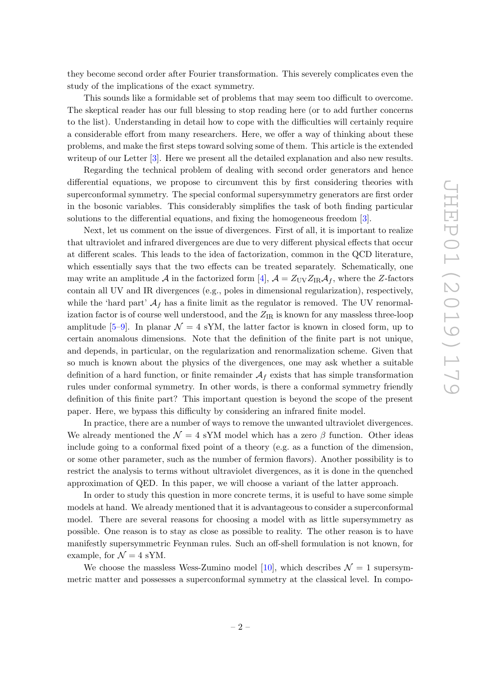they become second order after Fourier transformation. This severely complicates even the study of the implications of the exact symmetry.

This sounds like a formidable set of problems that may seem too difficult to overcome. The skeptical reader has our full blessing to stop reading here (or to add further concerns to the list). Understanding in detail how to cope with the difficulties will certainly require a considerable effort from many researchers. Here, we offer a way of thinking about these problems, and make the first steps toward solving some of them. This article is the extended writeup of our Letter [\[3\]](#page-52-2). Here we present all the detailed explanation and also new results.

Regarding the technical problem of dealing with second order generators and hence differential equations, we propose to circumvent this by first considering theories with superconformal symmetry. The special conformal supersymmetry generators are first order in the bosonic variables. This considerably simplifies the task of both finding particular solutions to the differential equations, and fixing the homogeneous freedom [\[3\]](#page-52-2).

Next, let us comment on the issue of divergences. First of all, it is important to realize that ultraviolet and infrared divergences are due to very different physical effects that occur at different scales. This leads to the idea of factorization, common in the QCD literature, which essentially says that the two effects can be treated separately. Schematically, one may write an amplitude A in the factorized form [\[4\]](#page-52-3),  $A = Z_{\text{UV}}Z_{\text{IR}}A_f$ , where the Z-factors contain all UV and IR divergences (e.g., poles in dimensional regularization), respectively, while the 'hard part'  $A_f$  has a finite limit as the regulator is removed. The UV renormalization factor is of course well understood, and the  $Z_{IR}$  is known for any massless three-loop amplitude  $[5-9]$ . In planar  $\mathcal{N} = 4$  sYM, the latter factor is known in closed form, up to certain anomalous dimensions. Note that the definition of the finite part is not unique, and depends, in particular, on the regularization and renormalization scheme. Given that so much is known about the physics of the divergences, one may ask whether a suitable definition of a hard function, or finite remainder  $A_f$  exists that has simple transformation rules under conformal symmetry. In other words, is there a conformal symmetry friendly definition of this finite part? This important question is beyond the scope of the present paper. Here, we bypass this difficulty by considering an infrared finite model.

In practice, there are a number of ways to remove the unwanted ultraviolet divergences. We already mentioned the  $\mathcal{N} = 4$  sYM model which has a zero  $\beta$  function. Other ideas include going to a conformal fixed point of a theory (e.g. as a function of the dimension, or some other parameter, such as the number of fermion flavors). Another possibility is to restrict the analysis to terms without ultraviolet divergences, as it is done in the quenched approximation of QED. In this paper, we will choose a variant of the latter approach.

In order to study this question in more concrete terms, it is useful to have some simple models at hand. We already mentioned that it is advantageous to consider a superconformal model. There are several reasons for choosing a model with as little supersymmetry as possible. One reason is to stay as close as possible to reality. The other reason is to have manifestly supersymmetric Feynman rules. Such an off-shell formulation is not known, for example, for  $\mathcal{N} = 4$  sYM.

We choose the massless Wess-Zumino model [\[10\]](#page-52-6), which describes  $\mathcal{N} = 1$  supersymmetric matter and possesses a superconformal symmetry at the classical level. In compo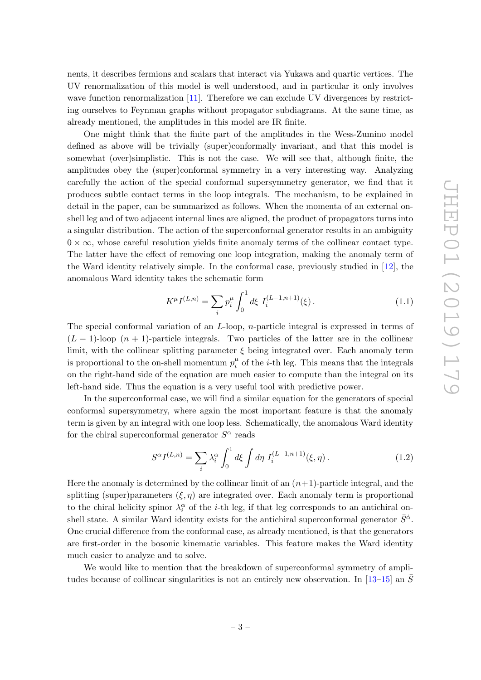nents, it describes fermions and scalars that interact via Yukawa and quartic vertices. The UV renormalization of this model is well understood, and in particular it only involves wave function renormalization [\[11\]](#page-52-7). Therefore we can exclude UV divergences by restricting ourselves to Feynman graphs without propagator subdiagrams. At the same time, as already mentioned, the amplitudes in this model are IR finite.

One might think that the finite part of the amplitudes in the Wess-Zumino model defined as above will be trivially (super)conformally invariant, and that this model is somewhat (over)simplistic. This is not the case. We will see that, although finite, the amplitudes obey the (super)conformal symmetry in a very interesting way. Analyzing carefully the action of the special conformal supersymmetry generator, we find that it produces subtle contact terms in the loop integrals. The mechanism, to be explained in detail in the paper, can be summarized as follows. When the momenta of an external onshell leg and of two adjacent internal lines are aligned, the product of propagators turns into a singular distribution. The action of the superconformal generator results in an ambiguity  $0 \times \infty$ , whose careful resolution yields finite anomaly terms of the collinear contact type. The latter have the effect of removing one loop integration, making the anomaly term of the Ward identity relatively simple. In the conformal case, previously studied in [\[12\]](#page-52-8), the anomalous Ward identity takes the schematic form

$$
K^{\mu}I^{(L,n)} = \sum_{i} p_i^{\mu} \int_0^1 d\xi \ I_i^{(L-1,n+1)}(\xi). \tag{1.1}
$$

The special conformal variation of an L-loop, n-particle integral is expressed in terms of  $(L-1)$ -loop  $(n + 1)$ -particle integrals. Two particles of the latter are in the collinear limit, with the collinear splitting parameter  $\xi$  being integrated over. Each anomaly term is proportional to the on-shell momentum  $p_i^{\mu}$  $i_i^{\mu}$  of the *i*-th leg. This means that the integrals on the right-hand side of the equation are much easier to compute than the integral on its left-hand side. Thus the equation is a very useful tool with predictive power.

In the superconformal case, we will find a similar equation for the generators of special conformal supersymmetry, where again the most important feature is that the anomaly term is given by an integral with one loop less. Schematically, the anomalous Ward identity for the chiral superconformal generator  $S^{\alpha}$  reads

<span id="page-4-0"></span>
$$
S^{\alpha}I^{(L,n)} = \sum_{i} \lambda_i^{\alpha} \int_0^1 d\xi \int d\eta \ I_i^{(L-1,n+1)}(\xi, \eta). \tag{1.2}
$$

Here the anomaly is determined by the collinear limit of an  $(n+1)$ -particle integral, and the splitting (super)parameters  $(\xi, \eta)$  are integrated over. Each anomaly term is proportional to the chiral helicity spinor  $\lambda_i^{\alpha}$  of the *i*-th leg, if that leg corresponds to an antichiral onshell state. A similar Ward identity exists for the antichiral superconformal generator  $\bar{S}^{\dot{\alpha}}$ . One crucial difference from the conformal case, as already mentioned, is that the generators are first-order in the bosonic kinematic variables. This feature makes the Ward identity much easier to analyze and to solve.

We would like to mention that the breakdown of superconformal symmetry of ampli-tudes because of collinear singularities is not an entirely new observation. In [\[13](#page-52-9)[–15\]](#page-53-0) an  $\overline{S}$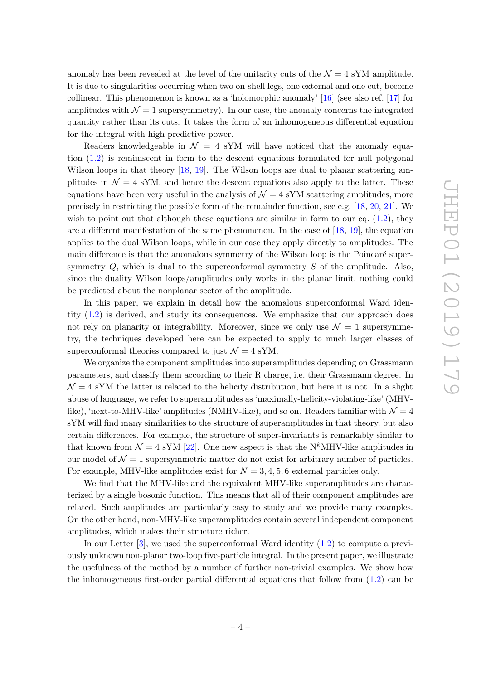anomaly has been revealed at the level of the unitarity cuts of the  $\mathcal{N} = 4$  sYM amplitude. It is due to singularities occurring when two on-shell legs, one external and one cut, become collinear. This phenomenon is known as a 'holomorphic anomaly' [\[16\]](#page-53-1) (see also ref. [\[17\]](#page-53-2) for amplitudes with  $\mathcal{N} = 1$  supersymmetry). In our case, the anomaly concerns the integrated quantity rather than its cuts. It takes the form of an inhomogeneous differential equation for the integral with high predictive power.

Readers knowledgeable in  $\mathcal{N} = 4$  sYM will have noticed that the anomaly equation  $(1.2)$  is reminiscent in form to the descent equations formulated for null polygonal Wilson loops in that theory [\[18,](#page-53-3) [19\]](#page-53-4). The Wilson loops are dual to planar scattering amplitudes in  $\mathcal{N} = 4$  sYM, and hence the descent equations also apply to the latter. These equations have been very useful in the analysis of  $\mathcal{N}=4$  sYM scattering amplitudes, more precisely in restricting the possible form of the remainder function, see e.g. [\[18,](#page-53-3) [20,](#page-53-5) [21\]](#page-53-6). We wish to point out that although these equations are similar in form to our eq.  $(1.2)$ , they are a different manifestation of the same phenomenon. In the case of [\[18,](#page-53-3) [19\]](#page-53-4), the equation applies to the dual Wilson loops, while in our case they apply directly to amplitudes. The main difference is that the anomalous symmetry of the Wilson loop is the Poincaré supersymmetry  $\overline{Q}$ , which is dual to the superconformal symmetry  $\overline{S}$  of the amplitude. Also, since the duality Wilson loops/amplitudes only works in the planar limit, nothing could be predicted about the nonplanar sector of the amplitude.

In this paper, we explain in detail how the anomalous superconformal Ward identity [\(1.2\)](#page-4-0) is derived, and study its consequences. We emphasize that our approach does not rely on planarity or integrability. Moreover, since we only use  $\mathcal{N} = 1$  supersymmetry, the techniques developed here can be expected to apply to much larger classes of superconformal theories compared to just  $\mathcal{N} = 4$  sYM.

We organize the component amplitudes into superamplitudes depending on Grassmann parameters, and classify them according to their R charge, i.e. their Grassmann degree. In  $\mathcal{N} = 4$  sYM the latter is related to the helicity distribution, but here it is not. In a slight abuse of language, we refer to superamplitudes as 'maximally-helicity-violating-like' (MHVlike), 'next-to-MHV-like' amplitudes (NMHV-like), and so on. Readers familiar with  $\mathcal{N}=4$ sYM will find many similarities to the structure of superamplitudes in that theory, but also certain differences. For example, the structure of super-invariants is remarkably similar to that known from  $\mathcal{N} = 4$  sYM [\[22\]](#page-53-7). One new aspect is that the N<sup>k</sup>MHV-like amplitudes in our model of  $\mathcal{N} = 1$  supersymmetric matter do not exist for arbitrary number of particles. For example, MHV-like amplitudes exist for  $N = 3, 4, 5, 6$  external particles only.

We find that the MHV-like and the equivalent  $\overline{\text{MHV}}$ -like superamplitudes are characterized by a single bosonic function. This means that all of their component amplitudes are related. Such amplitudes are particularly easy to study and we provide many examples. On the other hand, non-MHV-like superamplitudes contain several independent component amplitudes, which makes their structure richer.

In our Letter [\[3\]](#page-52-2), we used the superconformal Ward identity [\(1.2\)](#page-4-0) to compute a previously unknown non-planar two-loop five-particle integral. In the present paper, we illustrate the usefulness of the method by a number of further non-trivial examples. We show how the inhomogeneous first-order partial differential equations that follow from [\(1.2\)](#page-4-0) can be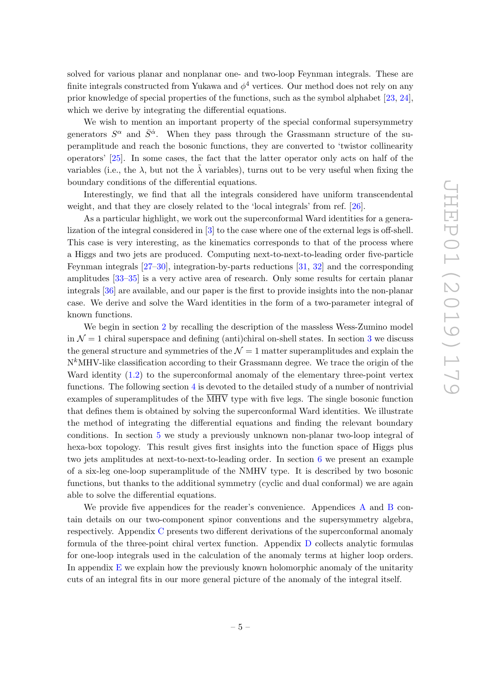solved for various planar and nonplanar one- and two-loop Feynman integrals. These are finite integrals constructed from Yukawa and  $\phi^4$  vertices. Our method does not rely on any prior knowledge of special properties of the functions, such as the symbol alphabet [\[23,](#page-53-8) [24\]](#page-53-9), which we derive by integrating the differential equations.

We wish to mention an important property of the special conformal supersymmetry generators  $S^{\alpha}$  and  $\bar{S}^{\dot{\alpha}}$ . When they pass through the Grassmann structure of the superamplitude and reach the bosonic functions, they are converted to 'twistor collinearity operators' [\[25\]](#page-53-10). In some cases, the fact that the latter operator only acts on half of the variables (i.e., the  $\lambda$ , but not the  $\tilde{\lambda}$  variables), turns out to be very useful when fixing the boundary conditions of the differential equations.

Interestingly, we find that all the integrals considered have uniform transcendental weight, and that they are closely related to the 'local integrals' from ref. [\[26\]](#page-53-11).

As a particular highlight, we work out the superconformal Ward identities for a generalization of the integral considered in [\[3\]](#page-52-2) to the case where one of the external legs is off-shell. This case is very interesting, as the kinematics corresponds to that of the process where a Higgs and two jets are produced. Computing next-to-next-to-leading order five-particle Feynman integrals [\[27–](#page-53-12)[30\]](#page-53-13), integration-by-parts reductions [\[31,](#page-53-14) [32\]](#page-54-0) and the corresponding amplitudes [\[33](#page-54-1)[–35\]](#page-54-2) is a very active area of research. Only some results for certain planar integrals [\[36\]](#page-54-3) are available, and our paper is the first to provide insights into the non-planar case. We derive and solve the Ward identities in the form of a two-parameter integral of known functions.

We begin in section [2](#page-7-0) by recalling the description of the massless Wess-Zumino model in  $\mathcal{N} = 1$  chiral superspace and defining (anti)chiral on-shell states. In section [3](#page-9-0) we discuss the general structure and symmetries of the  $\mathcal{N}=1$  matter superamplitudes and explain the  $N^k$ MHV-like classification according to their Grassmann degree. We trace the origin of the Ward identity  $(1.2)$  to the superconformal anomaly of the elementary three-point vertex functions. The following section  $4$  is devoted to the detailed study of a number of nontrivial examples of superamplitudes of the  $\overline{\text{MHV}}$  type with five legs. The single bosonic function that defines them is obtained by solving the superconformal Ward identities. We illustrate the method of integrating the differential equations and finding the relevant boundary conditions. In section [5](#page-28-0) we study a previously unknown non-planar two-loop integral of hexa-box topology. This result gives first insights into the function space of Higgs plus two jets amplitudes at next-to-next-to-leading order. In section [6](#page-35-0) we present an example of a six-leg one-loop superamplitude of the NMHV type. It is described by two bosonic functions, but thanks to the additional symmetry (cyclic and dual conformal) we are again able to solve the differential equations.

We provide five appendices for the reader's convenience. [A](#page-39-0)ppendices A and [B](#page-40-0) contain details on our two-component spinor conventions and the supersymmetry algebra, respectively. Appendix [C](#page-42-1) presents two different derivations of the superconformal anomaly formula of the three-point chiral vertex function. Appendix [D](#page-48-0) collects analytic formulas for one-loop integrals used in the calculation of the anomaly terms at higher loop orders. In appendix [E](#page-50-0) we explain how the previously known holomorphic anomaly of the unitarity cuts of an integral fits in our more general picture of the anomaly of the integral itself.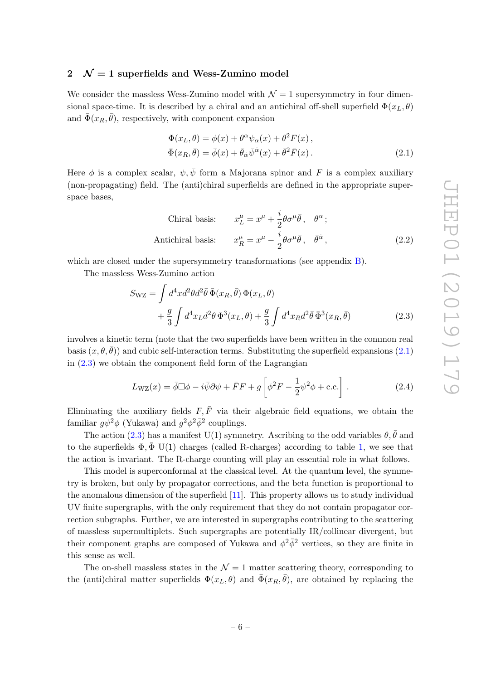# <span id="page-7-0"></span>2  $\mathcal{N} = 1$  superfields and Wess-Zumino model

We consider the massless Wess-Zumino model with  $\mathcal{N}=1$  supersymmetry in four dimensional space-time. It is described by a chiral and an antichiral off-shell superfield  $\Phi(x_L, \theta)$ and  $\bar{\Phi}(x_R, \bar{\theta})$ , respectively, with component expansion

<span id="page-7-1"></span>
$$
\Phi(x_L, \theta) = \phi(x) + \theta^{\alpha} \psi_{\alpha}(x) + \theta^2 F(x), \n\bar{\Phi}(x_R, \bar{\theta}) = \bar{\phi}(x) + \bar{\theta}_{\dot{\alpha}} \bar{\psi}^{\dot{\alpha}}(x) + \bar{\theta}^2 \bar{F}(x).
$$
\n(2.1)

Here  $\phi$  is a complex scalar,  $\psi, \bar{\psi}$  form a Majorana spinor and F is a complex auxiliary (non-propagating) field. The (anti)chiral superfields are defined in the appropriate superspace bases,

<span id="page-7-3"></span><span id="page-7-2"></span>
$$
\begin{aligned}\n\text{Chiral basis:} \qquad & x_L^\mu = x^\mu + \frac{i}{2} \theta \sigma^\mu \bar{\theta} \,, \quad \theta^\alpha \,; \\
\text{Antichiral basis:} \qquad & x_R^\mu = x^\mu - \frac{i}{2} \theta \sigma^\mu \bar{\theta} \,, \quad \bar{\theta}^{\dot{\alpha}} \,,\n\end{aligned} \tag{2.2}
$$

which are closed under the supersymmetry transformations (see appendix [B\)](#page-40-0).

The massless Wess-Zumino action

$$
S_{\rm WZ} = \int d^4x d^2\theta d^2\bar{\theta} \,\bar{\Phi}(x_R, \bar{\theta}) \,\Phi(x_L, \theta) + \frac{g}{3} \int d^4x_L d^2\theta \,\Phi^3(x_L, \theta) + \frac{g}{3} \int d^4x_R d^2\bar{\theta} \,\bar{\Phi}^3(x_R, \bar{\theta})
$$
(2.3)

involves a kinetic term (note that the two superfields have been written in the common real basis  $(x, \theta, \bar{\theta})$ ) and cubic self-interaction terms. Substituting the superfield expansions [\(2.1\)](#page-7-1) in  $(2.3)$  we obtain the component field form of the Lagrangian

$$
L_{\rm WZ}(x) = \bar{\phi}\Box\phi - i\bar{\psi}\partial\psi + \bar{F}F + g\left[\phi^2F - \frac{1}{2}\psi^2\phi + \text{c.c.}\right].\tag{2.4}
$$

Eliminating the auxiliary fields  $F, \bar{F}$  via their algebraic field equations, we obtain the familiar  $g\psi^2\phi$  (Yukawa) and  $g^2\phi^2\bar{\phi}^2$  couplings.

The action [\(2.3\)](#page-7-2) has a manifest U(1) symmetry. Ascribing to the odd variables  $\theta, \bar{\theta}$  and to the superfields  $\Phi$ ,  $\bar{\Phi}$  U(1) charges (called R-charges) according to table [1,](#page-8-0) we see that the action is invariant. The R-charge counting will play an essential role in what follows.

This model is superconformal at the classical level. At the quantum level, the symmetry is broken, but only by propagator corrections, and the beta function is proportional to the anomalous dimension of the superfield [\[11\]](#page-52-7). This property allows us to study individual UV finite supergraphs, with the only requirement that they do not contain propagator correction subgraphs. Further, we are interested in supergraphs contributing to the scattering of massless supermultiplets. Such supergraphs are potentially IR/collinear divergent, but their component graphs are composed of Yukawa and  $\phi^2 \bar{\phi}^2$  vertices, so they are finite in this sense as well.

The on-shell massless states in the  $\mathcal{N}=1$  matter scattering theory, corresponding to the (anti)chiral matter superfields  $\Phi(x_L, \theta)$  and  $\bar{\Phi}(x_R, \bar{\theta})$ , are obtained by replacing the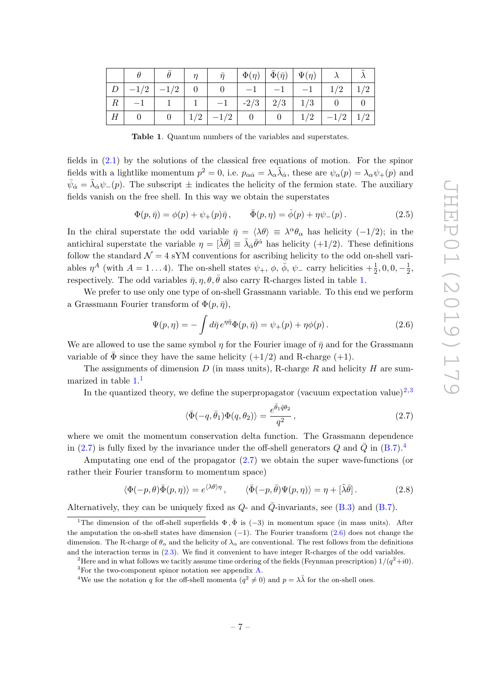|   |                |                          | $\begin{array}{ c c c c c }\hline \hspace{0.2cm} & \eta & \bar{\eta} & \bar{\Phi}(\eta) & \bar{\Phi}(\bar{\eta}) & \bar{\Psi}(\eta) & \lambda \ \hline \end{array}$ |  |                |              |
|---|----------------|--------------------------|---------------------------------------------------------------------------------------------------------------------------------------------------------------------|--|----------------|--------------|
|   |                |                          | $-1/2$   0   0   -1   -1   -1                                                                                                                                       |  |                | $/2$   $1/2$ |
|   | $-1$           |                          |                                                                                                                                                                     |  |                |              |
| H | $\overline{0}$ | $\overline{\phantom{0}}$ | $1/2$ $-1/2$ 0 0 1/2                                                                                                                                                |  | $-1/2$   $1/2$ |              |

<span id="page-8-0"></span>Table 1. Quantum numbers of the variables and superstates.

fields in [\(2.1\)](#page-7-1) by the solutions of the classical free equations of motion. For the spinor fields with a lightlike momentum  $p^2 = 0$ , i.e.  $p_{\alpha\dot{\alpha}} = \lambda_{\alpha}\tilde{\lambda}_{\dot{\alpha}}$ , these are  $\psi_{\alpha}(p) = \lambda_{\alpha}\psi_{+}(p)$  and  $\bar{\psi}_{\dot{\alpha}} = \tilde{\lambda}_{\dot{\alpha}}\psi_{-}(p)$ . The subscript  $\pm$  indicates the helicity of the fermion state. The auxiliary fields vanish on the free shell. In this way we obtain the superstates

<span id="page-8-8"></span>
$$
\Phi(p,\bar{\eta}) = \phi(p) + \psi_+(p)\bar{\eta}, \qquad \bar{\Phi}(p,\eta) = \bar{\phi}(p) + \eta\psi_-(p). \tag{2.5}
$$

In the chiral superstate the odd variable  $\bar{\eta} = \langle \lambda \theta \rangle \equiv \lambda^{\alpha} \theta_{\alpha}$  has helicity (-1/2); in the antichiral superstate the variable  $\eta = [\tilde{\lambda}\bar{\theta}] \equiv \tilde{\lambda}_{\dot{\alpha}}\bar{\theta}^{\dot{\alpha}}$  has helicity  $(+1/2)$ . These definitions follow the standard  $\mathcal{N} = 4$  sYM conventions for ascribing helicity to the odd on-shell variables  $\eta^A$  (with  $A = 1...4$ ). The on-shell states  $\psi_+, \phi, \bar{\phi}, \psi_-$  carry helicities  $+\frac{1}{2}, 0, 0, -\frac{1}{2}$  $\frac{1}{2}$ , respectively. The odd variables  $\bar{\eta}, \eta, \theta, \bar{\theta}$  also carry R-charges listed in table [1.](#page-8-0)

We prefer to use only one type of on-shell Grassmann variable. To this end we perform a Grassmann Fourier transform of  $\Phi(p,\bar{\eta}),$ 

$$
\Psi(p,\eta) = -\int d\bar{\eta} e^{\eta \bar{\eta}} \Phi(p,\bar{\eta}) = \psi_+(p) + \eta \phi(p). \qquad (2.6)
$$

We are allowed to use the same symbol  $\eta$  for the Fourier image of  $\bar{\eta}$  and for the Grassmann variable of  $\bar{\Phi}$  since they have the same helicity (+1/2) and R-charge (+1).

The assignments of dimension D (in mass units), R-charge R and helicity H are summarized in table  $1<sup>1</sup>$  $1<sup>1</sup>$ 

In the quantized theory, we define the superpropagator (vacuum expectation value)<sup>[2](#page-8-2),[3](#page-8-3)</sup>

<span id="page-8-7"></span><span id="page-8-6"></span><span id="page-8-4"></span>
$$
\langle \bar{\Phi}(-q, \bar{\theta}_1) \Phi(q, \theta_2) \rangle = \frac{e^{\bar{\theta}_1 \bar{q} \theta_2}}{q^2}, \qquad (2.7)
$$

where we omit the momentum conservation delta function. The Grassmann dependence in [\(2.7\)](#page-8-4) is fully fixed by the invariance under the off-shell generators Q and  $\bar{Q}$  in [\(B.7\)](#page-41-1).<sup>[4](#page-8-5)</sup>

Amputating one end of the propagator [\(2.7\)](#page-8-4) we obtain the super wave-functions (or rather their Fourier transform to momentum space)

$$
\langle \Phi(-p,\theta)\bar{\Phi}(p,\eta)\rangle = e^{\langle \lambda\theta\rangle\eta}, \qquad \langle \bar{\Phi}(-p,\bar{\theta})\Psi(p,\eta)\rangle = \eta + [\tilde{\lambda}\bar{\theta}]. \tag{2.8}
$$

Alternatively, they can be uniquely fixed as  $Q$ - and  $\overline{Q}$ -invariants, see [\(B.3\)](#page-40-2) and [\(B.7\)](#page-41-1).

<span id="page-8-1"></span><sup>&</sup>lt;sup>1</sup>The dimension of the off-shell superfields  $\Phi$ ,  $\bar{\Phi}$  is (-3) in momentum space (in mass units). After the amputation the on-shell states have dimension  $(-1)$ . The Fourier transform  $(2.6)$  does not change the dimension. The R-charge of  $\theta_{\alpha}$  and the helicity of  $\lambda_{\alpha}$  are conventional. The rest follows from the definitions and the interaction terms in [\(2.3\)](#page-7-2). We find it convenient to have integer R-charges of the odd variables.

<span id="page-8-3"></span><span id="page-8-2"></span><sup>&</sup>lt;sup>2</sup>Here and in what follows we tacitly assume time ordering of the fields (Feynman prescription)  $1/(q^2+i0)$ .  $^3\rm{For}$  the two-component spinor notation see appendix [A.](#page-39-0)

<span id="page-8-5"></span><sup>&</sup>lt;sup>4</sup>We use the notation q for the off-shell momenta  $(q^2 \neq 0)$  and  $p = \lambda \tilde{\lambda}$  for the on-shell ones.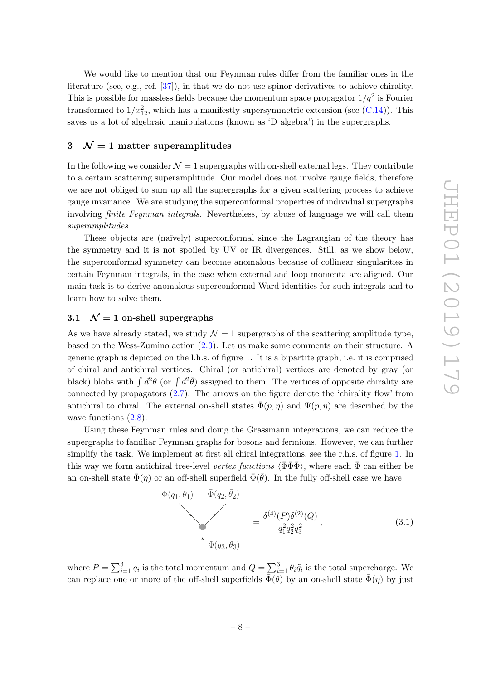We would like to mention that our Feynman rules differ from the familiar ones in the literature (see, e.g., ref. [\[37\]](#page-54-4)), in that we do not use spinor derivatives to achieve chirality. This is possible for massless fields because the momentum space propagator  $1/q^2$  is Fourier transformed to  $1/x_{12}^2$ , which has a manifestly supersymmetric extension (see [\(C.14\)](#page-45-2)). This saves us a lot of algebraic manipulations (known as 'D algebra') in the supergraphs.

# <span id="page-9-0"></span> $3\quad \mathcal{N}=1$  matter superamplitudes

In the following we consider  $\mathcal{N} = 1$  supergraphs with on-shell external legs. They contribute to a certain scattering superamplitude. Our model does not involve gauge fields, therefore we are not obliged to sum up all the supergraphs for a given scattering process to achieve gauge invariance. We are studying the superconformal properties of individual supergraphs involving *finite Feynman integrals*. Nevertheless, by abuse of language we will call them superamplitudes.

These objects are (naïvely) superconformal since the Lagrangian of the theory has the symmetry and it is not spoiled by UV or IR divergences. Still, as we show below, the superconformal symmetry can become anomalous because of collinear singularities in certain Feynman integrals, in the case when external and loop momenta are aligned. Our main task is to derive anomalous superconformal Ward identities for such integrals and to learn how to solve them.

# <span id="page-9-1"></span>3.1  $\mathcal{N} = 1$  on-shell supergraphs

As we have already stated, we study  $\mathcal{N} = 1$  supergraphs of the scattering amplitude type, based on the Wess-Zumino action [\(2.3\)](#page-7-2). Let us make some comments on their structure. A generic graph is depicted on the l.h.s. of figure [1.](#page-10-0) It is a bipartite graph, i.e. it is comprised of chiral and antichiral vertices. Chiral (or antichiral) vertices are denoted by gray (or black) blobs with  $\int d^2\theta$  (or  $\int d^2\bar{\theta}$ ) assigned to them. The vertices of opposite chirality are connected by propagators [\(2.7\)](#page-8-4). The arrows on the figure denote the 'chirality flow' from antichiral to chiral. The external on-shell states  $\bar{\Phi}(p, \eta)$  and  $\Psi(p, \eta)$  are described by the wave functions  $(2.8)$ .

Using these Feynman rules and doing the Grassmann integrations, we can reduce the supergraphs to familiar Feynman graphs for bosons and fermions. However, we can further simplify the task. We implement at first all chiral integrations, see the r.h.s. of figure [1.](#page-10-0) In this way we form antichiral tree-level vertex functions  $\langle \bar{\Phi} \bar{\Phi} \bar{\Phi} \rangle$ , where each  $\bar{\Phi}$  can either be an on-shell state  $\bar{\Phi}(\eta)$  or an off-shell superfield  $\bar{\Phi}(\bar{\theta})$ . In the fully off-shell case we have

<span id="page-9-2"></span>
$$
\bar{\Phi}(q_1, \bar{\theta}_1) \qquad \bar{\Phi}(q_2, \bar{\theta}_2) = \frac{\delta^{(4)}(P)\delta^{(2)}(Q)}{q_1^2 q_2^2 q_3^2}, \qquad (3.1)
$$
\n
$$
\bar{\Phi}(q_3, \bar{\theta}_3)
$$

where  $P = \sum_{i=1}^{3} q_i$  is the total momentum and  $Q = \sum_{i=1}^{3} \bar{\theta}_i \tilde{q}_i$  is the total supercharge. We can replace one or more of the off-shell superfields  $\bar{\Phi}(\theta)$  by an on-shell state  $\bar{\Phi}(\eta)$  by just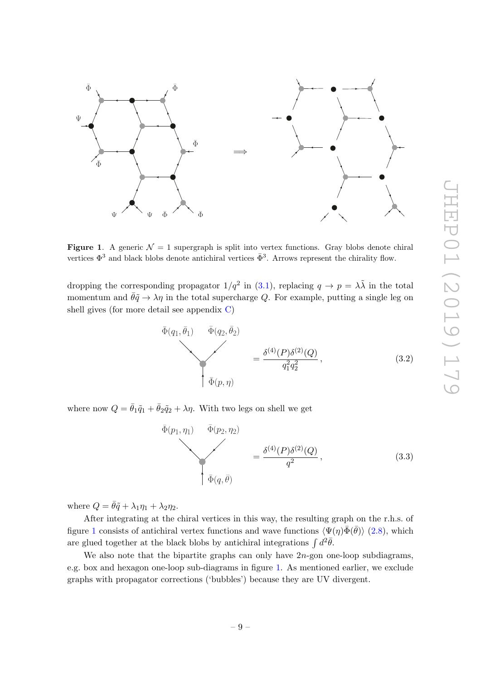

<span id="page-10-0"></span>**Figure 1.** A generic  $\mathcal{N} = 1$  supergraph is split into vertex functions. Gray blobs denote chiral vertices  $\Phi^3$  and black blobs denote antichiral vertices  $\bar{\Phi}^3$ . Arrows represent the chirality flow.

dropping the corresponding propagator  $1/q^2$  in [\(3.1\)](#page-9-2), replacing  $q \to p = \lambda \tilde{\lambda}$  in the total momentum and  $\bar{\theta}\tilde{q} \to \lambda\eta$  in the total supercharge Q. For example, putting a single leg on shell gives (for more detail see appendix [C\)](#page-42-1)

<span id="page-10-1"></span>
$$
\bar{\Phi}(q_1, \bar{\theta}_1) \qquad \bar{\Phi}(q_2, \bar{\theta}_2) = \frac{\delta^{(4)}(P)\delta^{(2)}(Q)}{q_1^2 q_2^2}, \qquad (3.2)
$$

where now  $Q = \bar{\theta}_1 \tilde{q}_1 + \bar{\theta}_2 \tilde{q}_2 + \lambda \eta$ . With two legs on shell we get

<span id="page-10-2"></span>
$$
\bar{\Phi}(p_1, \eta_1) \qquad \bar{\Phi}(p_2, \eta_2) = \frac{\delta^{(4)}(P)\delta^{(2)}(Q)}{q^2}, \qquad (3.3)
$$

where  $Q = \bar{\theta}\tilde{q} + \lambda_1\eta_1 + \lambda_2\eta_2$ .

After integrating at the chiral vertices in this way, the resulting graph on the r.h.s. of figure [1](#page-10-0) consists of antichiral vertex functions and wave functions  $\langle \Psi(\eta)\bar{\Phi}(\bar{\theta})\rangle$  [\(2.8\)](#page-8-7), which are glued together at the black blobs by antichiral integrations  $\int d^2\bar{\theta}$ .

We also note that the bipartite graphs can only have  $2n$ -gon one-loop subdiagrams, e.g. box and hexagon one-loop sub-diagrams in figure [1.](#page-10-0) As mentioned earlier, we exclude graphs with propagator corrections ('bubbles') because they are UV divergent.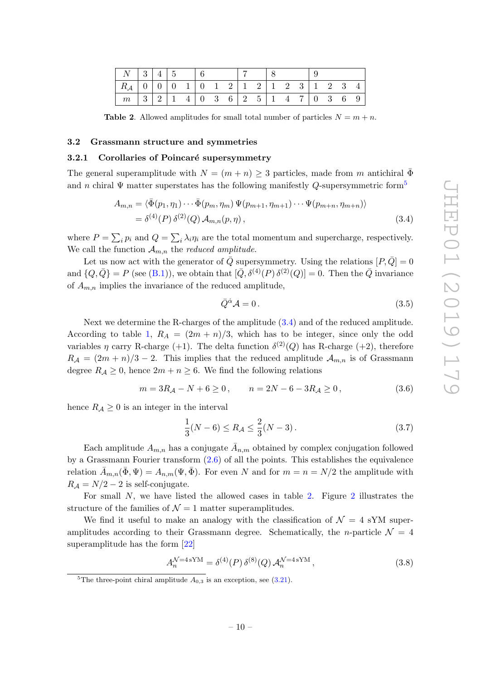| $\mid N \mid 3 \mid 4 \mid 5$                                         |  |  |  |  |  |  |  |  |
|-----------------------------------------------------------------------|--|--|--|--|--|--|--|--|
| $R_A$   0   0   0   1   0   1   2   1   2   1   2   3   1   2   3   4 |  |  |  |  |  |  |  |  |
|                                                                       |  |  |  |  |  |  |  |  |

<span id="page-11-4"></span>**Table 2.** Allowed amplitudes for small total number of particles  $N = m + n$ .

#### <span id="page-11-0"></span>3.2 Grassmann structure and symmetries

#### <span id="page-11-1"></span>3.2.1 Corollaries of Poincaré supersymmetry

The general superamplitude with  $N = (m + n) \geq 3$  particles, made from m antichiral  $\bar{\Phi}$ and n chiral  $\Psi$  matter superstates has the following manifestly Q-supersymmetric form<sup>[5](#page-11-2)</sup>

$$
A_{m,n} = \langle \bar{\Phi}(p_1, \eta_1) \cdots \bar{\Phi}(p_m, \eta_m) \Psi(p_{m+1}, \eta_{m+1}) \cdots \Psi(p_{m+n}, \eta_{m+n}) \rangle
$$
  
=  $\delta^{(4)}(P) \delta^{(2)}(Q) \mathcal{A}_{m,n}(p, \eta)$ , (3.4)

where  $P = \sum_i p_i$  and  $Q = \sum_i \lambda_i \eta_i$  are the total momentum and supercharge, respectively. We call the function  $A_{m,n}$  the *reduced amplitude*.

Let us now act with the generator of  $\overline{Q}$  supersymmetry. Using the relations  $[P, \overline{Q}] = 0$ and  $\{Q,\bar{Q}\}=P$  (see [\(B.1\)](#page-40-3)), we obtain that  $[\bar{Q}, \delta^{(4)}(P) \delta^{(2)}(Q)]=0$ . Then the  $\bar{Q}$  invariance of  $A_{m,n}$  implies the invariance of the reduced amplitude,

<span id="page-11-6"></span><span id="page-11-5"></span><span id="page-11-3"></span>
$$
\bar{Q}^{\dot{\alpha}} \mathcal{A} = 0. \tag{3.5}
$$

Next we determine the R-charges of the amplitude [\(3.4\)](#page-11-3) and of the reduced amplitude. According to table [1,](#page-8-0)  $R_A = (2m + n)/3$ , which has to be integer, since only the odd variables  $\eta$  carry R-charge (+1). The delta function  $\delta^{(2)}(Q)$  has R-charge (+2), therefore  $R_A = (2m + n)/3 - 2$ . This implies that the reduced amplitude  $\mathcal{A}_{m,n}$  is of Grassmann degree  $R_A \geq 0$ , hence  $2m + n \geq 6$ . We find the following relations

$$
m = 3R_{\mathcal{A}} - N + 6 \ge 0, \qquad n = 2N - 6 - 3R_{\mathcal{A}} \ge 0,
$$
\n(3.6)

hence  $R_A \geq 0$  is an integer in the interval

$$
\frac{1}{3}(N-6) \le R_{\mathcal{A}} \le \frac{2}{3}(N-3). \tag{3.7}
$$

Each amplitude  $A_{m,n}$  has a conjugate  $\bar{A}_{n,m}$  obtained by complex conjugation followed by a Grassmann Fourier transform [\(2.6\)](#page-8-6) of all the points. This establishes the equivalence relation  $\bar{A}_{m,n}(\bar{\Phi},\Psi) = A_{n,m}(\Psi,\bar{\Phi})$ . For even N and for  $m = n = N/2$  the amplitude with  $R_A = N/2 - 2$  is self-conjugate.

For small  $N$ , we have listed the allowed cases in table [2.](#page-11-4) Figure [2](#page-12-0) illustrates the structure of the families of  $\mathcal{N}=1$  matter superamplitudes.

We find it useful to make an analogy with the classification of  $\mathcal{N} = 4$  sYM superamplitudes according to their Grassmann degree. Schematically, the *n*-particle  $\mathcal{N} = 4$ superamplitude has the form [\[22\]](#page-53-7)

$$
A_n^{\mathcal{N}=4\,\mathrm{sYM}} = \delta^{(4)}(P)\,\delta^{(8)}(Q)\,\mathcal{A}_n^{\mathcal{N}=4\,\mathrm{sYM}}\,,\tag{3.8}
$$

<span id="page-11-2"></span><sup>&</sup>lt;sup>5</sup>The three-point chiral amplitude  $A_{0,3}$  is an exception, see [\(3.21\)](#page-15-1).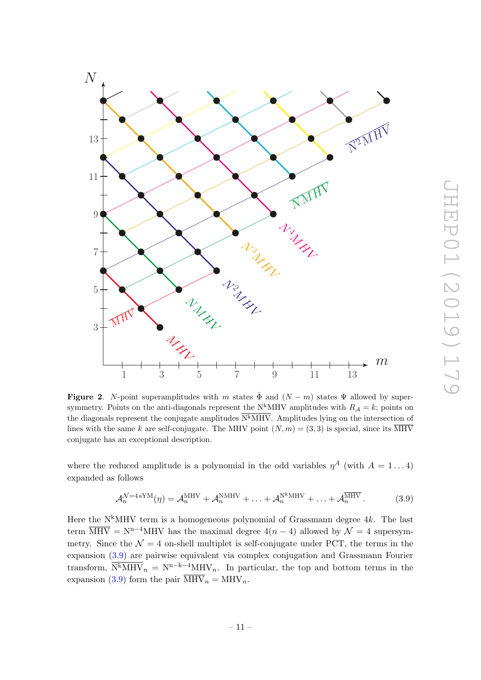

<span id="page-12-0"></span>Figure 2. N-point superamplitudes with m states  $\bar{\Phi}$  and  $(N - m)$  states  $\Psi$  allowed by supersymmetry. Points on the anti-diagonals represent the N<sup>k</sup>MHV amplitudes with  $R_A = k$ ; points on the diagonals represent the conjugate amplitudes  $\overline{N^kMHV}$ . Amplitudes lying on the intersection of lines with the same k are self-conjugate. The MHV point  $(N, m) = (3, 3)$  is special, since its MHV conjugate has an exceptional description.

where the reduced amplitude is a polynomial in the odd variables  $\eta^A$  (with  $A = 1...4$ ) expanded as follows

<span id="page-12-1"></span>
$$
\mathcal{A}_n^{\mathcal{N}=4\,\mathrm{sYM}}(\eta) = \mathcal{A}_n^{\mathrm{MHV}} + \mathcal{A}_n^{\mathrm{NMHV}} + \ldots + \mathcal{A}_n^{\mathrm{N}^k\mathrm{MHV}} + \ldots + \mathcal{A}_n^{\overline{\mathrm{MHV}}}.
$$
 (3.9)

Here the N<sup>k</sup>MHV term is a homogeneous polynomial of Grassmann degree  $4k$ . The last term  $\overline{\text{MHV}} = \text{N}^{n-4}\text{MHV}$  has the maximal degree  $4(n-4)$  allowed by  $\mathcal{N}=4$  supersymmetry. Since the  $\mathcal{N} = 4$  on-shell multiplet is self-conjugate under PCT, the terms in the expansion [\(3.9\)](#page-12-1) are pairwise equivalent via complex conjugation and Grassmann Fourier transform,  $\overline{N^kMHV}_n = N^{n-k-4}MHV_n$ . In particular, the top and bottom terms in the expansion [\(3.9\)](#page-12-1) form the pair  $\overline{\text{MHV}}_n = \text{MHV}_n$ .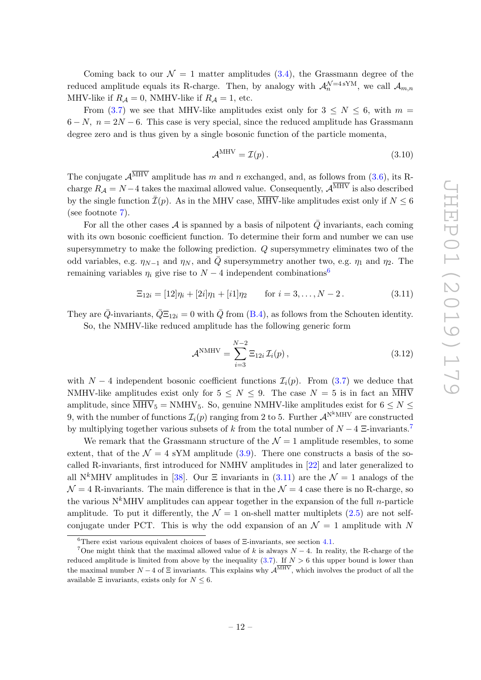Coming back to our  $\mathcal{N} = 1$  matter amplitudes [\(3.4\)](#page-11-3), the Grassmann degree of the reduced amplitude equals its R-charge. Then, by analogy with  $\mathcal{A}_n^{\mathcal{N}=4 s Y M}$ , we call  $\mathcal{A}_{m,n}$ MHV-like if  $R_A = 0$ , NMHV-like if  $R_A = 1$ , etc.

From [\(3.7\)](#page-11-5) we see that MHV-like amplitudes exist only for  $3 \leq N \leq 6$ , with  $m =$  $6 - N$ ,  $n = 2N - 6$ . This case is very special, since the reduced amplitude has Grassmann degree zero and is thus given by a single bosonic function of the particle momenta,

<span id="page-13-3"></span>
$$
\mathcal{A}^{\text{MHV}} = \mathcal{I}(p). \tag{3.10}
$$

The conjugate  $\mathcal{A}^{\overline{\text{MHV}}}$  amplitude has m and n exchanged, and, as follows from [\(3.6\)](#page-11-6), its Rcharge  $R_A = N - 4$  takes the maximal allowed value. Consequently,  $\mathcal{A}^{\overline{\text{MHV}}}$  is also described by the single function  $\bar{\mathcal{I}}(p)$ . As in the MHV case,  $\overline{\text{MHV}}$ -like amplitudes exist only if  $N \leq 6$ (see footnote [7\)](#page-13-0).

For all the other cases A is spanned by a basis of nilpotent  $\overline{Q}$  invariants, each coming with its own bosonic coefficient function. To determine their form and number we can use supersymmetry to make the following prediction. Q supersymmetry eliminates two of the odd variables, e.g.  $\eta_{N-1}$  and  $\eta_N$ , and  $\overline{Q}$  supersymmetry another two, e.g.  $\eta_1$  and  $\eta_2$ . The remaining variables  $\eta_i$  give rise to  $N-4$  independent combinations<sup>[6](#page-13-1)</sup>

$$
\Xi_{12i} = [12]\eta_i + [2i]\eta_1 + [i1]\eta_2 \quad \text{for } i = 3, ..., N - 2.
$$
 (3.11)

They are  $\bar{Q}$ -invariants,  $\bar{Q} \Xi_{12i} = 0$  with  $\bar{Q}$  from [\(B.4\)](#page-40-4), as follows from the Schouten identity. So, the NMHV-like reduced amplitude has the following generic form

<span id="page-13-4"></span><span id="page-13-2"></span>
$$
\mathcal{A}^{\text{NMHV}} = \sum_{i=3}^{N-2} \Xi_{12i} \, \mathcal{I}_i(p) \,, \tag{3.12}
$$

with  $N-4$  independent bosonic coefficient functions  $\mathcal{I}_i(p)$ . From [\(3.7\)](#page-11-5) we deduce that NMHV-like amplitudes exist only for  $5 \leq N \leq 9$ . The case  $N = 5$  is in fact an MHV amplitude, since  $\overline{\text{MHV}}_5 = \text{NMHV}_5$ . So, genuine NMHV-like amplitudes exist for  $6 \leq N \leq$ 9, with the number of functions  $\mathcal{I}_i(p)$  ranging from 2 to 5. Further  $\mathcal{A}^{N^kMHV}$  are constructed by multiplying together various subsets of k from the total number of  $N-4 \Xi$ -invariants.<sup>[7](#page-13-0)</sup>

We remark that the Grassmann structure of the  $\mathcal{N}=1$  amplitude resembles, to some extent, that of the  $\mathcal{N} = 4$  sYM amplitude [\(3.9\)](#page-12-1). There one constructs a basis of the socalled R-invariants, first introduced for NMHV amplitudes in [\[22\]](#page-53-7) and later generalized to all N<sup>k</sup>MHV amplitudes in [\[38\]](#page-54-5). Our  $\Xi$  invariants in [\(3.11\)](#page-13-2) are the  $\mathcal{N}=1$  analogs of the  $\mathcal{N} = 4$  R-invariants. The main difference is that in the  $\mathcal{N} = 4$  case there is no R-charge, so the various  $N^k$ MHV amplitudes can appear together in the expansion of the full *n*-particle amplitude. To put it differently, the  $\mathcal{N} = 1$  on-shell matter multiplets [\(2.5\)](#page-8-8) are not selfconjugate under PCT. This is why the odd expansion of an  $\mathcal{N}=1$  amplitude with N

<span id="page-13-1"></span><span id="page-13-0"></span><sup>&</sup>lt;sup>6</sup>There exist various equivalent choices of bases of  $\Xi$ -invariants, see section [4.1.](#page-20-0)

<sup>&</sup>lt;sup>7</sup>One might think that the maximal allowed value of k is always  $N-4$ . In reality, the R-charge of the reduced amplitude is limited from above by the inequality  $(3.7)$ . If  $N > 6$  this upper bound is lower than the maximal number  $N-4$  of  $\Xi$  invariants. This explains why  $\mathcal{A}^{\text{MHV}}$ , which involves the product of all the available  $\Xi$  invariants, exists only for  $N \leq 6$ .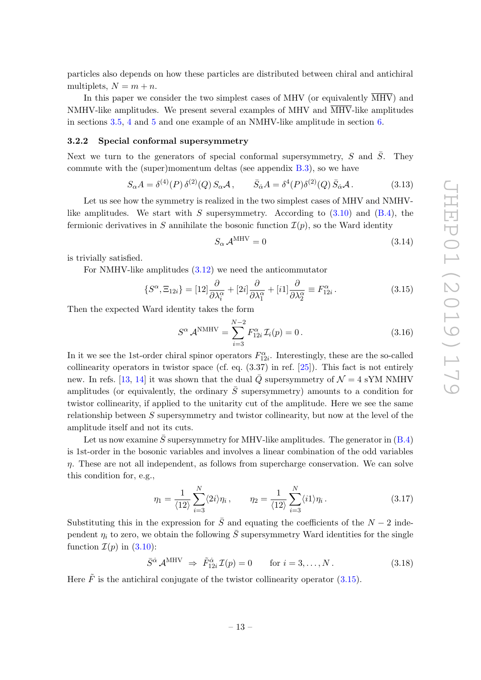particles also depends on how these particles are distributed between chiral and antichiral multiplets,  $N = m + n$ .

In this paper we consider the two simplest cases of MHV (or equivalently  $\overline{\text{MHV}}$ ) and NMHV-like amplitudes. We present several examples of MHV and  $\overline{\text{MHV}}$ -like amplitudes in sections [3.5,](#page-18-0) [4](#page-19-0) and [5](#page-28-0) and one example of an NMHV-like amplitude in section [6.](#page-35-0)

# <span id="page-14-0"></span>3.2.2 Special conformal supersymmetry

Next we turn to the generators of special conformal supersymmetry,  $S$  and  $\overline{S}$ . They commute with the (super)momentum deltas (see appendix  $B.3$ ), so we have

$$
S_{\alpha}A = \delta^{(4)}(P)\,\delta^{(2)}(Q)\,S_{\alpha}\mathcal{A}\,,\qquad \bar{S}_{\dot{\alpha}}A = \delta^{4}(P)\delta^{(2)}(Q)\,\bar{S}_{\dot{\alpha}}\mathcal{A}\,.
$$

Let us see how the symmetry is realized in the two simplest cases of MHV and NMHVlike amplitudes. We start with S supersymmetry. According to  $(3.10)$  and  $(B.4)$ , the fermionic derivatives in S annihilate the bosonic function  $\mathcal{I}(p)$ , so the Ward identity

<span id="page-14-5"></span><span id="page-14-4"></span><span id="page-14-2"></span><span id="page-14-1"></span>
$$
S_{\alpha} \mathcal{A}^{\text{MHV}} = 0 \tag{3.14}
$$

is trivially satisfied.

For NMHV-like amplitudes [\(3.12\)](#page-13-4) we need the anticommutator

$$
\{S^{\alpha}, \Xi_{12i}\} = [12] \frac{\partial}{\partial \lambda_i^{\alpha}} + [2i] \frac{\partial}{\partial \lambda_1^{\alpha}} + [i1] \frac{\partial}{\partial \lambda_2^{\alpha}} \equiv F_{12i}^{\alpha}.
$$
 (3.15)

Then the expected Ward identity takes the form

$$
S^{\alpha} \mathcal{A}^{\text{NMHV}} = \sum_{i=3}^{N-2} F_{12i}^{\alpha} \mathcal{I}_i(p) = 0.
$$
 (3.16)

In it we see the 1st-order chiral spinor operators  $F_{12i}^{\alpha}$ . Interestingly, these are the so-called collinearity operators in twistor space (cf. eq.  $(3.37)$  in ref.  $[25]$ ). This fact is not entirely new. In refs. [\[13,](#page-52-9) [14\]](#page-53-15) it was shown that the dual  $\overline{Q}$  supersymmetry of  $\mathcal{N} = 4$  sYM NMHV amplitudes (or equivalently, the ordinary  $\overline{S}$  supersymmetry) amounts to a condition for twistor collinearity, if applied to the unitarity cut of the amplitude. Here we see the same relationship between S supersymmetry and twistor collinearity, but now at the level of the amplitude itself and not its cuts.

Let us now examine  $\bar{S}$  supersymmetry for MHV-like amplitudes. The generator in  $(B.4)$ is 1st-order in the bosonic variables and involves a linear combination of the odd variables  $\eta$ . These are not all independent, as follows from supercharge conservation. We can solve this condition for, e.g.,

$$
\eta_1 = \frac{1}{\langle 12 \rangle} \sum_{i=3}^{N} \langle 2i \rangle \eta_i, \qquad \eta_2 = \frac{1}{\langle 12 \rangle} \sum_{i=3}^{N} \langle i1 \rangle \eta_i.
$$
 (3.17)

Substituting this in the expression for  $\overline{S}$  and equating the coefficients of the  $N-2$  independent  $\eta_i$  to zero, we obtain the following  $\overline{S}$  supersymmetry Ward identities for the single function  $\mathcal{I}(p)$  in  $(3.10)$ :

<span id="page-14-3"></span>
$$
\bar{S}^{\dot{\alpha}} \mathcal{A}^{\text{MHV}} \Rightarrow \tilde{F}_{12i}^{\dot{\alpha}} \mathcal{I}(p) = 0 \quad \text{for } i = 3, ..., N. \tag{3.18}
$$

Here  $\tilde{F}$  is the antichiral conjugate of the twistor collinearity operator [\(3.15\)](#page-14-1).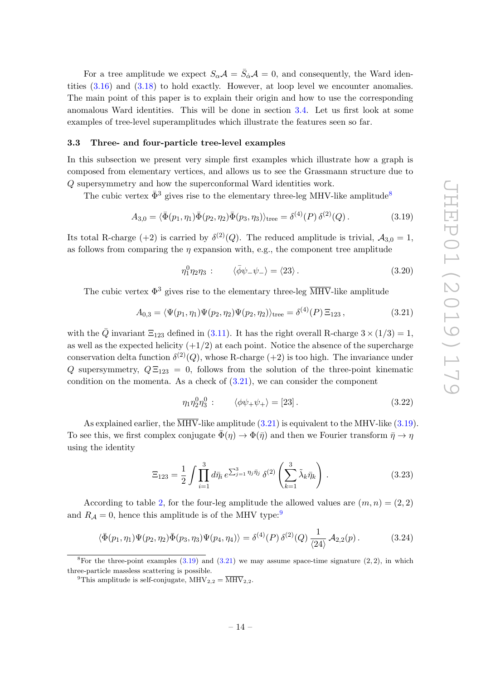For a tree amplitude we expect  $S_{\alpha}A = \bar{S}_{\dot{\alpha}}A = 0$ , and consequently, the Ward identities  $(3.16)$  and  $(3.18)$  to hold exactly. However, at loop level we encounter anomalies. The main point of this paper is to explain their origin and how to use the corresponding anomalous Ward identities. This will be done in section [3.4.](#page-16-0) Let us first look at some examples of tree-level superamplitudes which illustrate the features seen so far.

#### <span id="page-15-0"></span>3.3 Three- and four-particle tree-level examples

In this subsection we present very simple first examples which illustrate how a graph is composed from elementary vertices, and allows us to see the Grassmann structure due to Q supersymmetry and how the superconformal Ward identities work.

The cubic vertex  $\bar{\Phi}^3$  gives rise to the elementary three-leg MHV-like amplitude<sup>[8](#page-15-2)</sup>

$$
A_{3,0} = \langle \bar{\Phi}(p_1, \eta_1) \bar{\Phi}(p_2, \eta_2) \bar{\Phi}(p_3, \eta_3) \rangle_{\text{tree}} = \delta^{(4)}(P) \delta^{(2)}(Q). \tag{3.19}
$$

Its total R-charge (+2) is carried by  $\delta^{(2)}(Q)$ . The reduced amplitude is trivial,  $\mathcal{A}_{3,0} = 1$ , as follows from comparing the  $\eta$  expansion with, e.g., the component tree amplitude

<span id="page-15-3"></span><span id="page-15-1"></span>
$$
\eta_1^0 \eta_2 \eta_3 : \qquad \langle \bar{\phi} \psi_- \psi_- \rangle = \langle 23 \rangle. \tag{3.20}
$$

The cubic vertex  $\Phi^3$  gives rise to the elementary three-leg  $\overline{\text{MHV}}$ -like amplitude

$$
A_{0,3} = \langle \Psi(p_1, \eta_1) \Psi(p_2, \eta_2) \Psi(p_2, \eta_2) \rangle_{\text{tree}} = \delta^{(4)}(P) \Xi_{123}, \qquad (3.21)
$$

with the  $\overline{Q}$  invariant  $\Xi_{123}$  defined in [\(3.11\)](#page-13-2). It has the right overall R-charge 3 × (1/3) = 1, as well as the expected helicity  $(+1/2)$  at each point. Notice the absence of the supercharge conservation delta function  $\delta^{(2)}(Q)$ , whose R-charge  $(+2)$  is too high. The invariance under Q supersymmetry,  $Q \Xi_{123} = 0$ , follows from the solution of the three-point kinematic condition on the momenta. As a check of  $(3.21)$ , we can consider the component

<span id="page-15-5"></span>
$$
\eta_1 \eta_2^0 \eta_3^0 : \qquad \langle \phi \psi_+ \psi_+ \rangle = [23]. \tag{3.22}
$$

As explained earlier, the  $\overline{\text{MHV}}$ -like amplitude [\(3.21\)](#page-15-1) is equivalent to the MHV-like [\(3.19\)](#page-15-3). To see this, we first complex conjugate  $\bar{\Phi}(\eta) \to \Phi(\bar{\eta})$  and then we Fourier transform  $\bar{\eta} \to \eta$ using the identity

$$
\Xi_{123} = \frac{1}{2} \int \prod_{i=1}^{3} d\bar{\eta}_i \, e^{\sum_{j=1}^{3} \eta_j \bar{\eta}_j} \, \delta^{(2)} \left( \sum_{k=1}^{3} \tilde{\lambda}_k \bar{\eta}_k \right) \,. \tag{3.23}
$$

According to table [2,](#page-11-4) for the four-leg amplitude the allowed values are  $(m, n) = (2, 2)$ and  $R_A = 0$ , hence this amplitude is of the MHV type:<sup>[9](#page-15-4)</sup>

$$
\langle \bar{\Phi}(p_1, \eta_1) \Psi(p_2, \eta_2) \bar{\Phi}(p_3, \eta_3) \Psi(p_4, \eta_4) \rangle = \delta^{(4)}(P) \, \delta^{(2)}(Q) \, \frac{1}{\langle 24 \rangle} \, \mathcal{A}_{2,2}(p) \,. \tag{3.24}
$$

<span id="page-15-2"></span><sup>&</sup>lt;sup>8</sup>For the three-point examples [\(3.19\)](#page-15-3) and [\(3.21\)](#page-15-1) we may assume space-time signature (2, 2), in which three-particle massless scattering is possible.

<span id="page-15-4"></span><sup>&</sup>lt;sup>9</sup>This amplitude is self-conjugate, MHV<sub>2,2</sub> =  $\overline{\text{MHV}}_{2,2}$ .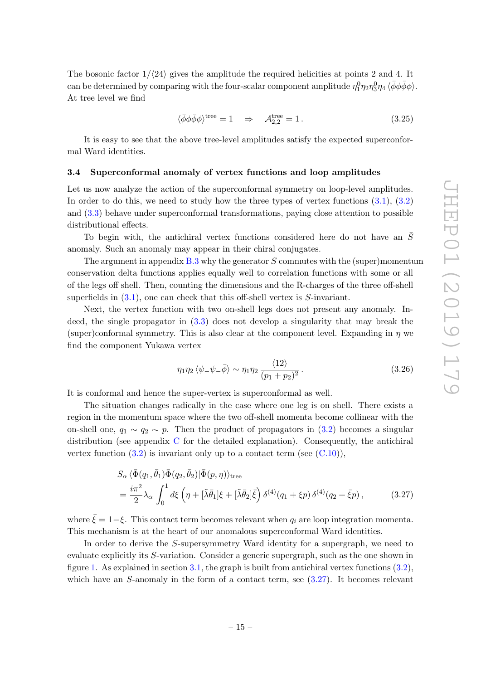The bosonic factor  $1/(24)$  gives the amplitude the required helicities at points 2 and 4. It  $\text{can be determined by comparing with the four-scalar component amplitude } \eta_1^0 \eta_2 \eta_3^0 \eta_4 \, \langle \bar{\phi} \phi \bar{\phi} \phi \rangle.$ At tree level we find

$$
\langle \bar{\phi}\phi\bar{\phi}\phi \rangle^{\text{tree}} = 1 \quad \Rightarrow \quad \mathcal{A}_{2,2}^{\text{tree}} = 1. \tag{3.25}
$$

It is easy to see that the above tree-level amplitudes satisfy the expected superconformal Ward identities.

### <span id="page-16-0"></span>3.4 Superconformal anomaly of vertex functions and loop amplitudes

Let us now analyze the action of the superconformal symmetry on loop-level amplitudes. In order to do this, we need to study how the three types of vertex functions [\(3.1\)](#page-9-2), [\(3.2\)](#page-10-1) and [\(3.3\)](#page-10-2) behave under superconformal transformations, paying close attention to possible distributional effects.

To begin with, the antichiral vertex functions considered here do not have an  $\overline{S}$ anomaly. Such an anomaly may appear in their chiral conjugates.

The argument in appendix  $B.3$  why the generator S commutes with the (super)momentum conservation delta functions applies equally well to correlation functions with some or all of the legs off shell. Then, counting the dimensions and the R-charges of the three off-shell superfields in  $(3.1)$ , one can check that this off-shell vertex is S-invariant.

Next, the vertex function with two on-shell legs does not present any anomaly. Indeed, the single propagator in [\(3.3\)](#page-10-2) does not develop a singularity that may break the (super)conformal symmetry. This is also clear at the component level. Expanding in  $\eta$  we find the component Yukawa vertex

<span id="page-16-1"></span>
$$
\eta_1 \eta_2 \left\langle \psi_- \psi_- \bar{\phi} \right\rangle \sim \eta_1 \eta_2 \frac{\left\langle 12 \right\rangle}{\left(p_1 + p_2\right)^2} \,. \tag{3.26}
$$

It is conformal and hence the super-vertex is superconformal as well.

The situation changes radically in the case where one leg is on shell. There exists a region in the momentum space where the two off-shell momenta become collinear with the on-shell one,  $q_1 \sim q_2 \sim p$ . Then the product of propagators in [\(3.2\)](#page-10-1) becomes a singular distribution (see appendix [C](#page-42-1) for the detailed explanation). Consequently, the antichiral vertex function  $(3.2)$  is invariant only up to a contact term (see  $(C.10)$ ),

$$
S_{\alpha} \langle \bar{\Phi}(q_1, \bar{\theta}_1) \bar{\Phi}(q_2, \bar{\theta}_2) | \bar{\Phi}(p, \eta) \rangle_{\text{tree}}
$$
  
= 
$$
\frac{i\pi^2}{2} \lambda_{\alpha} \int_0^1 d\xi \left( \eta + [\tilde{\lambda}\bar{\theta}_1]\xi + [\tilde{\lambda}\bar{\theta}_2]\bar{\xi} \right) \delta^{(4)}(q_1 + \xi p) \delta^{(4)}(q_2 + \bar{\xi}p),
$$
 (3.27)

where  $\bar{\xi} = 1-\xi$ . This contact term becomes relevant when  $q_i$  are loop integration momenta. This mechanism is at the heart of our anomalous superconformal Ward identities.

In order to derive the S-supersymmetry Ward identity for a supergraph, we need to evaluate explicitly its S-variation. Consider a generic supergraph, such as the one shown in figure [1.](#page-10-0) As explained in section [3.1,](#page-9-1) the graph is built from antichiral vertex functions  $(3.2)$ , which have an  $S$ -anomaly in the form of a contact term, see  $(3.27)$ . It becomes relevant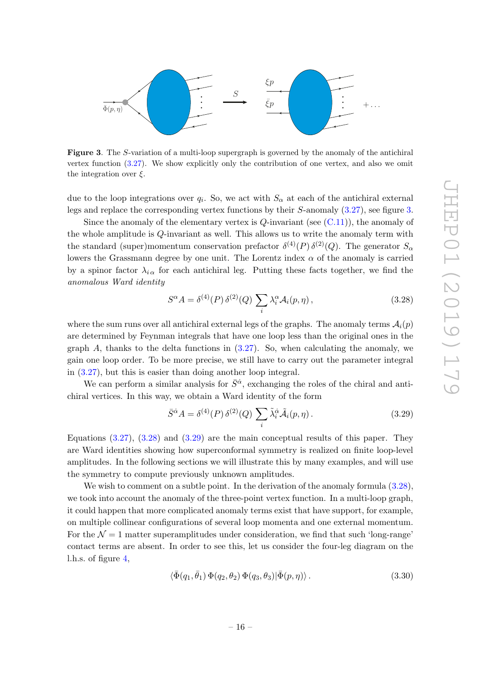

<span id="page-17-0"></span>Figure 3. The S-variation of a multi-loop supergraph is governed by the anomaly of the antichiral vertex function [\(3.27\)](#page-16-1). We show explicitly only the contribution of one vertex, and also we omit the integration over  $\xi$ .

due to the loop integrations over  $q_i$ . So, we act with  $S_\alpha$  at each of the antichiral external legs and replace the corresponding vertex functions by their  $S$ -anomaly  $(3.27)$  $(3.27)$  $(3.27)$ , see figure 3.

Since the anomaly of the elementary vertex is  $Q$ -invariant (see  $(C.11)$ ), the anomaly of the whole amplitude is Q-invariant as well. This allows us to write the anomaly term with the standard (super)momentum conservation prefactor  $\delta^{(4)}(P) \, \delta^{(2)}(Q)$ . The generator  $S_{\alpha}$ lowers the Grassmann degree by one unit. The Lorentz index  $\alpha$  of the anomaly is carried by a spinor factor  $\lambda_{i\alpha}$  for each antichiral leg. Putting these facts together, we find the anomalous Ward identity

<span id="page-17-1"></span>
$$
S^{\alpha} A = \delta^{(4)}(P) \,\delta^{(2)}(Q) \sum_{i} \lambda_i^{\alpha} \mathcal{A}_i(p,\eta) \,, \tag{3.28}
$$

where the sum runs over all antichiral external legs of the graphs. The anomaly terms  $\mathcal{A}_i(p)$ are determined by Feynman integrals that have one loop less than the original ones in the graph  $A$ , thanks to the delta functions in  $(3.27)$ . So, when calculating the anomaly, we gain one loop order. To be more precise, we still have to carry out the parameter integral in [\(3.27\)](#page-16-1), but this is easier than doing another loop integral.

We can perform a similar analysis for  $\bar{S}^{\dot{\alpha}}$ , exchanging the roles of the chiral and antichiral vertices. In this way, we obtain a Ward identity of the form

<span id="page-17-2"></span>
$$
\bar{S}^{\dot{\alpha}}A = \delta^{(4)}(P)\,\delta^{(2)}(Q)\,\sum_{i}\tilde{\lambda}_{i}^{\dot{\alpha}}\tilde{\mathcal{A}}_{i}(p,\eta)\,.
$$
 (3.29)

Equations  $(3.27)$ ,  $(3.28)$  and  $(3.29)$  are the main conceptual results of this paper. They are Ward identities showing how superconformal symmetry is realized on finite loop-level amplitudes. In the following sections we will illustrate this by many examples, and will use the symmetry to compute previously unknown amplitudes.

We wish to comment on a subtle point. In the derivation of the anomaly formula  $(3.28)$ , we took into account the anomaly of the three-point vertex function. In a multi-loop graph, it could happen that more complicated anomaly terms exist that have support, for example, on multiple collinear configurations of several loop momenta and one external momentum. For the  $\mathcal{N} = 1$  matter superamplitudes under consideration, we find that such 'long-range' contact terms are absent. In order to see this, let us consider the four-leg diagram on the l.h.s. of figure [4,](#page-18-1)

<span id="page-17-3"></span>
$$
\langle \bar{\Phi}(q_1, \bar{\theta}_1) \, \Phi(q_2, \theta_2) \, \Phi(q_3, \theta_3) | \bar{\Phi}(p, \eta) \rangle. \tag{3.30}
$$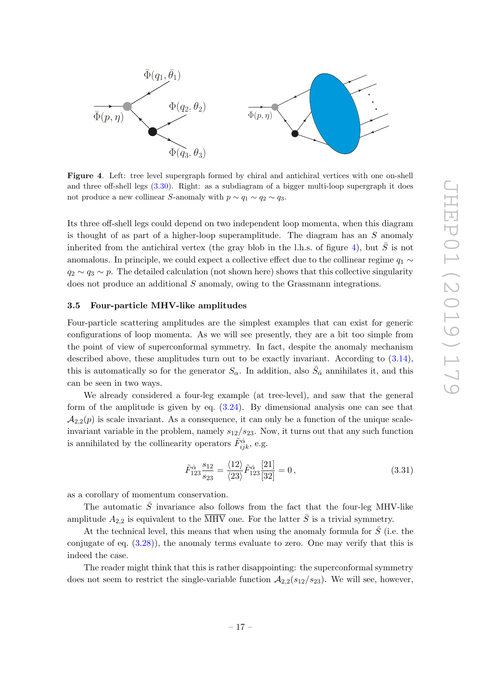

<span id="page-18-1"></span>Figure 4. Left: tree level supergraph formed by chiral and antichiral vertices with one on-shell and three off-shell legs [\(3.30\)](#page-17-3). Right: as a subdiagram of a bigger multi-loop supergraph it does not produce a new collinear S-anomaly with  $p \sim q_1 \sim q_2 \sim q_3$ .

Its three off-shell legs could depend on two independent loop momenta, when this diagram is thought of as part of a higher-loop superamplitude. The diagram has an  $S$  anomaly inherited from the antichiral vertex (the gray blob in the l.h.s. of figure [4\)](#page-18-1), but  $\overline{S}$  is not anomalous. In principle, we could expect a collective effect due to the collinear regime  $q_1 \sim$  $q_2 \sim q_3 \sim p$ . The detailed calculation (not shown here) shows that this collective singularity does not produce an additional S anomaly, owing to the Grassmann integrations.

# <span id="page-18-0"></span>3.5 Four-particle MHV-like amplitudes

Four-particle scattering amplitudes are the simplest examples that can exist for generic configurations of loop momenta. As we will see presently, they are a bit too simple from the point of view of superconformal symmetry. In fact, despite the anomaly mechanism described above, these amplitudes turn out to be exactly invariant. According to  $(3.14)$ , this is automatically so for the generator  $S_{\alpha}$ . In addition, also  $\bar{S}_{\dot{\alpha}}$  annihilates it, and this can be seen in two ways.

We already considered a four-leg example (at tree-level), and saw that the general form of the amplitude is given by eq. [\(3.24\)](#page-15-5). By dimensional analysis one can see that  $\mathcal{A}_{2,2}(p)$  is scale invariant. As a consequence, it can only be a function of the unique scaleinvariant variable in the problem, namely  $s_{12}/s_{23}$ . Now, it turns out that any such function is annihilated by the collinearity operators  $\tilde{F}_{ijk}^{\dot{\alpha}}$ , e.g.

$$
\tilde{F}_{123}^{\dot{\alpha}} \frac{s_{12}}{s_{23}} = \frac{\langle 12 \rangle}{\langle 23 \rangle} \tilde{F}_{123}^{\dot{\alpha}} \frac{[21]}{[32]} = 0, \tag{3.31}
$$

as a corollary of momentum conservation.

The automatic  $\overline{S}$  invariance also follows from the fact that the four-leg MHV-like amplitude  $A_{2,2}$  is equivalent to the  $\overline{\text{MHV}}$  one. For the latter  $\overline{S}$  is a trivial symmetry.

At the technical level, this means that when using the anomaly formula for  $\bar{S}$  (i.e. the conjugate of eq. [\(3.28\)](#page-17-1)), the anomaly terms evaluate to zero. One may verify that this is indeed the case.

The reader might think that this is rather disappointing: the superconformal symmetry does not seem to restrict the single-variable function  $A_{2,2}(s_{12}/s_{23})$ . We will see, however,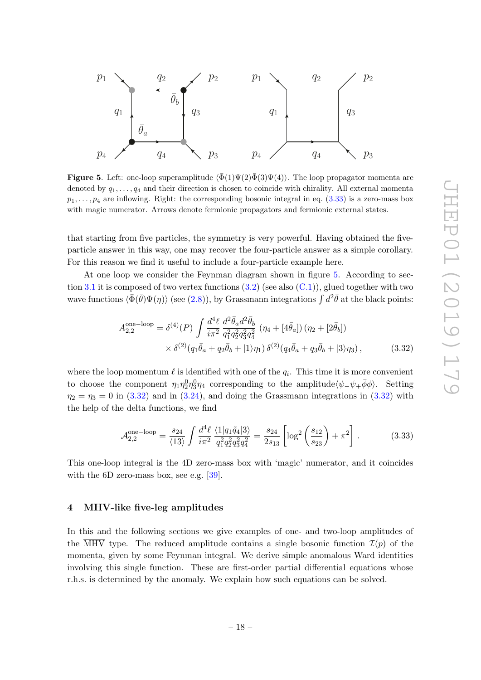

<span id="page-19-2"></span>**Figure 5.** Left: one-loop superamplitude  $\langle \bar{\Phi}(1)\Psi(2)\bar{\Phi}(3)\Psi(4)\rangle$ . The loop propagator momenta are denoted by  $q_1, \ldots, q_4$  and their direction is chosen to coincide with chirality. All external momenta  $p_1, \ldots, p_4$  are inflowing. Right: the corresponding bosonic integral in eq. [\(3.33\)](#page-19-1) is a zero-mass box with magic numerator. Arrows denote fermionic propagators and fermionic external states.

that starting from five particles, the symmetry is very powerful. Having obtained the fiveparticle answer in this way, one may recover the four-particle answer as a simple corollary. For this reason we find it useful to include a four-particle example here.

At one loop we consider the Feynman diagram shown in figure [5.](#page-19-2) According to sec-tion [3.1](#page-9-1) it is composed of two vertex functions  $(3.2)$  (see also  $(C.1)$ ), glued together with two wave functions  $\langle \bar{\Phi}(\bar{\theta}) \Psi(\eta) \rangle$  (see [\(2.8\)](#page-8-7)), by Grassmann integrations  $\int d^2\bar{\theta}$  at the black points:

<span id="page-19-3"></span>
$$
A_{2,2}^{\text{one-loop}} = \delta^{(4)}(P) \int \frac{d^4 \ell}{i\pi^2} \frac{d^2 \bar{\theta}_a d^2 \bar{\theta}_b}{q_1^2 q_2^2 q_3^2 q_4^2} \left( \eta_4 + [4\bar{\theta}_a] \right) \left( \eta_2 + [2\bar{\theta}_b] \right) \times \delta^{(2)}(q_1 \bar{\theta}_a + q_2 \bar{\theta}_b + |1\rangle \eta_1) \delta^{(2)}(q_4 \bar{\theta}_a + q_3 \bar{\theta}_b + |3\rangle \eta_3),
$$
\n(3.32)

where the loop momentum  $\ell$  is identified with one of the  $q_i$ . This time it is more convenient to choose the component  $\eta_1\eta_2^0\eta_3^0\eta_4$  corresponding to the amplitude $\langle\psi_-\psi_+\bar{\phi}\phi\rangle$ . Setting  $\eta_2 = \eta_3 = 0$  in [\(3.32\)](#page-19-3) and in [\(3.24\)](#page-15-5), and doing the Grassmann integrations in (3.32) with the help of the delta functions, we find

<span id="page-19-1"></span>
$$
\mathcal{A}_{2,2}^{\text{one-loop}} = \frac{s_{24}}{\langle 13 \rangle} \int \frac{d^4 \ell}{i\pi^2} \frac{\langle 1|q_1 \tilde{q}_4|3\rangle}{q_1^2 q_2^2 q_3^2 q_4^2} = \frac{s_{24}}{2s_{13}} \left[ \log^2 \left( \frac{s_{12}}{s_{23}} \right) + \pi^2 \right]. \tag{3.33}
$$

This one-loop integral is the 4D zero-mass box with 'magic' numerator, and it coincides with the 6D zero-mass box, see e.g. [\[39\]](#page-54-6).

# <span id="page-19-0"></span> $4 \overline{\text{MHV}}$ -like five-leg amplitudes

In this and the following sections we give examples of one- and two-loop amplitudes of the  $\overline{\text{MHV}}$  type. The reduced amplitude contains a single bosonic function  $\mathcal{I}(p)$  of the momenta, given by some Feynman integral. We derive simple anomalous Ward identities involving this single function. These are first-order partial differential equations whose r.h.s. is determined by the anomaly. We explain how such equations can be solved.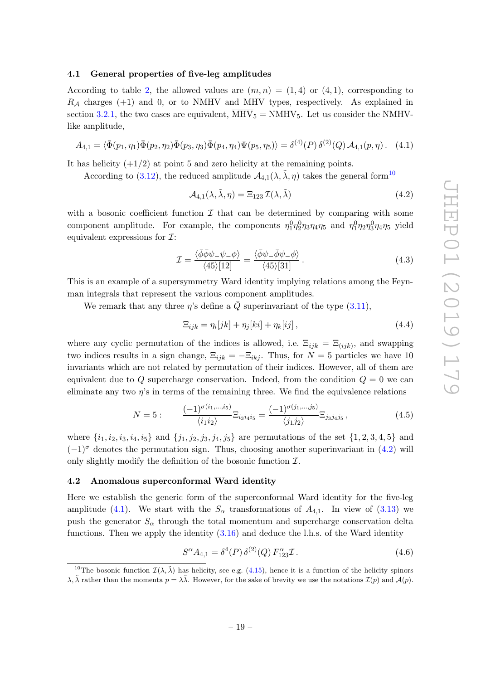# <span id="page-20-0"></span>4.1 General properties of five-leg amplitudes

According to table [2,](#page-11-4) the allowed values are  $(m, n) = (1, 4)$  or  $(4, 1)$ , corresponding to  $R_A$  charges (+1) and 0, or to NMHV and MHV types, respectively. As explained in section [3.2.1,](#page-11-1) the two cases are equivalent,  $\overline{MHV}_5 = \text{NMHV}_5$ . Let us consider the NMHVlike amplitude,

$$
A_{4,1} = \langle \bar{\Phi}(p_1, \eta_1) \bar{\Phi}(p_2, \eta_2) \bar{\Phi}(p_3, \eta_3) \bar{\Phi}(p_4, \eta_4) \Psi(p_5, \eta_5) \rangle = \delta^{(4)}(P) \, \delta^{(2)}(Q) \, \mathcal{A}_{4,1}(p, \eta) \,. \tag{4.1}
$$

It has helicity  $(+1/2)$  at point 5 and zero helicity at the remaining points.

According to [\(3.12\)](#page-13-4), the reduced amplitude  $\mathcal{A}_{4,1}(\lambda, \lambda, \eta)$  takes the general form<sup>[10](#page-20-2)</sup>

<span id="page-20-4"></span><span id="page-20-3"></span>
$$
\mathcal{A}_{4,1}(\lambda,\tilde{\lambda},\eta) = \Xi_{123}\,\mathcal{I}(\lambda,\tilde{\lambda})\tag{4.2}
$$

with a bosonic coefficient function  $\mathcal I$  that can be determined by comparing with some component amplitude. For example, the components  $\eta_1^0 \eta_2^0 \eta_3 \eta_4 \eta_5$  and  $\eta_1^0 \eta_2 \eta_3^0 \eta_4 \eta_5$  yield equivalent expressions for  $\mathcal{I}$ :

$$
\mathcal{I} = \frac{\langle \bar{\phi}\bar{\phi}\psi_{-}\psi_{-}\phi \rangle}{\langle 45 \rangle [12]} = \frac{\langle \bar{\phi}\psi_{-}\bar{\phi}\psi_{-}\phi \rangle}{\langle 45 \rangle [31]}.
$$
\n(4.3)

This is an example of a supersymmetry Ward identity implying relations among the Feynman integrals that represent the various component amplitudes.

We remark that any three  $\eta$ 's define a  $\overline{Q}$  superinvariant of the type [\(3.11\)](#page-13-2),

<span id="page-20-7"></span><span id="page-20-5"></span>
$$
\Xi_{ijk} = \eta_i[jk] + \eta_j[ki] + \eta_k[ij],\tag{4.4}
$$

where any cyclic permutation of the indices is allowed, i.e.  $\Xi_{ijk} = \Xi_{(ijk)}$ , and swapping two indices results in a sign change,  $\Xi_{ijk} = -\Xi_{ikj}$ . Thus, for  $N = 5$  particles we have 10 invariants which are not related by permutation of their indices. However, all of them are equivalent due to Q supercharge conservation. Indeed, from the condition  $Q = 0$  we can eliminate any two  $\eta$ 's in terms of the remaining three. We find the equivalence relations

$$
N = 5: \qquad \frac{(-1)^{\sigma(i_1,\dots,i_5)}}{\langle i_1 i_2 \rangle} \Xi_{i_3 i_4 i_5} = \frac{(-1)^{\sigma(j_1,\dots,j_5)}}{\langle j_1 j_2 \rangle} \Xi_{j_3 j_4 j_5}, \qquad (4.5)
$$

where  $\{i_1, i_2, i_3, i_4, i_5\}$  and  $\{j_1, j_2, j_3, j_4, j_5\}$  are permutations of the set  $\{1, 2, 3, 4, 5\}$  and  $(-1)^\sigma$  denotes the permutation sign. Thus, choosing another superinvariant in  $(4.2)$  will only slightly modify the definition of the bosonic function  $\mathcal{I}$ .

# <span id="page-20-1"></span>4.2 Anomalous superconformal Ward identity

Here we establish the generic form of the superconformal Ward identity for the five-leg amplitude [\(4.1\)](#page-20-4). We start with the  $S_{\alpha}$  transformations of  $A_{4,1}$ . In view of [\(3.13\)](#page-14-5) we push the generator  $S_{\alpha}$  through the total momentum and supercharge conservation delta functions. Then we apply the identity  $(3.16)$  and deduce the l.h.s. of the Ward identity

<span id="page-20-6"></span>
$$
S^{\alpha} A_{4,1} = \delta^4(P) \,\delta^{(2)}(Q) \, F_{123}^{\alpha} \mathcal{I} \,. \tag{4.6}
$$

<span id="page-20-2"></span><sup>&</sup>lt;sup>10</sup>The bosonic function  $\mathcal{I}(\lambda, \tilde{\lambda})$  has helicity, see e.g. [\(4.15\)](#page-22-1), hence it is a function of the helicity spinors  $\lambda$ ,  $\tilde{\lambda}$  rather than the momenta  $p = \lambda \tilde{\lambda}$ . However, for the sake of brevity we use the notations  $\mathcal{I}(p)$  and  $\mathcal{A}(p)$ .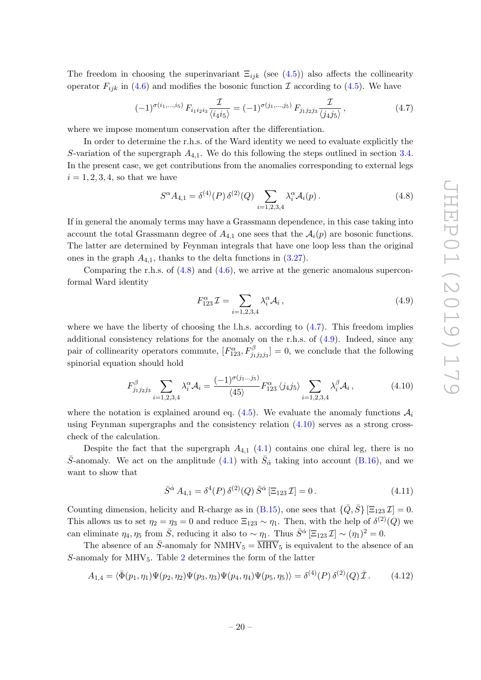The freedom in choosing the superinvariant  $\Xi_{ijk}$  (see [\(4.5\)](#page-20-5)) also affects the collinearity operator  $F_{ijk}$  in [\(4.6\)](#page-20-6) and modifies the bosonic function I according to [\(4.5\)](#page-20-5). We have

$$
(-1)^{\sigma(i_1,\dots,i_5)} F_{i_1 i_2 i_3} \frac{\mathcal{I}}{\langle i_4 i_5 \rangle} = (-1)^{\sigma(j_1,\dots,j_5)} F_{j_1 j_2 j_3} \frac{\mathcal{I}}{\langle j_4 j_5 \rangle}, \qquad (4.7)
$$

where we impose momentum conservation after the differentiation.

In order to determine the r.h.s. of the Ward identity we need to evaluate explicitly the S-variation of the supergraph  $A_{4,1}$ . We do this following the steps outlined in section [3.4.](#page-16-0) In the present case, we get contributions from the anomalies corresponding to external legs  $i = 1, 2, 3, 4$ , so that we have

<span id="page-21-1"></span>
$$
S^{\alpha} A_{4,1} = \delta^{(4)}(P) \,\delta^{(2)}(Q) \sum_{i=1,2,3,4} \lambda_i^{\alpha} \mathcal{A}_i(p) \,. \tag{4.8}
$$

If in general the anomaly terms may have a Grassmann dependence, in this case taking into account the total Grassmann degree of  $A_{4,1}$  one sees that the  $A_i(p)$  are bosonic functions. The latter are determined by Feynman integrals that have one loop less than the original ones in the graph  $A_{4,1}$ , thanks to the delta functions in  $(3.27)$ .

Comparing the r.h.s. of  $(4.8)$  and  $(4.6)$ , we arrive at the generic anomalous superconformal Ward identity

<span id="page-21-3"></span><span id="page-21-2"></span><span id="page-21-0"></span>
$$
F_{123}^{\alpha} \mathcal{I} = \sum_{i=1,2,3,4} \lambda_i^{\alpha} \mathcal{A}_i , \qquad (4.9)
$$

where we have the liberty of choosing the l.h.s. according to  $(4.7)$ . This freedom implies additional consistency relations for the anomaly on the r.h.s. of  $(4.9)$ . Indeed, since any pair of collinearity operators commute,  $[F_{123}^{\alpha}, F_{j_1j_2j_3}^{\beta}] = 0$ , we conclude that the following spinorial equation should hold

$$
F_{j_1 j_2 j_3}^{\beta} \sum_{i=1,2,3,4} \lambda_i^{\alpha} \mathcal{A}_i = \frac{(-1)^{\sigma(j_1 \dots j_5)}}{\langle 45 \rangle} F_{123}^{\alpha} \langle j_4 j_5 \rangle \sum_{i=1,2,3,4} \lambda_i^{\beta} \mathcal{A}_i, \qquad (4.10)
$$

where the notation is explained around eq. [\(4.5\)](#page-20-5). We evaluate the anomaly functions  $\mathcal{A}_i$ using Feynman supergraphs and the consistency relation  $(4.10)$  serves as a strong crosscheck of the calculation.

Despite the fact that the supergraph  $A_{4,1}$  [\(4.1\)](#page-20-4) contains one chiral leg, there is no  $\bar{S}$ -anomaly. We act on the amplitude [\(4.1\)](#page-20-4) with  $\bar{S}_{\dot{\alpha}}$  taking into account [\(B.16\)](#page-42-2), and we want to show that

$$
\bar{S}^{\dot{\alpha}} A_{4,1} = \delta^4(P) \,\delta^{(2)}(Q) \,\bar{S}^{\dot{\alpha}} \left[\Xi_{123} \,\mathcal{I}\right] = 0. \tag{4.11}
$$

Counting dimension, helicity and R-charge as in [\(B.15\)](#page-42-3), one sees that  $\{\bar{Q}, \bar{S}\}\ [\Xi_{123}\ \mathcal{I}] = 0.$ This allows us to set  $\eta_2 = \eta_3 = 0$  and reduce  $\Xi_{123} \sim \eta_1$ . Then, with the help of  $\delta^{(2)}(Q)$  we can eliminate  $\eta_4, \eta_5$  from  $\overline{S}$ , reducing it also to ~  $\eta_1$ . Thus  $\overline{S}^{\dot{\alpha}}$  [ $\Xi_{123} \mathcal{I}$ ] ~  $(\eta_1)^2 = 0$ .

The absence of an  $\bar{S}$ -anomaly for NMHV<sub>5</sub> =  $\overline{\text{MHV}}_5$  is equivalent to the absence of an S-anomaly for  $MHV_5$ . Table [2](#page-11-4) determines the form of the latter

$$
A_{1,4} = \langle \bar{\Phi}(p_1, \eta_1) \Psi(p_2, \eta_2) \Psi(p_3, \eta_3) \Psi(p_4, \eta_4) \Psi(p_5, \eta_5) \rangle = \delta^{(4)}(P) \, \delta^{(2)}(Q) \, \bar{\mathcal{I}} \,. \tag{4.12}
$$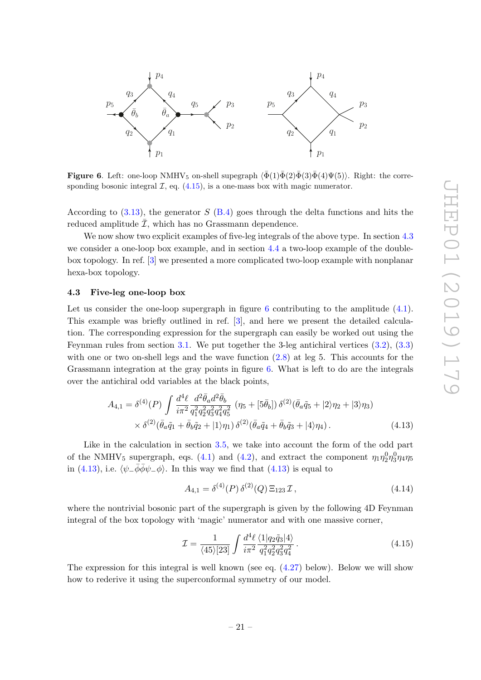

<span id="page-22-2"></span>**Figure 6.** Left: one-loop NMHV<sub>5</sub> on-shell supegraph  $\langle \bar{\Phi}(1) \bar{\Phi}(2) \bar{\Phi}(3) \bar{\Phi}(4) \Psi(5) \rangle$ . Right: the corresponding bosonic integral  $\mathcal{I}$ , eq. [\(4.15\)](#page-22-1), is a one-mass box with magic numerator.

According to  $(3.13)$ , the generator S  $(B.4)$  goes through the delta functions and hits the reduced amplitude  $\bar{\mathcal{I}}$ , which has no Grassmann dependence.

We now show two explicit examples of five-leg integrals of the above type. In section [4.3](#page-22-0) we consider a one-loop box example, and in section [4.4](#page-25-0) a two-loop example of the doublebox topology. In ref. [\[3\]](#page-52-2) we presented a more complicated two-loop example with nonplanar hexa-box topology.

### <span id="page-22-0"></span>4.3 Five-leg one-loop box

Let us consider the one-loop supergraph in figure [6](#page-22-2) contributing to the amplitude  $(4.1)$ . This example was briefly outlined in ref. [\[3\]](#page-52-2), and here we present the detailed calculation. The corresponding expression for the supergraph can easily be worked out using the Feynman rules from section [3.1.](#page-9-1) We put together the 3-leg antichiral vertices [\(3.2\)](#page-10-1), [\(3.3\)](#page-10-2) with one or two on-shell legs and the wave function  $(2.8)$  at leg 5. This accounts for the Grassmann integration at the gray points in figure [6.](#page-22-2) What is left to do are the integrals over the antichiral odd variables at the black points,

$$
A_{4,1} = \delta^{(4)}(P) \int \frac{d^4 \ell}{i\pi^2} \frac{d^2 \bar{\theta}_a d^2 \bar{\theta}_b}{q_1^2 q_2^2 q_3^2 q_4^2 q_5^2} (\eta_5 + [5\bar{\theta}_b]) \delta^{(2)}(\bar{\theta}_a \tilde{q}_5 + |2\rangle \eta_2 + |3\rangle \eta_3) \times \delta^{(2)}(\bar{\theta}_a \tilde{q}_1 + \bar{\theta}_b \tilde{q}_2 + |1\rangle \eta_1) \delta^{(2)}(\bar{\theta}_a \tilde{q}_4 + \bar{\theta}_b \tilde{q}_3 + |4\rangle \eta_4).
$$
 (4.13)

Like in the calculation in section [3.5,](#page-18-0) we take into account the form of the odd part of the NMHV<sub>5</sub> supergraph, eqs. [\(4.1\)](#page-20-4) and [\(4.2\)](#page-20-3), and extract the component  $\eta_1 \eta_2^0 \eta_3^0 \eta_4 \eta_5$ in [\(4.13\)](#page-22-3), i.e.  $\langle \psi_-\phi\phi\psi_-\phi \rangle$ . In this way we find that (4.13) is equal to

<span id="page-22-3"></span>
$$
A_{4,1} = \delta^{(4)}(P) \,\delta^{(2)}(Q) \,\Xi_{123} \mathcal{I},\tag{4.14}
$$

where the nontrivial bosonic part of the supergraph is given by the following 4D Feynman integral of the box topology with 'magic' numerator and with one massive corner,

<span id="page-22-1"></span>
$$
\mathcal{I} = \frac{1}{\langle 45 \rangle [23]} \int \frac{d^4 \ell}{i \pi^2} \frac{\langle 1 | q_2 \tilde{q}_3 | 4 \rangle}{q_1^2 q_2^2 q_3^2 q_4^2} \,. \tag{4.15}
$$

The expression for this integral is well known (see eq. [\(4.27\)](#page-24-0) below). Below we will show how to rederive it using the superconformal symmetry of our model.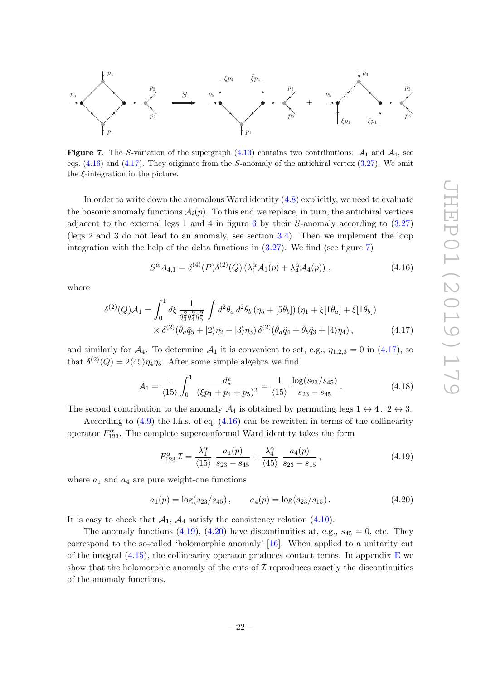

<span id="page-23-2"></span>**Figure 7.** The S-variation of the supergraph  $(4.13)$  contains two contributions:  $A_1$  and  $A_4$ , see eqs.  $(4.16)$  and  $(4.17)$ . They originate from the S-anomaly of the antichiral vertex  $(3.27)$ . We omit the ξ-integration in the picture.

In order to write down the anomalous Ward identity [\(4.8\)](#page-21-0) explicitly, we need to evaluate the bosonic anomaly functions  $A_i(p)$ . To this end we replace, in turn, the antichiral vertices adjacent to the external legs 1 and 4 in figure [6](#page-22-2) by their  $S$ -anomaly according to  $(3.27)$ (legs 2 and 3 do not lead to an anomaly, see section [3.4\)](#page-16-0). Then we implement the loop integration with the help of the delta functions in [\(3.27\)](#page-16-1). We find (see figure [7\)](#page-23-2)

<span id="page-23-1"></span><span id="page-23-0"></span>
$$
S^{\alpha} A_{4,1} = \delta^{(4)}(P) \delta^{(2)}(Q) \left( \lambda_1^{\alpha} A_1(p) + \lambda_4^{\alpha} A_4(p) \right) , \qquad (4.16)
$$

where

$$
\delta^{(2)}(Q)\mathcal{A}_1 = \int_0^1 d\xi \, \frac{1}{q_3^2 q_4^2 q_5^2} \int d^2\bar{\theta}_a \, d^2\bar{\theta}_b \left(\eta_5 + [5\bar{\theta}_b]\right) \left(\eta_1 + \xi[1\bar{\theta}_a] + \bar{\xi}[1\bar{\theta}_b]\right) \times \delta^{(2)}(\bar{\theta}_a \tilde{q}_5 + |2\rangle \eta_2 + |3\rangle \eta_3) \, \delta^{(2)}(\bar{\theta}_a \tilde{q}_4 + \bar{\theta}_b \tilde{q}_3 + |4\rangle \eta_4),
$$
\n(4.17)

and similarly for  $\mathcal{A}_4$ . To determine  $\mathcal{A}_1$  it is convenient to set, e.g.,  $\eta_{1,2,3} = 0$  in [\(4.17\)](#page-23-1), so that  $\delta^{(2)}(Q) = 2\langle 45 \rangle \eta_4 \eta_5$ . After some simple algebra we find

$$
\mathcal{A}_1 = \frac{1}{\langle 15 \rangle} \int_0^1 \frac{d\xi}{(\xi p_1 + p_4 + p_5)^2} = \frac{1}{\langle 15 \rangle} \frac{\log(s_{23}/s_{45})}{s_{23} - s_{45}}.
$$
(4.18)

The second contribution to the anomaly  $A_4$  is obtained by permuting legs  $1 \leftrightarrow 4$ ,  $2 \leftrightarrow 3$ .

According to  $(4.9)$  the l.h.s. of eq.  $(4.16)$  can be rewritten in terms of the collinearity operator  $F_{123}^{\alpha}$ . The complete superconformal Ward identity takes the form

<span id="page-23-4"></span><span id="page-23-3"></span>
$$
F_{123}^{\alpha} \mathcal{I} = \frac{\lambda_1^{\alpha}}{\langle 15 \rangle} \frac{a_1(p)}{s_{23} - s_{45}} + \frac{\lambda_4^{\alpha}}{\langle 45 \rangle} \frac{a_4(p)}{s_{23} - s_{15}},
$$
(4.19)

where  $a_1$  and  $a_4$  are pure weight-one functions

$$
a_1(p) = \log(s_{23}/s_{45}), \qquad a_4(p) = \log(s_{23}/s_{15}). \tag{4.20}
$$

It is easy to check that  $A_1$ ,  $A_4$  satisfy the consistency relation [\(4.10\)](#page-21-3).

The anomaly functions [\(4.19\)](#page-23-3), [\(4.20\)](#page-23-4) have discontinuities at, e.g.,  $s_{45} = 0$ , etc. They correspond to the so-called 'holomorphic anomaly' [\[16\]](#page-53-1). When applied to a unitarity cut of the integral  $(4.15)$ , the collinearity operator produces contact terms. In appendix [E](#page-50-0) we show that the holomorphic anomaly of the cuts of  $\mathcal I$  reproduces exactly the discontinuities of the anomaly functions.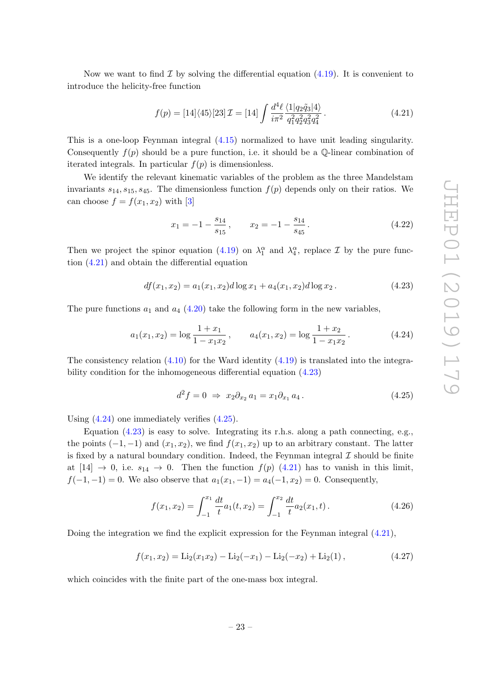Now we want to find  $\mathcal I$  by solving the differential equation [\(4.19\)](#page-23-3). It is convenient to introduce the helicity-free function

<span id="page-24-1"></span>
$$
f(p) = [14]\langle 45 \rangle [23] \mathcal{I} = [14] \int \frac{d^4 \ell}{i \pi^2} \frac{\langle 1 | q_2 \tilde{q}_3 | 4 \rangle}{q_1^2 q_2^2 q_3^2 q_4^2}.
$$
 (4.21)

This is a one-loop Feynman integral [\(4.15\)](#page-22-1) normalized to have unit leading singularity. Consequently  $f(p)$  should be a pure function, i.e. it should be a Q-linear combination of iterated integrals. In particular  $f(p)$  is dimensionless.

We identify the relevant kinematic variables of the problem as the three Mandelstam invariants  $s_{14}, s_{15}, s_{45}$ . The dimensionless function  $f(p)$  depends only on their ratios. We can choose  $f = f(x_1, x_2)$  with [\[3\]](#page-52-2)

<span id="page-24-2"></span>
$$
x_1 = -1 - \frac{s_{14}}{s_{15}}, \qquad x_2 = -1 - \frac{s_{14}}{s_{45}}.
$$
 (4.22)

Then we project the spinor equation [\(4.19\)](#page-23-3) on  $\lambda_1^{\alpha}$  and  $\lambda_4^{\alpha}$ , replace  $\mathcal I$  by the pure function [\(4.21\)](#page-24-1) and obtain the differential equation

$$
df(x_1, x_2) = a_1(x_1, x_2) d \log x_1 + a_4(x_1, x_2) d \log x_2.
$$
\n(4.23)

The pure functions  $a_1$  and  $a_4$  [\(4.20\)](#page-23-4) take the following form in the new variables,

$$
a_1(x_1, x_2) = \log \frac{1 + x_1}{1 - x_1 x_2}, \qquad a_4(x_1, x_2) = \log \frac{1 + x_2}{1 - x_1 x_2}.
$$
 (4.24)

The consistency relation  $(4.10)$  for the Ward identity  $(4.19)$  is translated into the integrability condition for the inhomogeneous differential equation [\(4.23\)](#page-24-2)

<span id="page-24-4"></span><span id="page-24-3"></span>
$$
d^2 f = 0 \implies x_2 \partial_{x_2} a_1 = x_1 \partial_{x_1} a_4. \tag{4.25}
$$

Using [\(4.24\)](#page-24-3) one immediately verifies [\(4.25\)](#page-24-4).

Equation  $(4.23)$  is easy to solve. Integrating its r.h.s. along a path connecting, e.g., the points  $(-1,-1)$  and  $(x_1,x_2)$ , we find  $f(x_1,x_2)$  up to an arbitrary constant. The latter is fixed by a natural boundary condition. Indeed, the Feynman integral  $\mathcal I$  should be finite at  $[14] \rightarrow 0$ , i.e.  $s_{14} \rightarrow 0$ . Then the function  $f(p)$  [\(4.21\)](#page-24-1) has to vanish in this limit,  $f(-1,-1) = 0$ . We also observe that  $a_1(x_1,-1) = a_4(-1,x_2) = 0$ . Consequently,

<span id="page-24-0"></span>
$$
f(x_1, x_2) = \int_{-1}^{x_1} \frac{dt}{t} a_1(t, x_2) = \int_{-1}^{x_2} \frac{dt}{t} a_2(x_1, t).
$$
 (4.26)

Doing the integration we find the explicit expression for the Feynman integral [\(4.21\)](#page-24-1),

$$
f(x_1, x_2) = \text{Li}_2(x_1 x_2) - \text{Li}_2(-x_1) - \text{Li}_2(-x_2) + \text{Li}_2(1),
$$
\n(4.27)

which coincides with the finite part of the one-mass box integral.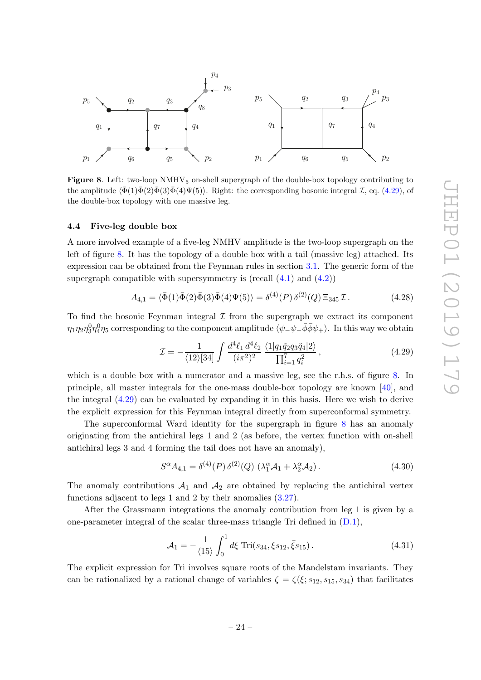

<span id="page-25-2"></span>**Figure 8.** Left: two-loop NMHV<sub>5</sub> on-shell supergraph of the double-box topology contributing to the amplitude  $\langle \bar{\Phi}(1) \bar{\Phi}(2) \bar{\Phi}(3) \bar{\Phi}(4) \Psi(5) \rangle$ . Right: the corresponding bosonic integral *I*, eq. [\(4.29\)](#page-25-1), of the double-box topology with one massive leg.

# <span id="page-25-0"></span>4.4 Five-leg double box

A more involved example of a five-leg NMHV amplitude is the two-loop supergraph on the left of figure [8.](#page-25-2) It has the topology of a double box with a tail (massive leg) attached. Its expression can be obtained from the Feynman rules in section [3.1.](#page-9-1) The generic form of the supergraph compatible with supersymmetry is (recall  $(4.1)$ ) and  $(4.2)$ )

$$
A_{4,1} = \langle \bar{\Phi}(1)\bar{\Phi}(2)\bar{\Phi}(3)\bar{\Phi}(4)\Psi(5)\rangle = \delta^{(4)}(P)\,\delta^{(2)}(Q)\,\Xi_{345}\,\mathcal{I} \,. \tag{4.28}
$$

To find the bosonic Feynman integral  $\mathcal I$  from the supergraph we extract its component  $\eta_1\eta_2\eta_3^0\eta_4^0\eta_5$  corresponding to the component amplitude  $\langle\psi_-\psi_-\bar\phi\bar\phi\psi_+\rangle$ . In this way we obtain

<span id="page-25-1"></span>
$$
\mathcal{I} = -\frac{1}{\langle 12 \rangle [34]} \int \frac{d^4 \ell_1 \, d^4 \ell_2}{(i\pi^2)^2} \, \frac{\langle 1|q_1 \tilde{q}_2 q_3 \tilde{q}_4|2\rangle}{\prod_{i=1}^7 q_i^2} \,, \tag{4.29}
$$

which is a double box with a numerator and a massive leg, see the r.h.s. of figure [8.](#page-25-2) In principle, all master integrals for the one-mass double-box topology are known [\[40\]](#page-54-7), and the integral [\(4.29\)](#page-25-1) can be evaluated by expanding it in this basis. Here we wish to derive the explicit expression for this Feynman integral directly from superconformal symmetry.

The superconformal Ward identity for the supergraph in figure [8](#page-25-2) has an anomaly originating from the antichiral legs 1 and 2 (as before, the vertex function with on-shell antichiral legs 3 and 4 forming the tail does not have an anomaly),

<span id="page-25-4"></span>
$$
S^{\alpha} A_{4,1} = \delta^{(4)}(P) \,\delta^{(2)}(Q) \, \left(\lambda_1^{\alpha} A_1 + \lambda_2^{\alpha} A_2\right). \tag{4.30}
$$

The anomaly contributions  $A_1$  and  $A_2$  are obtained by replacing the antichiral vertex functions adjacent to legs 1 and 2 by their anomalies [\(3.27\)](#page-16-1).

After the Grassmann integrations the anomaly contribution from leg 1 is given by a one-parameter integral of the scalar three-mass triangle Tri defined in [\(D.1\)](#page-48-1),

<span id="page-25-3"></span>
$$
\mathcal{A}_1 = -\frac{1}{\langle 15 \rangle} \int_0^1 d\xi \operatorname{Tri}(s_{34}, \xi s_{12}, \bar{\xi} s_{15}). \tag{4.31}
$$

The explicit expression for Tri involves square roots of the Mandelstam invariants. They can be rationalized by a rational change of variables  $\zeta = \zeta(\xi; s_{12}, s_{15}, s_{34})$  that facilitates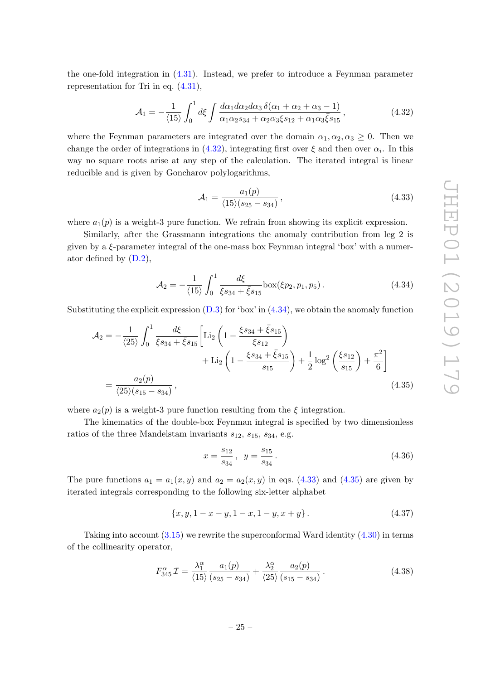the one-fold integration in [\(4.31\)](#page-25-3). Instead, we prefer to introduce a Feynman parameter representation for Tri in eq. [\(4.31\)](#page-25-3),

$$
\mathcal{A}_1 = -\frac{1}{\langle 15 \rangle} \int_0^1 d\xi \int \frac{d\alpha_1 d\alpha_2 d\alpha_3 \,\delta(\alpha_1 + \alpha_2 + \alpha_3 - 1)}{\alpha_1 \alpha_2 s_{34} + \alpha_2 \alpha_3 \xi s_{12} + \alpha_1 \alpha_3 \bar{\xi} s_{15}},\tag{4.32}
$$

where the Feynman parameters are integrated over the domain  $\alpha_1, \alpha_2, \alpha_3 \geq 0$ . Then we change the order of integrations in [\(4.32\)](#page-26-0), integrating first over  $\xi$  and then over  $\alpha_i$ . In this way no square roots arise at any step of the calculation. The iterated integral is linear reducible and is given by Goncharov polylogarithms,

<span id="page-26-2"></span><span id="page-26-1"></span><span id="page-26-0"></span>
$$
\mathcal{A}_1 = \frac{a_1(p)}{\langle 15 \rangle (s_{25} - s_{34})},\tag{4.33}
$$

where  $a_1(p)$  is a weight-3 pure function. We refrain from showing its explicit expression.

Similarly, after the Grassmann integrations the anomaly contribution from leg 2 is given by a ξ-parameter integral of the one-mass box Feynman integral 'box' with a numerator defined by [\(D.2\)](#page-48-2),

$$
\mathcal{A}_2 = -\frac{1}{\langle 15 \rangle} \int_0^1 \frac{d\xi}{\xi s_{34} + \bar{\xi} s_{15}} \text{box}(\xi p_2, p_1, p_5).
$$
 (4.34)

Substituting the explicit expression  $(D.3)$  for 'box' in  $(4.34)$ , we obtain the anomaly function

$$
\mathcal{A}_2 = -\frac{1}{\langle 25 \rangle} \int_0^1 \frac{d\xi}{\xi s_{34} + \bar{\xi} s_{15}} \left[ \text{Li}_2 \left( 1 - \frac{\xi s_{34} + \bar{\xi} s_{15}}{\xi s_{12}} \right) + \text{Li}_2 \left( 1 - \frac{\xi s_{34} + \bar{\xi} s_{15}}{s_{15}} \right) + \frac{1}{2} \log^2 \left( \frac{\xi s_{12}}{s_{15}} \right) + \frac{\pi^2}{6} \right]
$$
  
=  $\frac{a_2(p)}{\langle 25 \rangle (s_{15} - s_{34})},$  (4.35)

where  $a_2(p)$  is a weight-3 pure function resulting from the  $\xi$  integration.

The kinematics of the double-box Feynman integral is specified by two dimensionless ratios of the three Mandelstam invariants  $s_{12}, s_{15}, s_{34}, e.g.$ 

<span id="page-26-6"></span><span id="page-26-5"></span><span id="page-26-4"></span><span id="page-26-3"></span>
$$
x = \frac{s_{12}}{s_{34}}, \ \ y = \frac{s_{15}}{s_{34}}.
$$
 (4.36)

The pure functions  $a_1 = a_1(x, y)$  and  $a_2 = a_2(x, y)$  in eqs. [\(4.33\)](#page-26-2) and [\(4.35\)](#page-26-3) are given by iterated integrals corresponding to the following six-letter alphabet

$$
\{x, y, 1 - x - y, 1 - x, 1 - y, x + y\}.
$$
\n(4.37)

Taking into account [\(3.15\)](#page-14-1) we rewrite the superconformal Ward identity [\(4.30\)](#page-25-4) in terms of the collinearity operator,

$$
F_{345}^{\alpha} \mathcal{I} = \frac{\lambda_1^{\alpha}}{\langle 15 \rangle} \frac{a_1(p)}{(s_{25} - s_{34})} + \frac{\lambda_2^{\alpha}}{\langle 25 \rangle} \frac{a_2(p)}{(s_{15} - s_{34})}.
$$
 (4.38)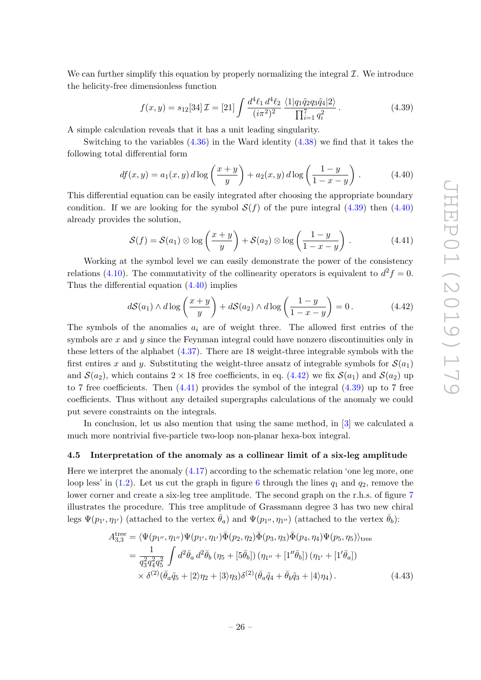We can further simplify this equation by properly normalizing the integral  $\mathcal I$ . We introduce the helicity-free dimensionless function

<span id="page-27-2"></span><span id="page-27-1"></span>
$$
f(x,y) = s_{12}[34] \mathcal{I} = [21] \int \frac{d^4 \ell_1 d^4 \ell_2}{(i\pi^2)^2} \frac{\langle 1| q_1 \tilde{q}_2 q_3 \tilde{q}_4 | 2 \rangle}{\prod_{i=1}^7 q_i^2}.
$$
 (4.39)

A simple calculation reveals that it has a unit leading singularity.

Switching to the variables  $(4.36)$  in the Ward identity  $(4.38)$  we find that it takes the following total differential form

$$
df(x,y) = a_1(x,y) \, d \log \left( \frac{x+y}{y} \right) + a_2(x,y) \, d \log \left( \frac{1-y}{1-x-y} \right) \,. \tag{4.40}
$$

This differential equation can be easily integrated after choosing the appropriate boundary condition. If we are looking for the symbol  $S(f)$  of the pure integral  $(4.39)$  then  $(4.40)$ already provides the solution,

<span id="page-27-4"></span>
$$
S(f) = S(a_1) \otimes \log\left(\frac{x+y}{y}\right) + S(a_2) \otimes \log\left(\frac{1-y}{1-x-y}\right). \tag{4.41}
$$

Working at the symbol level we can easily demonstrate the power of the consistency relations [\(4.10\)](#page-21-3). The commutativity of the collinearity operators is equivalent to  $d^2 f = 0$ . Thus the differential equation [\(4.40\)](#page-27-2) implies

<span id="page-27-3"></span>
$$
d\mathcal{S}(a_1) \wedge d\log\left(\frac{x+y}{y}\right) + d\mathcal{S}(a_2) \wedge d\log\left(\frac{1-y}{1-x-y}\right) = 0. \tag{4.42}
$$

The symbols of the anomalies  $a_i$  are of weight three. The allowed first entries of the symbols are x and  $\gamma$  since the Feynman integral could have nonzero discontinuities only in these letters of the alphabet [\(4.37\)](#page-26-6). There are 18 weight-three integrable symbols with the first entires x and y. Substituting the weight-three ansatz of integrable symbols for  $\mathcal{S}(a_1)$ and  $S(a_2)$ , which contains 2 × 18 free coefficients, in eq. [\(4.42\)](#page-27-3) we fix  $S(a_1)$  and  $S(a_2)$  up to 7 free coefficients. Then  $(4.41)$  provides the symbol of the integral  $(4.39)$  up to 7 free coefficients. Thus without any detailed supergraphs calculations of the anomaly we could put severe constraints on the integrals.

In conclusion, let us also mention that using the same method, in [\[3\]](#page-52-2) we calculated a much more nontrivial five-particle two-loop non-planar hexa-box integral.

#### <span id="page-27-0"></span>4.5 Interpretation of the anomaly as a collinear limit of a six-leg amplitude

Here we interpret the anomaly [\(4.17\)](#page-23-1) according to the schematic relation 'one leg more, one loop less' in  $(1.2)$ . Let us cut the graph in figure [6](#page-22-2) through the lines  $q_1$  and  $q_2$ , remove the lower corner and create a six-leg tree amplitude. The second graph on the r.h.s. of figure [7](#page-23-2) illustrates the procedure. This tree amplitude of Grassmann degree 3 has two new chiral legs  $\Psi(p_{1'}, \eta_{1'})$  (attached to the vertex  $\bar{\theta}_a$ ) and  $\Psi(p_{1''}, \eta_{1''})$  (attached to the vertex  $\bar{\theta}_b$ ):

<span id="page-27-5"></span>
$$
A_{3,3}^{\text{tree}} = \langle \Psi(p_{1}, \eta_{1'}) \Psi(p_{1'}, \eta_{1'}) \bar{\Phi}(p_{2}, \eta_{2}) \bar{\Phi}(p_{3}, \eta_{3}) \bar{\Phi}(p_{4}, \eta_{4}) \Psi(p_{5}, \eta_{5}) \rangle_{\text{tree}}
$$
  
= 
$$
\frac{1}{q_{3}^{2} q_{4}^{2} q_{5}^{2}} \int d^{2} \bar{\theta}_{a} d^{2} \bar{\theta}_{b} (\eta_{5} + [5\bar{\theta}_{b}]) (\eta_{1'} + [1''\bar{\theta}_{b}]) (\eta_{1'} + [1'\bar{\theta}_{a}])
$$
  

$$
\times \delta^{(2)} (\bar{\theta}_{a} \tilde{q}_{5} + |2 \rangle \eta_{2} + |3 \rangle \eta_{3}) \delta^{(2)} (\bar{\theta}_{a} \tilde{q}_{4} + \bar{\theta}_{b} \tilde{q}_{3} + |4 \rangle \eta_{4}). \tag{4.43}
$$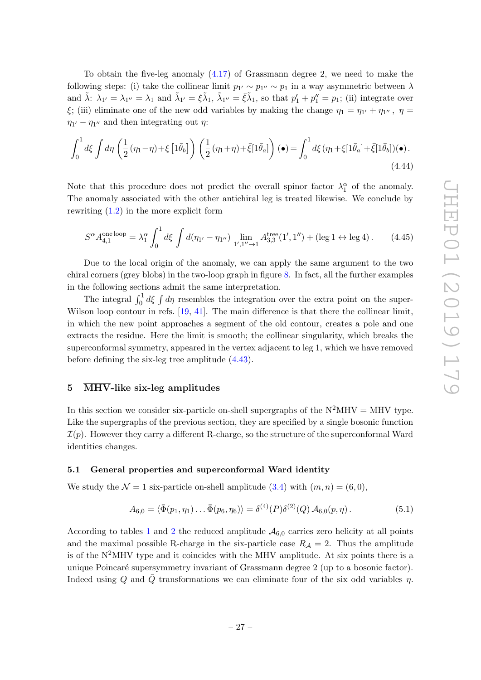To obtain the five-leg anomaly [\(4.17\)](#page-23-1) of Grassmann degree 2, we need to make the following steps: (i) take the collinear limit  $p_{1'} \sim p_{1''} \sim p_1$  in a way asymmetric between  $\lambda$ and  $\tilde{\lambda}$ :  $\lambda_{1'} = \lambda_{1''} = \lambda_1$  and  $\tilde{\lambda}_{1'} = \xi \tilde{\lambda}_1$ ,  $\tilde{\lambda}_{1''} = \xi \tilde{\lambda}_1$ , so that  $p'_1 + p''_1 = p_1$ ; (ii) integrate over ξ; (iii) eliminate one of the new odd variables by making the change  $\eta_1 = \eta_{1'} + \eta_{1''}, \eta =$  $\eta_{1'} - \eta_{1''}$  and then integrating out  $\eta$ :

$$
\int_0^1 d\xi \int d\eta \left(\frac{1}{2}(\eta_1 - \eta) + \xi \left[\mathbf{1}\bar{\theta}_b\right]\right) \left(\frac{1}{2}(\eta_1 + \eta) + \bar{\xi}[\mathbf{1}\bar{\theta}_a]\right) (\bullet) = \int_0^1 d\xi \left(\eta_1 + \xi[\mathbf{1}\bar{\theta}_a] + \bar{\xi}[\mathbf{1}\bar{\theta}_b]\right) (\bullet).
$$
\n(4.44)

Note that this procedure does not predict the overall spinor factor  $\lambda_1^{\alpha}$  of the anomaly. The anomaly associated with the other antichiral leg is treated likewise. We conclude by rewriting [\(1.2\)](#page-4-0) in the more explicit form

$$
S^{\alpha} A_{4,1}^{\text{one loop}} = \lambda_1^{\alpha} \int_0^1 d\xi \int d(\eta_{1'} - \eta_{1''}) \lim_{1',1'' \to 1} A_{3,3}^{\text{tree}}(1',1'') + (\log 1 \leftrightarrow \log 4). \tag{4.45}
$$

Due to the local origin of the anomaly, we can apply the same argument to the two chiral corners (grey blobs) in the two-loop graph in figure [8.](#page-25-2) In fact, all the further examples in the following sections admit the same interpretation.

The integral  $\int_0^1 d\xi \int d\eta$  resembles the integration over the extra point on the super-Wilson loop contour in refs. [\[19,](#page-53-4) [41\]](#page-54-8). The main difference is that there the collinear limit, in which the new point approaches a segment of the old contour, creates a pole and one extracts the residue. Here the limit is smooth; the collinear singularity, which breaks the superconformal symmetry, appeared in the vertex adjacent to leg 1, which we have removed before defining the six-leg tree amplitude [\(4.43\)](#page-27-5).

# <span id="page-28-0"></span> $5\quad$  MHV-like six-leg amplitudes

In this section we consider six-particle on-shell supergraphs of the  $N^2MHV = \overline{MHV}$  type. Like the supergraphs of the previous section, they are specified by a single bosonic function  $\mathcal{I}(p)$ . However they carry a different R-charge, so the structure of the superconformal Ward identities changes.

# <span id="page-28-1"></span>5.1 General properties and superconformal Ward identity

We study the  $\mathcal{N} = 1$  six-particle on-shell amplitude [\(3.4\)](#page-11-3) with  $(m, n) = (6, 0)$ .

<span id="page-28-2"></span>
$$
A_{6,0} = \langle \bar{\Phi}(p_1, \eta_1) \dots \bar{\Phi}(p_6, \eta_6) \rangle = \delta^{(4)}(P) \delta^{(2)}(Q) \mathcal{A}_{6,0}(p, \eta).
$$
 (5.1)

According to tables [1](#page-8-0) and [2](#page-11-4) the reduced amplitude  $A_{6,0}$  carries zero helicity at all points and the maximal possible R-charge in the six-particle case  $R_A = 2$ . Thus the amplitude is of the N<sup>2</sup>MHV type and it coincides with the  $\overline{\text{MHV}}$  amplitude. At six points there is a unique Poincaré supersymmetry invariant of Grassmann degree 2 (up to a bosonic factor). Indeed using Q and  $\overline{Q}$  transformations we can eliminate four of the six odd variables  $\eta$ .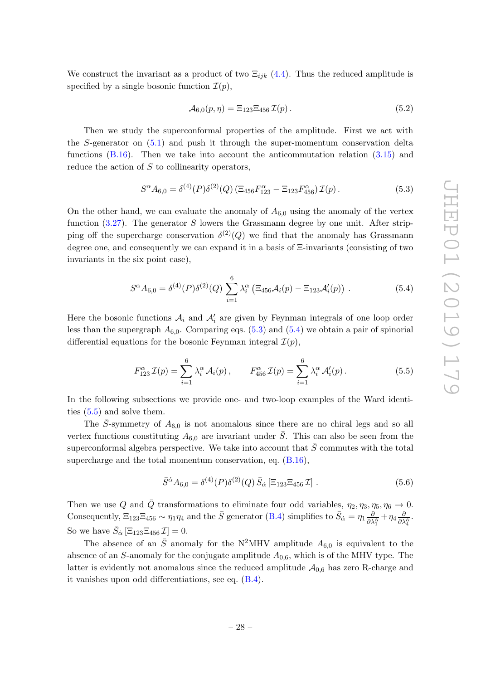We construct the invariant as a product of two  $\Xi_{ijk}$  [\(4.4\)](#page-20-7). Thus the reduced amplitude is specified by a single bosonic function  $\mathcal{I}(p)$ ,

<span id="page-29-3"></span><span id="page-29-0"></span>
$$
\mathcal{A}_{6,0}(p,\eta) = \Xi_{123} \Xi_{456} \mathcal{I}(p) \,. \tag{5.2}
$$

Then we study the superconformal properties of the amplitude. First we act with the S-generator on  $(5.1)$  and push it through the super-momentum conservation delta functions [\(B.16\)](#page-42-2). Then we take into account the anticommutation relation [\(3.15\)](#page-14-1) and reduce the action of S to collinearity operators,

$$
S^{\alpha} A_{6,0} = \delta^{(4)}(P) \delta^{(2)}(Q) \left( \Xi_{456} F^{\alpha}_{123} - \Xi_{123} F^{\alpha}_{456} \right) \mathcal{I}(p) \,. \tag{5.3}
$$

On the other hand, we can evaluate the anomaly of  $A_{6,0}$  using the anomaly of the vertex function  $(3.27)$ . The generator S lowers the Grassmann degree by one unit. After stripping off the supercharge conservation  $\delta^{(2)}(Q)$  we find that the anomaly has Grassmann degree one, and consequently we can expand it in a basis of Ξ-invariants (consisting of two invariants in the six point case),

<span id="page-29-1"></span>
$$
S^{\alpha}A_{6,0} = \delta^{(4)}(P)\delta^{(2)}(Q) \sum_{i=1}^{6} \lambda_i^{\alpha} \left( \Xi_{456} \mathcal{A}_i(p) - \Xi_{123} \mathcal{A}'_i(p) \right) . \tag{5.4}
$$

Here the bosonic functions  $A_i$  and  $A'_i$  are given by Feynman integrals of one loop order less than the supergraph  $A_{6,0}$ . Comparing eqs. [\(5.3\)](#page-29-0) and [\(5.4\)](#page-29-1) we obtain a pair of spinorial differential equations for the bosonic Feynman integral  $\mathcal{I}(p)$ ,

$$
F_{123}^{\alpha} \mathcal{I}(p) = \sum_{i=1}^{6} \lambda_i^{\alpha} \mathcal{A}_i(p) , \qquad F_{456}^{\alpha} \mathcal{I}(p) = \sum_{i=1}^{6} \lambda_i^{\alpha} \mathcal{A}'_i(p) . \qquad (5.5)
$$

In the following subsections we provide one- and two-loop examples of the Ward identities [\(5.5\)](#page-29-2) and solve them.

The  $\bar{S}$ -symmetry of  $A_{6,0}$  is not anomalous since there are no chiral legs and so all vertex functions constituting  $A_{6,0}$  are invariant under  $\overline{S}$ . This can also be seen from the superconformal algebra perspective. We take into account that  $\bar{S}$  commutes with the total supercharge and the total momentum conservation, eq.  $(B.16)$ ,

<span id="page-29-2"></span>
$$
\bar{S}^{\dot{\alpha}}A_{6,0} = \delta^{(4)}(P)\delta^{(2)}(Q)\,\bar{S}_{\dot{\alpha}}\left[\Xi_{123}\Xi_{456}\,\mathcal{I}\right] \,. \tag{5.6}
$$

Then we use Q and  $\overline{Q}$  transformations to eliminate four odd variables,  $\eta_2, \eta_3, \eta_5, \eta_6 \to 0$ . Consequently,  $\Xi_{123}\Xi_{456} \sim \eta_1\eta_4$  and the  $\bar{S}$  generator [\(B.4\)](#page-40-4) simplifies to  $\bar{S}_{\dot{\alpha}} = \eta_1 \frac{\partial}{\partial \bar{\lambda}_{1}^{\dot{\alpha}}} + \eta_4 \frac{\partial}{\partial \bar{\lambda}_{4}^{\dot{\alpha}}}$ . So we have  $\bar{S}_{\dot{\alpha}}\left[\Xi_{123}\Xi_{456}\mathcal{I}\right]=0.$ 

The absence of an  $\overline{S}$  anomaly for the N<sup>2</sup>MHV amplitude  $A_{6,0}$  is equivalent to the absence of an S-anomaly for the conjugate amplitude  $A_{0.6}$ , which is of the MHV type. The latter is evidently not anomalous since the reduced amplitude  $A_{0.6}$  has zero R-charge and it vanishes upon odd differentiations, see eq. [\(B.4\)](#page-40-4).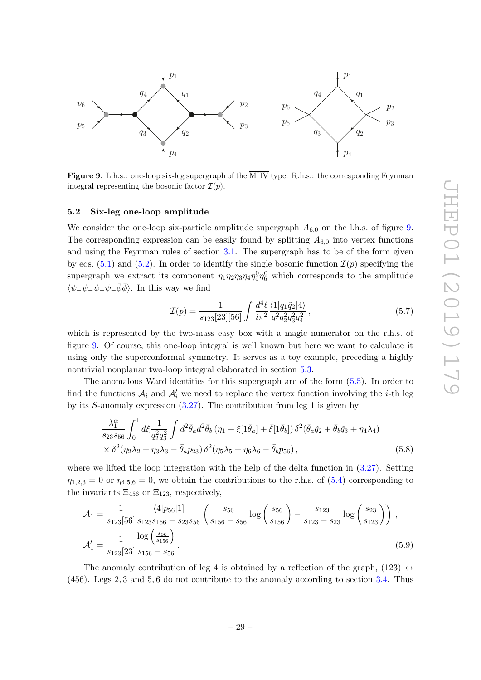

<span id="page-30-1"></span>**Figure 9.** L.h.s.: one-loop six-leg supergraph of the  $\overline{MHV}$  type. R.h.s.: the corresponding Feynman integral representing the bosonic factor  $\mathcal{I}(p)$ .

#### <span id="page-30-0"></span>5.2 Six-leg one-loop amplitude

We consider the one-loop six-particle amplitude supergraph  $A_{6,0}$  on the l.h.s. of figure [9.](#page-30-1) The corresponding expression can be easily found by splitting  $A_{6,0}$  into vertex functions and using the Feynman rules of section [3.1.](#page-9-1) The supergraph has to be of the form given by eqs. [\(5.1\)](#page-28-2) and [\(5.2\)](#page-29-3). In order to identify the single bosonic function  $\mathcal{I}(p)$  specifying the supergraph we extract its component  $\eta_1 \eta_2 \eta_3 \eta_4 \eta_5^0 \eta_6^0$  which corresponds to the amplitude  $\langle \psi_- \psi_- \psi_- \psi_- \bar{\phi} \bar{\phi} \rangle$ . In this way we find

<span id="page-30-3"></span>
$$
\mathcal{I}(p) = \frac{1}{s_{123}[23][56]} \int \frac{d^4\ell}{i\pi^2} \frac{\langle 1|q_1\tilde{q}_2|4\rangle}{q_1^2 q_2^2 q_3^2 q_4^2},
$$
\n(5.7)

which is represented by the two-mass easy box with a magic numerator on the r.h.s. of figure [9.](#page-30-1) Of course, this one-loop integral is well known but here we want to calculate it using only the superconformal symmetry. It serves as a toy example, preceding a highly nontrivial nonplanar two-loop integral elaborated in section [5.3.](#page-32-0)

The anomalous Ward identities for this supergraph are of the form [\(5.5\)](#page-29-2). In order to find the functions  $A_i$  and  $A'_i$  we need to replace the vertex function involving the *i*-th leg by its S-anomaly expression  $(3.27)$ . The contribution from leg 1 is given by

$$
\frac{\lambda_1^{\alpha}}{s_{23}s_{56}} \int_0^1 d\xi \frac{1}{q_2^2 q_3^2} \int d^2\bar{\theta}_a d^2\bar{\theta}_b (\eta_1 + \xi [1\bar{\theta}_a] + \bar{\xi}[1\bar{\theta}_b]) \delta^2 (\bar{\theta}_a \tilde{q}_2 + \bar{\theta}_b \tilde{q}_3 + \eta_4 \lambda_4) \times \delta^2 (\eta_2 \lambda_2 + \eta_3 \lambda_3 - \bar{\theta}_a p_{23}) \delta^2 (\eta_5 \lambda_5 + \eta_6 \lambda_6 - \bar{\theta}_b p_{56}),
$$
\n(5.8)

where we lifted the loop integration with the help of the delta function in [\(3.27\)](#page-16-1). Setting  $\eta_{1,2,3} = 0$  or  $\eta_{4,5,6} = 0$ , we obtain the contributions to the r.h.s. of  $(5.4)$  corresponding to the invariants  $\Xi_{456}$  or  $\Xi_{123}$ , respectively,

<span id="page-30-2"></span>
$$
\mathcal{A}_{1} = \frac{1}{s_{123}[56]} \frac{\langle 4|p_{56}|1]}{s_{123}s_{156} - s_{23}s_{56}} \left( \frac{s_{56}}{s_{156} - s_{56}} \log \left( \frac{s_{56}}{s_{156}} \right) - \frac{s_{123}}{s_{123} - s_{23}} \log \left( \frac{s_{23}}{s_{123}} \right) \right),
$$
  

$$
\mathcal{A}'_{1} = \frac{1}{s_{123}[23]} \frac{\log \left( \frac{s_{56}}{s_{156}} \right)}{s_{156} - s_{56}}.
$$
(5.9)

The anomaly contribution of leg 4 is obtained by a reflection of the graph,  $(123) \leftrightarrow$ (456). Legs 2, 3 and 5, 6 do not contribute to the anomaly according to section [3.4.](#page-16-0) Thus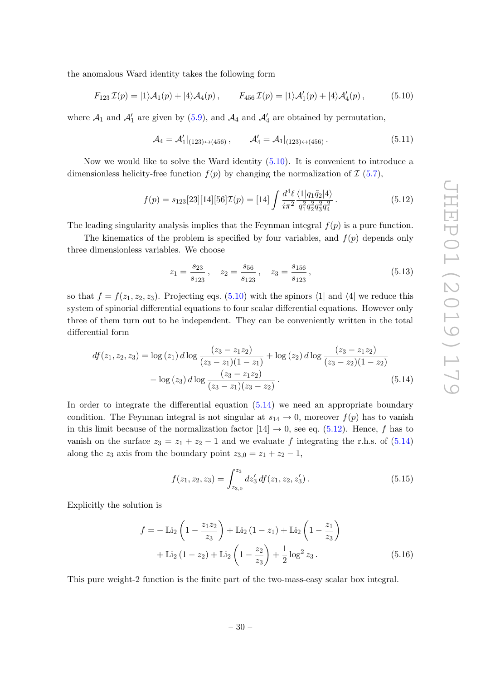the anomalous Ward identity takes the following form

$$
F_{123}\mathcal{I}(p) = |1\rangle \mathcal{A}_1(p) + |4\rangle \mathcal{A}_4(p) , \qquad F_{456}\mathcal{I}(p) = |1\rangle \mathcal{A}_1'(p) + |4\rangle \mathcal{A}_4'(p) , \qquad (5.10)
$$

where  $\mathcal{A}_1$  and  $\mathcal{A}'_1$  are given by [\(5.9\)](#page-30-2), and  $\mathcal{A}_4$  and  $\mathcal{A}'_4$  are obtained by permutation,

<span id="page-31-0"></span>
$$
\mathcal{A}_4 = \mathcal{A}'_1|_{(123)\leftrightarrow(456)}, \qquad \mathcal{A}'_4 = \mathcal{A}_1|_{(123)\leftrightarrow(456)}.
$$
 (5.11)

Now we would like to solve the Ward identity [\(5.10\)](#page-31-0). It is convenient to introduce a dimensionless helicity-free function  $f(p)$  by changing the normalization of  $\mathcal{I}$  [\(5.7\)](#page-30-3),

$$
f(p) = s_{123}[23][14][56]\mathcal{I}(p) = [14] \int \frac{d^4\ell}{i\pi^2} \frac{\langle 1|q_1\tilde{q}_2|4\rangle}{q_1^2 q_2^2 q_3^2 q_4^2}.
$$
 (5.12)

The leading singularity analysis implies that the Feynman integral  $f(p)$  is a pure function.

The kinematics of the problem is specified by four variables, and  $f(p)$  depends only three dimensionless variables. We choose

<span id="page-31-2"></span>
$$
z_1 = \frac{s_{23}}{s_{123}}, \quad z_2 = \frac{s_{56}}{s_{123}}, \quad z_3 = \frac{s_{156}}{s_{123}}, \tag{5.13}
$$

so that  $f = f(z_1, z_2, z_3)$ . Projecting eqs. [\(5.10\)](#page-31-0) with the spinors (1) and (4) we reduce this system of spinorial differential equations to four scalar differential equations. However only three of them turn out to be independent. They can be conveniently written in the total differential form

$$
df(z_1, z_2, z_3) = \log(z_1) d \log \frac{(z_3 - z_1 z_2)}{(z_3 - z_1)(1 - z_1)} + \log(z_2) d \log \frac{(z_3 - z_1 z_2)}{(z_3 - z_2)(1 - z_2)} - \log(z_3) d \log \frac{(z_3 - z_1 z_2)}{(z_3 - z_1)(z_3 - z_2)}.
$$
\n(5.14)

In order to integrate the differential equation  $(5.14)$  we need an appropriate boundary condition. The Feynman integral is not singular at  $s_{14} \rightarrow 0$ , moreover  $f(p)$  has to vanish in this limit because of the normalization factor  $[14] \rightarrow 0$ , see eq. [\(5.12\)](#page-31-2). Hence, f has to vanish on the surface  $z_3 = z_1 + z_2 - 1$  and we evaluate f integrating the r.h.s. of [\(5.14\)](#page-31-1) along the  $z_3$  axis from the boundary point  $z_{3,0} = z_1 + z_2 - 1$ ,

<span id="page-31-1"></span>
$$
f(z_1, z_2, z_3) = \int_{z_{3,0}}^{z_3} dz'_3 \, df(z_1, z_2, z'_3). \tag{5.15}
$$

Explicitly the solution is

$$
f = -\operatorname{Li}_2\left(1 - \frac{z_1 z_2}{z_3}\right) + \operatorname{Li}_2\left(1 - z_1\right) + \operatorname{Li}_2\left(1 - \frac{z_1}{z_3}\right) + \operatorname{Li}_2\left(1 - z_2\right) + \operatorname{Li}_2\left(1 - \frac{z_2}{z_3}\right) + \frac{1}{2}\log^2 z_3.
$$
 (5.16)

This pure weight-2 function is the finite part of the two-mass-easy scalar box integral.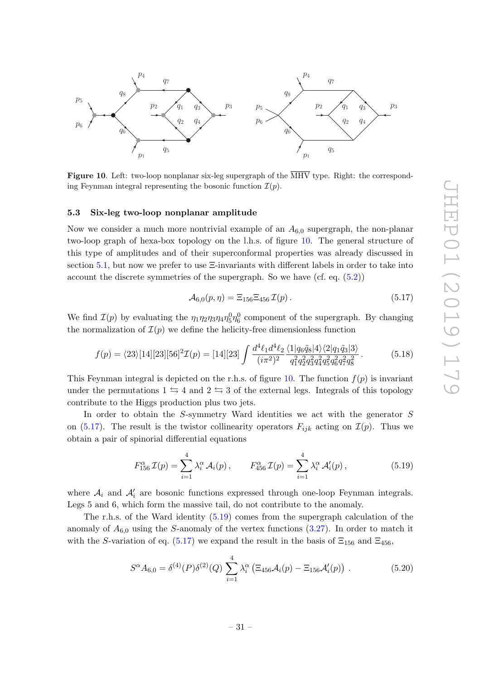

<span id="page-32-1"></span>**Figure 10.** Left: two-loop nonplanar six-leg supergraph of the  $\overline{MHV}$  type. Right: the corresponding Feynman integral representing the bosonic function  $\mathcal{I}(p)$ .

#### <span id="page-32-0"></span>5.3 Six-leg two-loop nonplanar amplitude

Now we consider a much more nontrivial example of an  $A_{6,0}$  supergraph, the non-planar two-loop graph of hexa-box topology on the l.h.s. of figure [10.](#page-32-1) The general structure of this type of amplitudes and of their superconformal properties was already discussed in section [5.1,](#page-28-1) but now we prefer to use Ξ-invariants with different labels in order to take into account the discrete symmetries of the supergraph. So we have  $(cf. eq. (5.2))$  $(cf. eq. (5.2))$  $(cf. eq. (5.2))$ 

<span id="page-32-5"></span><span id="page-32-2"></span>
$$
\mathcal{A}_{6,0}(p,\eta) = \Xi_{156} \Xi_{456} \mathcal{I}(p) \,. \tag{5.17}
$$

We find  $\mathcal{I}(p)$  by evaluating the  $\eta_1 \eta_2 \eta_3 \eta_4 \eta_5^0 \eta_6^0$  component of the supergraph. By changing the normalization of  $\mathcal{I}(p)$  we define the helicity-free dimensionless function

$$
f(p) = \langle 23 \rangle [14][23][56]^2 \mathcal{I}(p) = [14][23] \int \frac{d^4 \ell_1 d^4 \ell_2}{(i\pi^2)^2} \frac{\langle 1 | q_6 \tilde{q}_8 | 4 \rangle \langle 2 | q_1 \tilde{q}_3 | 3 \rangle}{q_1^2 q_2^2 q_3^2 q_4^2 q_5^2 q_6^2 q_7^2 q_8^2}.
$$
 (5.18)

This Feynman integral is depicted on the r.h.s. of figure [10.](#page-32-1) The function  $f(p)$  is invariant under the permutations  $1 \leq 4$  and  $2 \leq 3$  of the external legs. Integrals of this topology contribute to the Higgs production plus two jets.

In order to obtain the S-symmetry Ward identities we act with the generator S on [\(5.17\)](#page-32-2). The result is the twistor collinearity operators  $F_{ijk}$  acting on  $\mathcal{I}(p)$ . Thus we obtain a pair of spinorial differential equations

<span id="page-32-3"></span>
$$
F_{156}^{\alpha} \mathcal{I}(p) = \sum_{i=1}^{4} \lambda_i^{\alpha} \mathcal{A}_i(p) , \qquad F_{456}^{\alpha} \mathcal{I}(p) = \sum_{i=1}^{4} \lambda_i^{\alpha} \mathcal{A}'_i(p) , \qquad (5.19)
$$

where  $A_i$  and  $A'_i$  are bosonic functions expressed through one-loop Feynman integrals. Legs 5 and 6, which form the massive tail, do not contribute to the anomaly.

The r.h.s. of the Ward identity [\(5.19\)](#page-32-3) comes from the supergraph calculation of the anomaly of  $A_{6,0}$  using the S-anomaly of the vertex functions  $(3.27)$ . In order to match it with the S-variation of eq. [\(5.17\)](#page-32-2) we expand the result in the basis of  $\Xi_{156}$  and  $\Xi_{456}$ ,

<span id="page-32-4"></span>
$$
S^{\alpha} A_{6,0} = \delta^{(4)}(P) \delta^{(2)}(Q) \sum_{i=1}^{4} \lambda_i^{\alpha} \left( \Xi_{456} A_i(p) - \Xi_{156} A'_i(p) \right) . \tag{5.20}
$$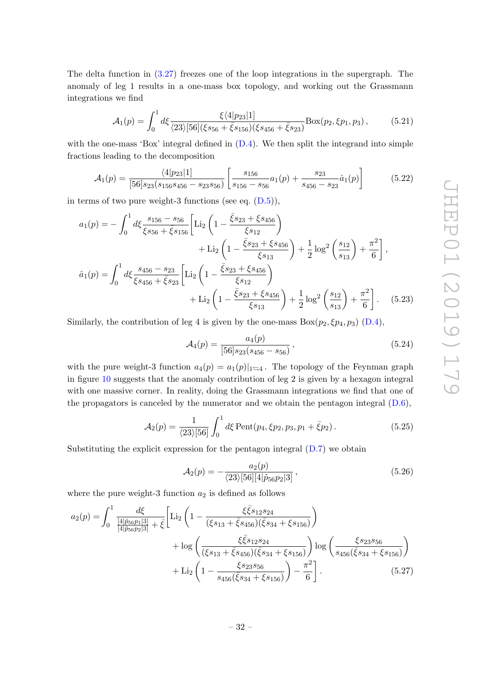The delta function in [\(3.27\)](#page-16-1) freezes one of the loop integrations in the supergraph. The anomaly of leg 1 results in a one-mass box topology, and working out the Grassmann integrations we find

$$
\mathcal{A}_1(p) = \int_0^1 d\xi \frac{\xi \langle 4|p_{23}|1]}{\langle 23\rangle [56] (\xi s_{56} + \bar{\xi} s_{156}) (\xi s_{456} + \bar{\xi} s_{23})} \text{Box}(p_2, \xi p_1, p_3), \quad (5.21)
$$

with the one-mass 'Box' integral defined in  $(D.4)$ . We then split the integrand into simple fractions leading to the decomposition

$$
\mathcal{A}_1(p) = \frac{\langle 4|p_{23}|1]}{[56]s_{23}(s_{156}s_{456} - s_{23}s_{56})} \left[ \frac{s_{156}}{s_{156} - s_{56}} a_1(p) + \frac{s_{23}}{s_{456} - s_{23}} \hat{a}_1(p) \right]
$$
(5.22)

in terms of two pure weight-3 functions (see eq.  $(D.5)$ ),

$$
a_1(p) = -\int_0^1 d\xi \frac{s_{156} - s_{56}}{\xi s_{56} + \bar{\xi} s_{156}} \left[ \text{Li}_2 \left( 1 - \frac{\bar{\xi} s_{23} + \xi s_{456}}{\xi s_{12}} \right) + \text{Li}_2 \left( 1 - \frac{\bar{\xi} s_{23} + \xi s_{456}}{\xi s_{13}} \right) + \frac{1}{2} \log^2 \left( \frac{s_{12}}{s_{13}} \right) + \frac{\pi^2}{6} \right],
$$
  

$$
\hat{a}_1(p) = \int_0^1 d\xi \frac{s_{456} - s_{23}}{\xi s_{456} + \bar{\xi} s_{23}} \left[ \text{Li}_2 \left( 1 - \frac{\bar{\xi} s_{23} + \xi s_{456}}{\xi s_{12}} \right) + \text{Li}_2 \left( 1 - \frac{\bar{\xi} s_{23} + \xi s_{456}}{\xi s_{13}} \right) + \frac{1}{2} \log^2 \left( \frac{s_{12}}{s_{13}} \right) + \frac{\pi^2}{6} \right]. \quad (5.23)
$$

Similarly, the contribution of leg 4 is given by the one-mass  $Box(p_2, \xi p_4, p_3)$  [\(D.4\)](#page-49-1),

<span id="page-33-2"></span><span id="page-33-1"></span>
$$
\mathcal{A}_4(p) = \frac{a_4(p)}{[56]s_{23}(s_{456} - s_{56})},\tag{5.24}
$$

with the pure weight-3 function  $a_4(p) = a_1(p)|_{1 \leq 4}$ . The topology of the Feynman graph in figure [10](#page-32-1) suggests that the anomaly contribution of leg 2 is given by a hexagon integral with one massive corner. In reality, doing the Grassmann integrations we find that one of the propagators is canceled by the numerator and we obtain the pentagon integral  $(D.6)$ ,

$$
\mathcal{A}_2(p) = \frac{1}{\langle 23 \rangle [56]} \int_0^1 d\xi \operatorname{Pent}(p_4, \xi p_2, p_3, p_1 + \bar{\xi} p_2).
$$
 (5.25)

Substituting the explicit expression for the pentagon integral [\(D.7\)](#page-49-4) we obtain

<span id="page-33-3"></span><span id="page-33-0"></span>
$$
\mathcal{A}_2(p) = -\frac{a_2(p)}{\langle 23 \rangle [56][4|\tilde{p}_{56}p_2|3]},\tag{5.26}
$$

where the pure weight-3 function  $a_2$  is defined as follows

$$
a_2(p) = \int_0^1 \frac{d\xi}{\frac{[4|\tilde{p}_{56}p_1|3]}{[4|\tilde{p}_{56}p_2|3]} + \bar{\xi}} \left[ \text{Li}_2 \left( 1 - \frac{\xi \bar{\xi} s_{12} s_{24}}{(\xi s_{13} + \bar{\xi} s_{456})(\bar{\xi} s_{34} + \xi s_{156})} \right) + \log \left( \frac{\xi \bar{\xi} s_{12} s_{24}}{(\xi s_{13} + \bar{\xi} s_{456})(\bar{\xi} s_{34} + \xi s_{156})} \right) \log \left( \frac{\xi s_{23} s_{56}}{s_{456}(\bar{\xi} s_{34} + \xi s_{156})} \right) + \text{Li}_2 \left( 1 - \frac{\xi s_{23} s_{56}}{s_{456}(\bar{\xi} s_{34} + \xi s_{156})} \right) - \frac{\pi^2}{6} \right].
$$
\n(5.27)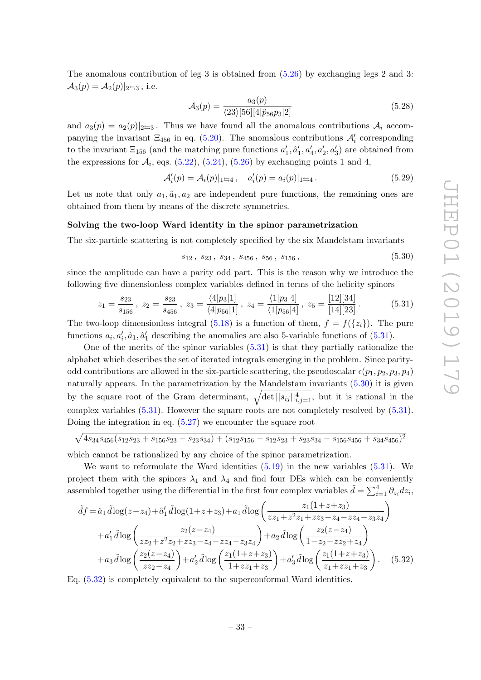The anomalous contribution of leg 3 is obtained from [\(5.26\)](#page-33-0) by exchanging legs 2 and 3:  $\mathcal{A}_3(p) = \mathcal{A}_2(p)|_{2\leq 3}$ , i.e.

$$
A_3(p) = \frac{a_3(p)}{\langle 23 \rangle [56][4|\tilde{p}_{56}p_3|2]}
$$
(5.28)

and  $a_3(p) = a_2(p)|_{2 \leq 3}$ . Thus we have found all the anomalous contributions  $\mathcal{A}_i$  accompanying the invariant  $\Xi_{456}$  in eq. [\(5.20\)](#page-32-4). The anomalous contributions  $\mathcal{A}'_i$  corresponding to the invariant  $\Xi_{156}$  (and the matching pure functions  $a'_1, \hat{a}'_1, a'_2, a'_3$ ) are obtained from the expressions for  $A_i$ , eqs. [\(5.22\)](#page-33-1), [\(5.24\)](#page-33-2), [\(5.26\)](#page-33-0) by exchanging points 1 and 4,

$$
\mathcal{A}'_i(p) = \mathcal{A}_i(p)|_{1 \leq 4}, \quad a'_i(p) = a_i(p)|_{1 \leq 4}.
$$
\n(5.29)

Let us note that only  $a_1, \hat{a}_1, a_2$  are independent pure functions, the remaining ones are obtained from them by means of the discrete symmetries.

#### Solving the two-loop Ward identity in the spinor parametrization

The six-particle scattering is not completely specified by the six Mandelstam invariants

<span id="page-34-1"></span><span id="page-34-0"></span>
$$
s_{12}, s_{23}, s_{34}, s_{456}, s_{56}, s_{156}, \t\t(5.30)
$$

since the amplitude can have a parity odd part. This is the reason why we introduce the following five dimensionless complex variables defined in terms of the helicity spinors

$$
z_1 = \frac{s_{23}}{s_{156}}, \ z_2 = \frac{s_{23}}{s_{456}}, \ z_3 = \frac{\langle 4|p_3|1|}{\langle 4|p_{56}|1|}, \ z_4 = \frac{\langle 1|p_3|4|}{\langle 1|p_{56}|4|}, \ z_5 = \frac{[12][34]}{[14][23]}.
$$
(5.31)

The two-loop dimensionless integral [\(5.18\)](#page-32-5) is a function of them,  $f = f({z<sub>i</sub>})$ . The pure functions  $a_i, a'_i, \hat{a}_1, \hat{a}'_1$  describing the anomalies are also 5-variable functions of [\(5.31\)](#page-34-0).

One of the merits of the spinor variables  $(5.31)$  is that they partially rationalize the alphabet which describes the set of iterated integrals emerging in the problem. Since parityodd contributions are allowed in the six-particle scattering, the pseudoscalar  $\epsilon(p_1, p_2, p_3, p_4)$ naturally appears. In the parametrization by the Mandelstam invariants [\(5.30\)](#page-34-1) it is given by the square root of the Gram determinant,  $\sqrt{\det||s_{ij}||_{i,j=1}^4}$ , but it is rational in the complex variables [\(5.31\)](#page-34-0). However the square roots are not completely resolved by [\(5.31\)](#page-34-0). Doing the integration in eq.  $(5.27)$  we encounter the square root

 $\sqrt{4s_{34}s_{456}(s_{12}s_{23}+s_{156}s_{23}-s_{23}s_{34}) + (s_{12}s_{156}-s_{12}s_{23}+s_{23}s_{34}-s_{156}s_{456}+s_{34}s_{456})^2}$ which cannot be rationalized by any choice of the spinor parametrization.

We want to reformulate the Ward identities  $(5.19)$  in the new variables  $(5.31)$ . We project them with the spinors  $\lambda_1$  and  $\lambda_4$  and find four DEs which can be conveniently assembled together using the differential in the first four complex variables  $\tilde{d} = \sum_{i=1}^{4} \partial_{z_i} dz_i$ ,

<span id="page-34-2"></span>
$$
\tilde{d}f = \hat{a}_1 \tilde{d} \log(z - z_4) + \hat{a}'_1 \tilde{d} \log(1 + z + z_3) + a_1 \tilde{d} \log\left(\frac{z_1(1 + z + z_3)}{z z_1 + z^2 z_1 + z z_3 - z_4 - z z_4 - z_3 z_4}\right) \n+ a'_1 \tilde{d} \log\left(\frac{z_2(z - z_4)}{z z_2 + z^2 z_2 + z z_3 - z_4 - z z_4 - z_3 z_4}\right) + a_2 \tilde{d} \log\left(\frac{z_2(z - z_4)}{1 - z_2 - z z_2 + z_4}\right) \n+ a_3 \tilde{d} \log\left(\frac{z_2(z - z_4)}{z z_2 - z_4}\right) + a'_2 \tilde{d} \log\left(\frac{z_1(1 + z + z_3)}{1 + z z_1 + z_3}\right) + a'_3 \tilde{d} \log\left(\frac{z_1(1 + z + z_3)}{z_1 + z z_1 + z_3}\right).
$$
\n(5.32)

Eq. [\(5.32\)](#page-34-2) is completely equivalent to the superconformal Ward identities.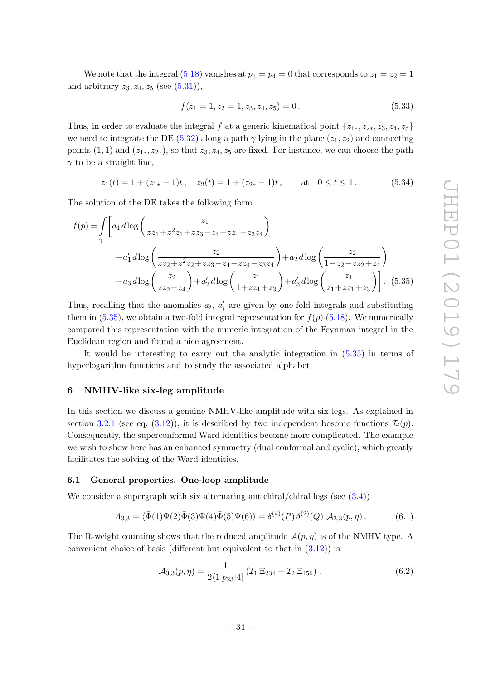We note that the integral [\(5.18\)](#page-32-5) vanishes at  $p_1 = p_4 = 0$  that corresponds to  $z_1 = z_2 = 1$ and arbitrary  $z_3, z_4, z_5$  (see  $(5.31)$ ),

<span id="page-35-2"></span>
$$
f(z_1 = 1, z_2 = 1, z_3, z_4, z_5) = 0.
$$
\n
$$
(5.33)
$$

Thus, in order to evaluate the integral f at a generic kinematical point  $\{z_{1*}, z_{2*}, z_3, z_4, z_5\}$ we need to integrate the DE [\(5.32\)](#page-34-2) along a path  $\gamma$  lying in the plane ( $z_1, z_2$ ) and connecting points  $(1, 1)$  and  $(z_{1*}, z_{2*})$ , so that  $z_3, z_4, z_5$  are fixed. For instance, we can choose the path  $\gamma$  to be a straight line,

$$
z_1(t) = 1 + (z_{1*} - 1)t
$$
,  $z_2(t) = 1 + (z_{2*} - 1)t$ , at  $0 \le t \le 1$ . (5.34)

The solution of the DE takes the following form

$$
f(p) = \int_{\gamma} \left[ a_1 d \log \left( \frac{z_1}{z z_1 + z^2 z_1 + z z_3 - z_4 - z z_4 - z_3 z_4} \right) + a'_1 d \log \left( \frac{z_2}{z z_2 + z^2 z_2 + z z_3 - z_4 - z z_4 - z_3 z_4} \right) + a_2 d \log \left( \frac{z_2}{1 - z_2 - z z_2 + z_4} \right) + a_3 d \log \left( \frac{z_2}{z z_2 - z_4} \right) + a'_2 d \log \left( \frac{z_1}{1 + z z_1 + z_3} \right) + a'_3 d \log \left( \frac{z_1}{z_1 + z z_1 + z_3} \right) \right].
$$
 (5.35)

Thus, recalling that the anomalies  $a_i$ ,  $a'_i$  are given by one-fold integrals and substituting them in  $(5.35)$ , we obtain a two-fold integral representation for  $f(p)$   $(5.18)$ . We numerically compared this representation with the numeric integration of the Feynman integral in the Euclidean region and found a nice agreement.

It would be interesting to carry out the analytic integration in [\(5.35\)](#page-35-2) in terms of hyperlogarithm functions and to study the associated alphabet.

# <span id="page-35-0"></span>6 NMHV-like six-leg amplitude

In this section we discuss a genuine NMHV-like amplitude with six legs. As explained in section [3.2.1](#page-11-1) (see eq. [\(3.12\)](#page-13-4)), it is described by two independent bosonic functions  $\mathcal{I}_i(p)$ . Consequently, the superconformal Ward identities become more complicated. The example we wish to show here has an enhanced symmetry (dual conformal and cyclic), which greatly facilitates the solving of the Ward identities.

#### <span id="page-35-1"></span>6.1 General properties. One-loop amplitude

We consider a supergraph with six alternating antichiral/chiral legs (see  $(3.4)$ )

$$
A_{3,3} = \langle \bar{\Phi}(1)\Psi(2)\bar{\Phi}(3)\Psi(4)\bar{\Phi}(5)\Psi(6)\rangle = \delta^{(4)}(P)\,\delta^{(2)}(Q)\,\mathcal{A}_{3,3}(p,\eta)\,. \tag{6.1}
$$

The R-weight counting shows that the reduced amplitude  $\mathcal{A}(p, \eta)$  is of the NMHV type. A convenient choice of basis (different but equivalent to that in  $(3.12)$ ) is

<span id="page-35-4"></span><span id="page-35-3"></span>
$$
\mathcal{A}_{3,3}(p,\eta) = \frac{1}{2\langle 1|p_{23}|4]} \left( \mathcal{I}_1 \Xi_{234} - \mathcal{I}_2 \Xi_{456} \right) . \tag{6.2}
$$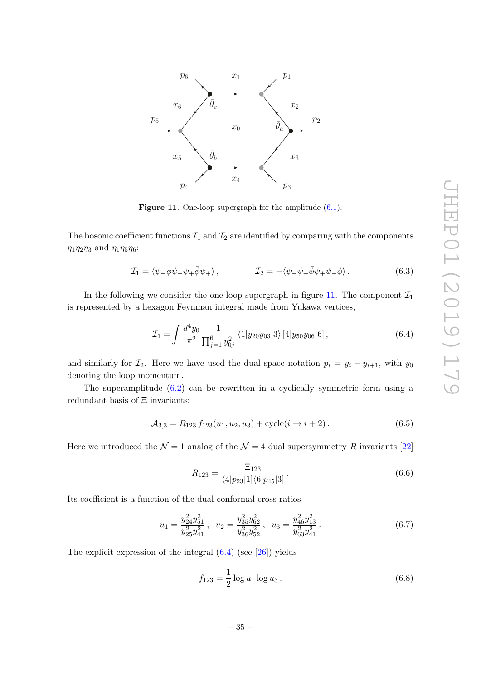

<span id="page-36-0"></span>Figure 11. One-loop supergraph for the amplitude  $(6.1)$ .

The bosonic coefficient functions  $\mathcal{I}_1$  and  $\mathcal{I}_2$  are identified by comparing with the components  $\eta_1\eta_2\eta_3$  and  $\eta_1\eta_5\eta_6$ :

$$
\mathcal{I}_1 = \langle \psi_- \phi \psi_- \psi_+ \bar{\phi} \psi_+ \rangle, \qquad \qquad \mathcal{I}_2 = -\langle \psi_- \psi_+ \bar{\phi} \psi_+ \psi_- \phi \rangle. \tag{6.3}
$$

In the following we consider the one-loop supergraph in figure [11.](#page-36-0) The component  $\mathcal{I}_1$ is represented by a hexagon Feynman integral made from Yukawa vertices,

<span id="page-36-1"></span>
$$
\mathcal{I}_1 = \int \frac{d^4 y_0}{\pi^2} \frac{1}{\prod_{j=1}^6 y_{0j}^2} \langle 1 | y_{20} y_{03} | 3 \rangle [4 | y_{50} y_{06} | 6], \qquad (6.4)
$$

and similarly for  $\mathcal{I}_2$ . Here we have used the dual space notation  $p_i = y_i - y_{i+1}$ , with  $y_0$ denoting the loop momentum.

The superamplitude  $(6.2)$  can be rewritten in a cyclically symmetric form using a redundant basis of Ξ invariants:

$$
\mathcal{A}_{3,3} = R_{123} f_{123}(u_1, u_2, u_3) + \text{cycle}(i \to i + 2).
$$
 (6.5)

Here we introduced the  $\mathcal{N} = 1$  analog of the  $\mathcal{N} = 4$  dual supersymmetry R invariants [\[22\]](#page-53-7)

<span id="page-36-3"></span><span id="page-36-2"></span>
$$
R_{123} = \frac{\Xi_{123}}{\langle 4|p_{23}|1|\langle 6|p_{45}|3\rangle}.
$$
\n(6.6)

Its coefficient is a function of the dual conformal cross-ratios

$$
u_1 = \frac{y_{24}^2 y_{51}^2}{y_{25}^2 y_{41}^2}, \ \ u_2 = \frac{y_{35}^2 y_{62}^2}{y_{36}^2 y_{52}^2}, \ \ u_3 = \frac{y_{46}^2 y_{13}^2}{y_{63}^2 y_{41}^2}.
$$
 (6.7)

The explicit expression of the integral  $(6.4)$  (see [\[26\]](#page-53-11)) yields

<span id="page-36-4"></span>
$$
f_{123} = \frac{1}{2} \log u_1 \log u_3. \tag{6.8}
$$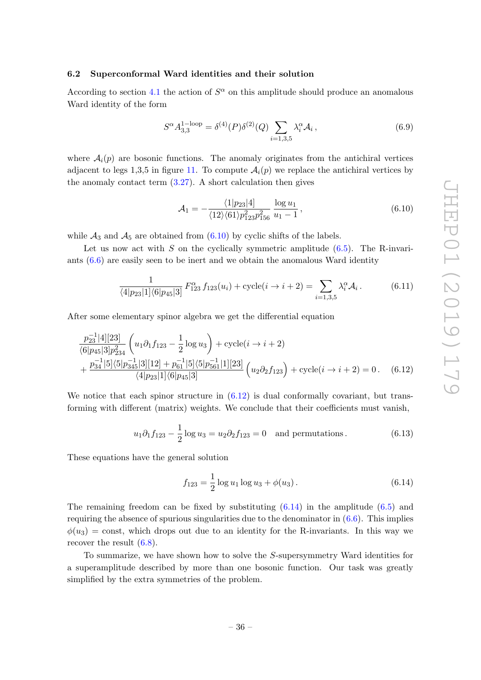#### <span id="page-37-0"></span>6.2 Superconformal Ward identities and their solution

According to section [4.1](#page-20-0) the action of  $S^{\alpha}$  on this amplitude should produce an anomalous Ward identity of the form

$$
S^{\alpha} A_{3,3}^{1-\text{loop}} = \delta^{(4)}(P)\delta^{(2)}(Q) \sum_{i=1,3,5} \lambda_i^{\alpha} A_i , \qquad (6.9)
$$

where  $A_i(p)$  are bosonic functions. The anomaly originates from the antichiral vertices adjacent to legs 1,3,5 in figure [11.](#page-36-0) To compute  $A_i(p)$  we replace the antichiral vertices by the anomaly contact term  $(3.27)$ . A short calculation then gives

<span id="page-37-1"></span>
$$
\mathcal{A}_1 = -\frac{\langle 1|p_{23}|4]}{\langle 12\rangle \langle 61\rangle p_{123}^2 p_{156}^2} \frac{\log u_1}{u_1 - 1},\tag{6.10}
$$

while  $A_3$  and  $A_5$  are obtained from [\(6.10\)](#page-37-1) by cyclic shifts of the labels.

Let us now act with  $S$  on the cyclically symmetric amplitude  $(6.5)$ . The R-invariants  $(6.6)$  are easily seen to be inert and we obtain the anomalous Ward identity

$$
\frac{1}{\langle 4|p_{23}|1|\langle 6|p_{45}|3]} F_{123}^{\alpha} f_{123}(u_i) + \text{cycle}(i \to i+2) = \sum_{i=1,3,5} \lambda_i^{\alpha} \mathcal{A}_i. \tag{6.11}
$$

After some elementary spinor algebra we get the differential equation

$$
\frac{p_{23}^{-1}|4|[23]}{\langle 6|p_{45}|3|p_{234}^2} \left( u_1 \partial_1 f_{123} - \frac{1}{2} \log u_3 \right) + \text{cycle}(i \to i+2) \n+ \frac{p_{34}^{-1}|5|\langle 5|p_{345}^{-1}|3|[12] + p_{61}^{-1}|5|\langle 5|p_{561}^{-1}|1|[23]}{\langle 4|p_{23}|1|\langle 6|p_{45}|3]} \left( u_2 \partial_2 f_{123} \right) + \text{cycle}(i \to i+2) = 0. \quad (6.12)
$$

We notice that each spinor structure in  $(6.12)$  is dual conformally covariant, but transforming with different (matrix) weights. We conclude that their coefficients must vanish,

$$
u_1 \partial_1 f_{123} - \frac{1}{2} \log u_3 = u_2 \partial_2 f_{123} = 0 \text{ and permutations.}
$$
 (6.13)

These equations have the general solution

<span id="page-37-3"></span><span id="page-37-2"></span>
$$
f_{123} = \frac{1}{2} \log u_1 \log u_3 + \phi(u_3).
$$
 (6.14)

The remaining freedom can be fixed by substituting  $(6.14)$  in the amplitude  $(6.5)$  and requiring the absence of spurious singularities due to the denominator in  $(6.6)$ . This implies  $\phi(u_3)$  = const, which drops out due to an identity for the R-invariants. In this way we recover the result  $(6.8)$ .

To summarize, we have shown how to solve the S-supersymmetry Ward identities for a superamplitude described by more than one bosonic function. Our task was greatly simplified by the extra symmetries of the problem.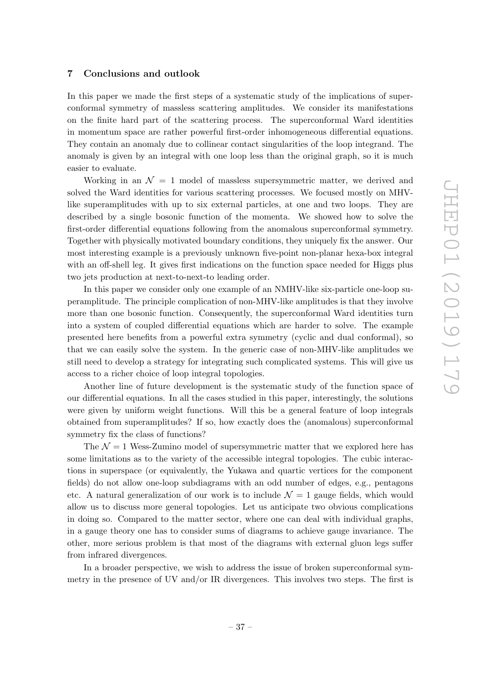### <span id="page-38-0"></span>7 Conclusions and outlook

In this paper we made the first steps of a systematic study of the implications of superconformal symmetry of massless scattering amplitudes. We consider its manifestations on the finite hard part of the scattering process. The superconformal Ward identities in momentum space are rather powerful first-order inhomogeneous differential equations. They contain an anomaly due to collinear contact singularities of the loop integrand. The anomaly is given by an integral with one loop less than the original graph, so it is much easier to evaluate.

Working in an  $\mathcal{N} = 1$  model of massless supersymmetric matter, we derived and solved the Ward identities for various scattering processes. We focused mostly on MHVlike superamplitudes with up to six external particles, at one and two loops. They are described by a single bosonic function of the momenta. We showed how to solve the first-order differential equations following from the anomalous superconformal symmetry. Together with physically motivated boundary conditions, they uniquely fix the answer. Our most interesting example is a previously unknown five-point non-planar hexa-box integral with an off-shell leg. It gives first indications on the function space needed for Higgs plus two jets production at next-to-next-to leading order.

In this paper we consider only one example of an NMHV-like six-particle one-loop superamplitude. The principle complication of non-MHV-like amplitudes is that they involve more than one bosonic function. Consequently, the superconformal Ward identities turn into a system of coupled differential equations which are harder to solve. The example presented here benefits from a powerful extra symmetry (cyclic and dual conformal), so that we can easily solve the system. In the generic case of non-MHV-like amplitudes we still need to develop a strategy for integrating such complicated systems. This will give us access to a richer choice of loop integral topologies.

Another line of future development is the systematic study of the function space of our differential equations. In all the cases studied in this paper, interestingly, the solutions were given by uniform weight functions. Will this be a general feature of loop integrals obtained from superamplitudes? If so, how exactly does the (anomalous) superconformal symmetry fix the class of functions?

The  $\mathcal{N} = 1$  Wess-Zumino model of supersymmetric matter that we explored here has some limitations as to the variety of the accessible integral topologies. The cubic interactions in superspace (or equivalently, the Yukawa and quartic vertices for the component fields) do not allow one-loop subdiagrams with an odd number of edges, e.g., pentagons etc. A natural generalization of our work is to include  $\mathcal{N} = 1$  gauge fields, which would allow us to discuss more general topologies. Let us anticipate two obvious complications in doing so. Compared to the matter sector, where one can deal with individual graphs, in a gauge theory one has to consider sums of diagrams to achieve gauge invariance. The other, more serious problem is that most of the diagrams with external gluon legs suffer from infrared divergences.

In a broader perspective, we wish to address the issue of broken superconformal symmetry in the presence of UV and/or IR divergences. This involves two steps. The first is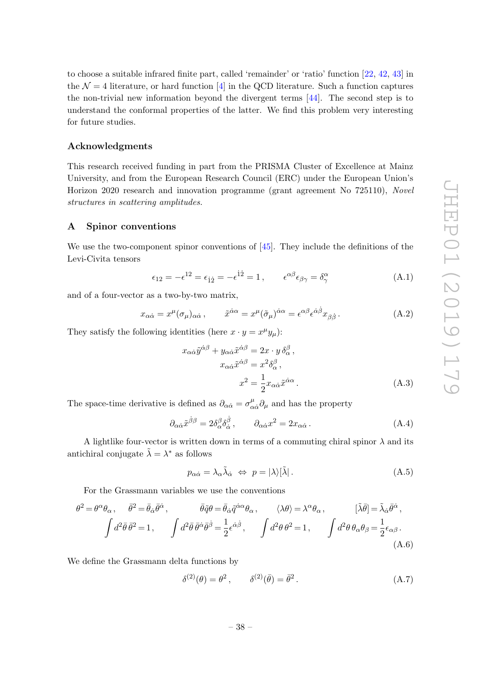to choose a suitable infrared finite part, called 'remainder' or 'ratio' function [\[22,](#page-53-7) [42,](#page-54-9) [43\]](#page-54-10) in the  $\mathcal{N} = 4$  literature, or hard function [\[4\]](#page-52-3) in the QCD literature. Such a function captures the non-trivial new information beyond the divergent terms [\[44\]](#page-54-11). The second step is to understand the conformal properties of the latter. We find this problem very interesting for future studies.

# Acknowledgments

This research received funding in part from the PRISMA Cluster of Excellence at Mainz University, and from the European Research Council (ERC) under the European Union's Horizon 2020 research and innovation programme (grant agreement No 725110), Novel structures in scattering amplitudes.

#### <span id="page-39-0"></span>A Spinor conventions

We use the two-component spinor conventions of [\[45\]](#page-54-12). They include the definitions of the Levi-Civita tensors

$$
\epsilon_{12} = -\epsilon^{12} = \epsilon_{\dot{1}\dot{2}} = -\epsilon^{\dot{1}\dot{2}} = 1, \qquad \epsilon^{\alpha\beta}\epsilon_{\beta\gamma} = \delta^{\alpha}_{\gamma}
$$
 (A.1)

and of a four-vector as a two-by-two matrix,

$$
x_{\alpha\dot{\alpha}} = x^{\mu}(\sigma_{\mu})_{\alpha\dot{\alpha}}, \qquad \tilde{x}^{\dot{\alpha}\alpha} = x^{\mu}(\tilde{\sigma}_{\mu})^{\dot{\alpha}\alpha} = \epsilon^{\alpha\beta} \epsilon^{\dot{\alpha}\dot{\beta}} x_{\beta\dot{\beta}}.
$$
 (A.2)

They satisfy the following identities (here  $x \cdot y = x^{\mu} y_{\mu}$ ):

$$
x_{\alpha\dot{\alpha}}\tilde{y}^{\dot{\alpha}\beta} + y_{\alpha\dot{\alpha}}\tilde{x}^{\dot{\alpha}\beta} = 2x \cdot y \,\delta_{\alpha}^{\beta} ,
$$

$$
x_{\alpha\dot{\alpha}}\tilde{x}^{\dot{\alpha}\beta} = x^2 \delta_{\alpha}^{\beta} ,
$$

$$
x^2 = \frac{1}{2}x_{\alpha\dot{\alpha}}\tilde{x}^{\dot{\alpha}\alpha} .
$$
 (A.3)

The space-time derivative is defined as  $\partial_{\alpha\dot{\alpha}} = \sigma^{\mu}_{\alpha\dot{\alpha}}$  $\frac{\mu}{\alpha \dot{\alpha}} \partial_{\mu}$  and has the property

$$
\partial_{\alpha\dot{\alpha}}\tilde{x}^{\dot{\beta}\beta} = 2\delta^{\beta}_{\alpha}\delta^{\dot{\beta}}_{\dot{\alpha}}, \qquad \partial_{\alpha\dot{\alpha}}x^2 = 2x_{\alpha\dot{\alpha}}.
$$
 (A.4)

A lightlike four-vector is written down in terms of a commuting chiral spinor  $\lambda$  and its antichiral conjugate  $\tilde{\lambda} = \lambda^*$  as follows

$$
p_{\alpha\dot{\alpha}} = \lambda_{\alpha}\tilde{\lambda}_{\dot{\alpha}} \iff p = |\lambda\rangle[\tilde{\lambda}]. \tag{A.5}
$$

For the Grassmann variables we use the conventions

$$
\theta^{2} = \theta^{\alpha} \theta_{\alpha}, \quad \bar{\theta}^{2} = \bar{\theta}_{\dot{\alpha}} \bar{\theta}^{\dot{\alpha}}, \qquad \bar{\theta}^{\tilde{q}} \theta = \bar{\theta}_{\dot{\alpha}} \tilde{q}^{\dot{\alpha}\alpha} \theta_{\alpha}, \qquad \langle \lambda \theta \rangle = \lambda^{\alpha} \theta_{\alpha}, \qquad [\tilde{\lambda} \bar{\theta}] = \tilde{\lambda}_{\dot{\alpha}} \bar{\theta}^{\dot{\alpha}},
$$

$$
\int d^{2} \bar{\theta} \, \bar{\theta}^{2} = 1, \qquad \int d^{2} \bar{\theta} \, \bar{\theta}^{\dot{\alpha}} \bar{\theta}^{\dot{\beta}} = \frac{1}{2} \epsilon^{\dot{\alpha}\dot{\beta}}, \qquad \int d^{2} \theta \, \theta^{2} = 1, \qquad \int d^{2} \theta \, \theta_{\alpha} \theta_{\beta} = \frac{1}{2} \epsilon_{\alpha\beta}.
$$
(A.6)

We define the Grassmann delta functions by

<span id="page-39-1"></span>
$$
\delta^{(2)}(\theta) = \theta^2, \qquad \delta^{(2)}(\bar{\theta}) = \bar{\theta}^2. \tag{A.7}
$$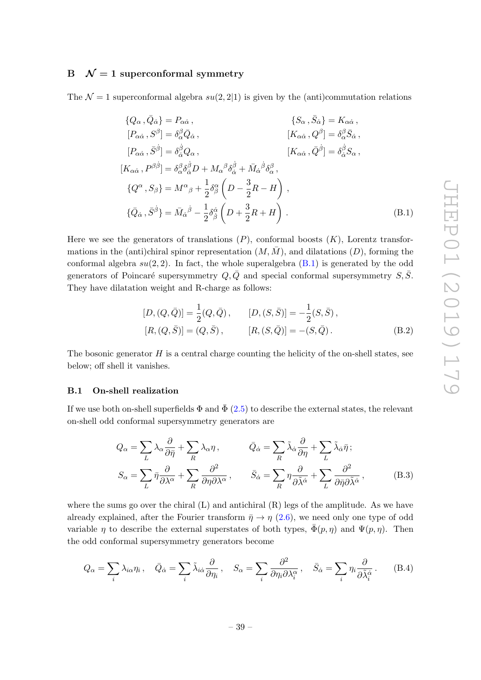# <span id="page-40-0"></span> $B \quad \mathcal{N} = 1$  superconformal symmetry

The  $\mathcal{N} = 1$  superconformal algebra  $su(2, 2|1)$  is given by the (anti)commutation relations

$$
\{Q_{\alpha}, \bar{Q}_{\dot{\alpha}}\} = P_{\alpha \dot{\alpha}}, \qquad \{S_{\alpha}, \bar{S}_{\dot{\alpha}}\} = K_{\alpha \dot{\alpha}}, [P_{\alpha \dot{\alpha}}, S^{\beta}] = \delta_{\alpha}^{\beta} \bar{Q}_{\dot{\alpha}}, \qquad [K_{\alpha \dot{\alpha}}, Q^{\beta}] = \delta_{\alpha}^{\beta} \bar{S}_{\dot{\alpha}}, [P_{\alpha \dot{\alpha}}, \bar{S}^{\dot{\beta}}] = \delta_{\dot{\alpha}}^{\dot{\beta}} Q_{\alpha}, \qquad [K_{\alpha \dot{\alpha}}, \bar{Q}^{\dot{\beta}}] = \delta_{\dot{\alpha}}^{\dot{\beta}} S_{\alpha}, [K_{\alpha \dot{\alpha}}, P^{\beta \dot{\beta}}] = \delta_{\alpha}^{\beta} \delta_{\dot{\alpha}}^{\dot{\beta}} D + M_{\alpha}{}^{\beta} \delta_{\dot{\alpha}}^{\dot{\beta}} + \bar{M}_{\dot{\alpha}}{}^{\dot{\beta}} \delta_{\alpha}^{\beta}, \{Q^{\alpha}, S_{\beta}\} = M^{\alpha}{}_{\beta} + \frac{1}{2} \delta_{\beta}^{\alpha} \left(D - \frac{3}{2}R - H\right), \{\bar{Q}_{\dot{\alpha}}, \bar{S}^{\dot{\beta}}\} = \bar{M}_{\dot{\alpha}}{}^{\dot{\beta}} - \frac{1}{2} \delta_{\beta}^{\dot{\alpha}} \left(D + \frac{3}{2}R + H\right).
$$
\n(B.1)

Here we see the generators of translations  $(P)$ , conformal boosts  $(K)$ , Lorentz transformations in the (anti)chiral spinor representation  $(M, \overline{M})$ , and dilatations  $(D)$ , forming the conformal algebra  $su(2, 2)$ . In fact, the whole superalgebra  $(B.1)$  is generated by the odd generators of Poincaré supersymmetry  $Q, \bar{Q}$  and special conformal supersymmetry  $S, \bar{S}$ . They have dilatation weight and R-charge as follows:

<span id="page-40-3"></span>
$$
[D, (Q, \bar{Q})] = \frac{1}{2}(Q, \bar{Q}), \qquad [D, (S, \bar{S})] = -\frac{1}{2}(S, \bar{S}),
$$
  

$$
[R, (Q, \bar{S})] = (Q, \bar{S}), \qquad [R, (S, \bar{Q})] = -(S, \bar{Q}).
$$
 (B.2)

The bosonic generator  $H$  is a central charge counting the helicity of the on-shell states, see below; off shell it vanishes.

#### <span id="page-40-1"></span>B.1 On-shell realization

If we use both on-shell superfields  $\Phi$  and  $\bar{\Phi}$  ([2.5\)](#page-8-8) to describe the external states, the relevant on-shell odd conformal supersymmetry generators are

<span id="page-40-4"></span><span id="page-40-2"></span>
$$
Q_{\alpha} = \sum_{L} \lambda_{\alpha} \frac{\partial}{\partial \bar{\eta}} + \sum_{R} \lambda_{\alpha} \eta, \qquad \bar{Q}_{\dot{\alpha}} = \sum_{R} \tilde{\lambda}_{\dot{\alpha}} \frac{\partial}{\partial \eta} + \sum_{L} \tilde{\lambda}_{\dot{\alpha}} \bar{\eta};
$$

$$
S_{\alpha} = \sum_{L} \bar{\eta} \frac{\partial}{\partial \lambda^{\alpha}} + \sum_{R} \frac{\partial^{2}}{\partial \eta \partial \lambda^{\alpha}}, \qquad \bar{S}_{\dot{\alpha}} = \sum_{R} \eta \frac{\partial}{\partial \tilde{\lambda}^{\dot{\alpha}}} + \sum_{L} \frac{\partial^{2}}{\partial \bar{\eta} \partial \tilde{\lambda}^{\dot{\alpha}}}, \qquad (B.3)
$$

where the sums go over the chiral  $(L)$  and antichiral  $(R)$  legs of the amplitude. As we have already explained, after the Fourier transform  $\bar{\eta} \to \eta$  [\(2.6\)](#page-8-6), we need only one type of odd variable  $\eta$  to describe the external superstates of both types,  $\bar{\Phi}(p,\eta)$  and  $\Psi(p,\eta)$ . Then the odd conformal supersymmetry generators become

$$
Q_{\alpha} = \sum_{i} \lambda_{i\alpha} \eta_{i} , \quad \bar{Q}_{\dot{\alpha}} = \sum_{i} \tilde{\lambda}_{i\dot{\alpha}} \frac{\partial}{\partial \eta_{i}} , \quad S_{\alpha} = \sum_{i} \frac{\partial^{2}}{\partial \eta_{i} \partial \lambda_{i}^{\alpha}} , \quad \bar{S}_{\dot{\alpha}} = \sum_{i} \eta_{i} \frac{\partial}{\partial \tilde{\lambda}_{i}^{\dot{\alpha}}} .
$$
 (B.4)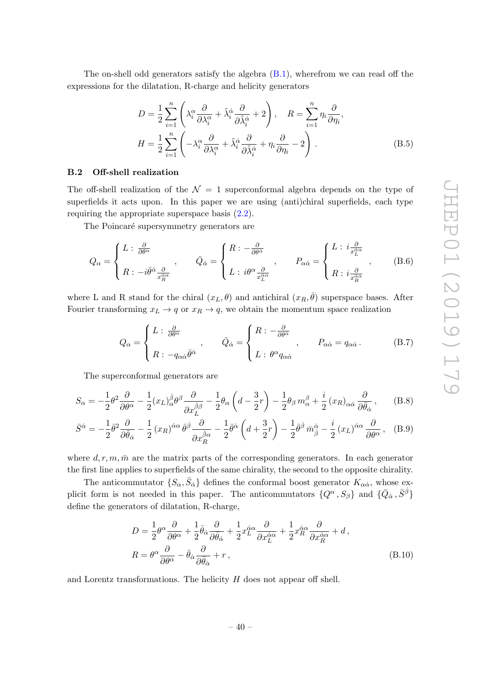The on-shell odd generators satisfy the algebra  $(B.1)$ , wherefrom we can read off the expressions for the dilatation, R-charge and helicity generators

$$
D = \frac{1}{2} \sum_{i=1}^{n} \left( \lambda_i^{\alpha} \frac{\partial}{\partial \lambda_i^{\alpha}} + \tilde{\lambda}_i^{\dot{\alpha}} \frac{\partial}{\partial \tilde{\lambda}_i^{\dot{\alpha}}} + 2 \right), \quad R = \sum_{i=1}^{n} \eta_i \frac{\partial}{\partial \eta_i},
$$
  

$$
H = \frac{1}{2} \sum_{i=1}^{n} \left( -\lambda_i^{\alpha} \frac{\partial}{\partial \lambda_i^{\alpha}} + \tilde{\lambda}_i^{\dot{\alpha}} \frac{\partial}{\partial \tilde{\lambda}_i^{\dot{\alpha}}} + \eta_i \frac{\partial}{\partial \eta_i} - 2 \right).
$$
 (B.5)

# <span id="page-41-0"></span>B.2 Off-shell realization

The off-shell realization of the  $\mathcal{N} = 1$  superconformal algebra depends on the type of superfields it acts upon. In this paper we are using (anti)chiral superfields, each type requiring the appropriate superspace basis [\(2.2\)](#page-7-3).

The Poincaré supersymmetry generators are

$$
Q_{\alpha} = \begin{cases} L : \frac{\partial}{\partial \theta^{\alpha}} \\ R : -i\bar{\theta}^{\dot{\alpha}} \frac{\partial}{x_R^{\dot{\alpha}\alpha}} \end{cases}, \qquad \bar{Q}_{\dot{\alpha}} = \begin{cases} R : -\frac{\partial}{\partial \theta^{\dot{\alpha}}} \\ L : i\theta^{\alpha} \frac{\partial}{x_L^{\dot{\alpha}\alpha}} \end{cases}, \qquad P_{\alpha\dot{\alpha}} = \begin{cases} L : i\frac{\partial}{x_L^{\dot{\alpha}\alpha}} \\ R : i\frac{\partial}{x_R^{\dot{\alpha}\alpha}} \end{cases}, \qquad (B.6)
$$

where L and R stand for the chiral  $(x_L, \theta)$  and antichiral  $(x_R, \bar{\theta})$  superspace bases. After Fourier transforming  $x_L \to q$  or  $x_R \to q$ , we obtain the momentum space realization

<span id="page-41-2"></span><span id="page-41-1"></span>
$$
Q_{\alpha} = \begin{cases} L: \frac{\partial}{\partial \theta^{\alpha}} \\ R: -q_{\alpha\dot{\alpha}}\bar{\theta}^{\dot{\alpha}} \end{cases}, \qquad \bar{Q}_{\dot{\alpha}} = \begin{cases} R: -\frac{\partial}{\partial \bar{\theta}^{\dot{\alpha}}} \\ L: \theta^{\alpha}q_{\alpha\dot{\alpha}} \end{cases}, \qquad P_{\alpha\dot{\alpha}} = q_{\alpha\dot{\alpha}}. \tag{B.7}
$$

The superconformal generators are

$$
S_{\alpha} = -\frac{1}{2}\theta^2 \frac{\partial}{\partial \theta^{\alpha}} - \frac{1}{2}(x_L)^{\dot{\beta}}_{\alpha} \theta^{\beta} \frac{\partial}{\partial x_L^{\dot{\beta}\beta}} - \frac{1}{2}\theta_{\alpha} \left(d - \frac{3}{2}r\right) - \frac{1}{2}\theta_{\beta} m_{\alpha}^{\beta} + \frac{i}{2}(x_R)_{\alpha\dot{\alpha}} \frac{\partial}{\partial \bar{\theta}_{\dot{\alpha}}},\tag{B.8}
$$

$$
\bar{S}^{\dot{\alpha}} = -\frac{1}{2}\bar{\theta}^{2}\frac{\partial}{\partial \bar{\theta}_{\dot{\alpha}}} - \frac{1}{2}\left(x_{R}\right)^{\dot{\alpha}\alpha}\bar{\theta}^{\dot{\beta}}\frac{\partial}{\partial x_{R}^{\dot{\beta}\alpha}} - \frac{1}{2}\bar{\theta}^{\dot{\alpha}}\left(d + \frac{3}{2}r\right) - \frac{1}{2}\bar{\theta}^{\dot{\beta}}\bar{m}_{\dot{\beta}}^{\dot{\alpha}} - \frac{i}{2}\left(x_{L}\right)^{\dot{\alpha}\alpha}\frac{\partial}{\partial \theta^{\alpha}}, \quad (B.9)
$$

where  $d, r, m, \bar{m}$  are the matrix parts of the corresponding generators. In each generator the first line applies to superfields of the same chirality, the second to the opposite chirality.

The anticommutator  $\{S_\alpha, \bar{S}_\alpha\}$  defines the conformal boost generator  $K_{\alpha\dot{\alpha}}$ , whose explicit form is not needed in this paper. The anticommutators  $\{Q^{\alpha}, S_{\beta}\}\$ and  $\{\bar{Q}_{\dot{\alpha}}, \bar{S}^{\dot{\beta}}\}$ define the generators of dilatation, R-charge,

<span id="page-41-4"></span><span id="page-41-3"></span>
$$
D = \frac{1}{2}\theta^{\alpha}\frac{\partial}{\partial\theta^{\alpha}} + \frac{1}{2}\bar{\theta}_{\dot{\alpha}}\frac{\partial}{\partial\bar{\theta}_{\dot{\alpha}}} + \frac{1}{2}x_{L}^{\dot{\alpha}\alpha}\frac{\partial}{\partial x_{L}^{\dot{\alpha}\alpha}} + \frac{1}{2}x_{R}^{\dot{\alpha}\alpha}\frac{\partial}{\partial x_{R}^{\dot{\alpha}\alpha}} + d,
$$
  
\n
$$
R = \theta^{\alpha}\frac{\partial}{\partial\theta^{\alpha}} - \bar{\theta}_{\dot{\alpha}}\frac{\partial}{\partial\bar{\theta}_{\dot{\alpha}}} + r,
$$
\n(B.10)

and Lorentz transformations. The helicity  $H$  does not appear off shell.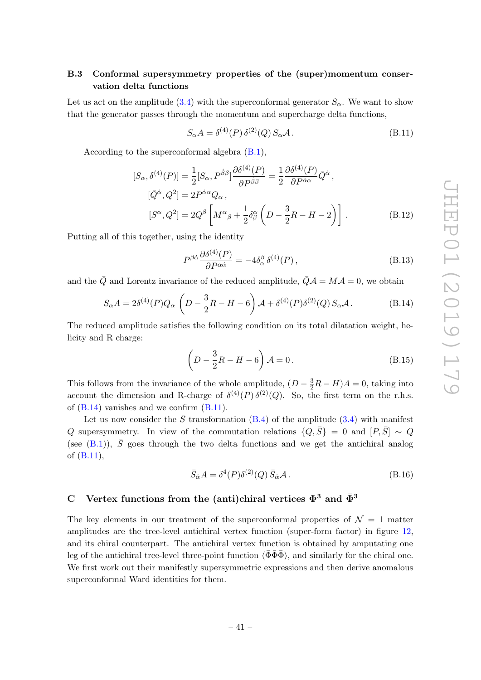# <span id="page-42-0"></span>B.3 Conformal supersymmetry properties of the (super)momentum conservation delta functions

Let us act on the amplitude [\(3.4\)](#page-11-3) with the superconformal generator  $S_{\alpha}$ . We want to show that the generator passes through the momentum and supercharge delta functions,

<span id="page-42-5"></span>
$$
S_{\alpha}A = \delta^{(4)}(P)\,\delta^{(2)}(Q)\,S_{\alpha}\mathcal{A}\,. \tag{B.11}
$$

According to the superconformal algebra [\(B.1\)](#page-40-3),

$$
[S_{\alpha}, \delta^{(4)}(P)] = \frac{1}{2} [S_{\alpha}, P^{\dot{\beta}\beta}] \frac{\partial \delta^{(4)}(P)}{\partial P^{\dot{\beta}\beta}} = \frac{1}{2} \frac{\partial \delta^{(4)}(P)}{\partial P^{\dot{\alpha}\alpha}} \bar{Q}^{\dot{\alpha}},
$$
  

$$
[\bar{Q}^{\dot{\alpha}}, Q^2] = 2P^{\dot{\alpha}\alpha} Q_{\alpha},
$$
  

$$
[S^{\alpha}, Q^2] = 2Q^{\beta} \left[ M^{\alpha}{}_{\beta} + \frac{1}{2} \delta^{\alpha}_{\beta} \left( D - \frac{3}{2}R - H - 2 \right) \right].
$$
 (B.12)

Putting all of this together, using the identity

<span id="page-42-6"></span>
$$
P^{\beta\dot{\alpha}}\frac{\partial\delta^{(4)}(P)}{\partial P^{\alpha\dot{\alpha}}} = -4\delta^{\beta}_{\alpha}\delta^{(4)}(P) ,\qquad (B.13)
$$

and the  $\overline{Q}$  and Lorentz invariance of the reduced amplitude,  $\overline{Q}A = MA = 0$ , we obtain

$$
S_{\alpha}A = 2\delta^{(4)}(P)Q_{\alpha}\left(D - \frac{3}{2}R - H - 6\right)\mathcal{A} + \delta^{(4)}(P)\delta^{(2)}(Q) S_{\alpha}\mathcal{A}.
$$
 (B.14)

The reduced amplitude satisfies the following condition on its total dilatation weight, helicity and R charge:

<span id="page-42-4"></span><span id="page-42-3"></span>
$$
\left(D - \frac{3}{2}R - H - 6\right)\mathcal{A} = 0.
$$
\n(B.15)

This follows from the invariance of the whole amplitude,  $(D - \frac{3}{2}R - H)A = 0$ , taking into account the dimension and R-charge of  $\delta^{(4)}(P) \delta^{(2)}(Q)$ . So, the first term on the r.h.s. of [\(B.14\)](#page-42-4) vanishes and we confirm [\(B.11\)](#page-42-5).

Let us now consider the  $\bar{S}$  transformation [\(B.4\)](#page-40-4) of the amplitude [\(3.4\)](#page-11-3) with manifest Q supersymmetry. In view of the commutation relations  $\{Q, \bar{S}\} = 0$  and  $[P, \bar{S}] \sim Q$ (see  $(B.1)$ ),  $\overline{S}$  goes through the two delta functions and we get the antichiral analog of [\(B.11\)](#page-42-5),

<span id="page-42-2"></span>
$$
\bar{S}_{\dot{\alpha}}A = \delta^4(P)\delta^{(2)}(Q)\,\bar{S}_{\dot{\alpha}}\mathcal{A} \,. \tag{B.16}
$$

# <span id="page-42-1"></span>C Vertex functions from the (anti)chiral vertices  $\Phi^3$  and  $\bar{\Phi}^3$

The key elements in our treatment of the superconformal properties of  $\mathcal{N}=1$  matter amplitudes are the tree-level antichiral vertex function (super-form factor) in figure [12,](#page-43-3) and its chiral counterpart. The antichiral vertex function is obtained by amputating one leg of the antichiral tree-level three-point function  $\langle \bar{\Phi} \bar{\Phi} \bar{\Phi} \rangle$ , and similarly for the chiral one. We first work out their manifestly supersymmetric expressions and then derive anomalous superconformal Ward identities for them.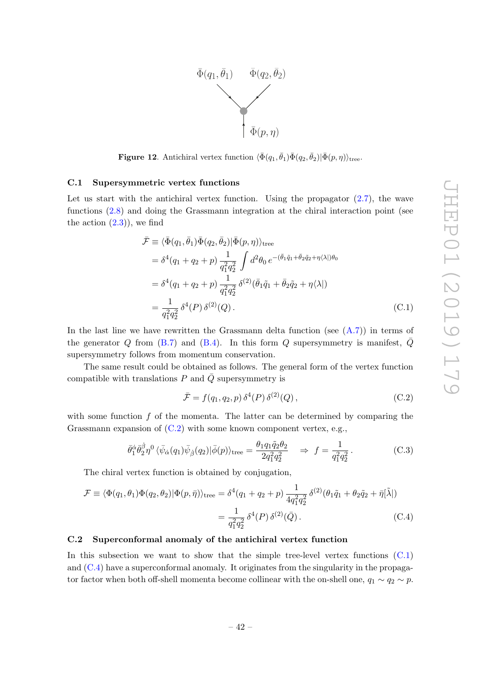

<span id="page-43-3"></span>**Figure 12.** Antichiral vertex function  $\langle \bar{\Phi}(q_1, \bar{\theta}_1) \bar{\Phi}(q_2, \bar{\theta}_2) | \bar{\Phi}(p, \eta) \rangle_{\text{tree}}$ .

#### <span id="page-43-0"></span>C.1 Supersymmetric vertex functions

Let us start with the antichiral vertex function. Using the propagator  $(2.7)$ , the wave functions [\(2.8\)](#page-8-7) and doing the Grassmann integration at the chiral interaction point (see the action  $(2.3)$ , we find

$$
\bar{\mathcal{F}} \equiv \langle \bar{\Phi}(q_1, \bar{\theta}_1) \bar{\Phi}(q_2, \bar{\theta}_2) | \bar{\Phi}(p, \eta) \rangle_{\text{tree}}
$$
\n
$$
= \delta^4 (q_1 + q_2 + p) \frac{1}{q_1^2 q_2^2} \int d^2 \theta_0 e^{-(\bar{\theta}_1 \tilde{q}_1 + \bar{\theta}_2 \tilde{q}_2 + \eta \langle \lambda |) \theta_0}
$$
\n
$$
= \delta^4 (q_1 + q_2 + p) \frac{1}{q_1^2 q_2^2} \delta^{(2)} (\bar{\theta}_1 \tilde{q}_1 + \bar{\theta}_2 \tilde{q}_2 + \eta \langle \lambda |)
$$
\n
$$
= \frac{1}{q_1^2 q_2^2} \delta^4(P) \delta^{(2)}(Q). \tag{C.1}
$$

In the last line we have rewritten the Grassmann delta function (see  $(A.7)$ ) in terms of the generator Q from  $(B.7)$  and  $(B.4)$ . In this form Q supersymmetry is manifest,  $\overline{Q}$ supersymmetry follows from momentum conservation.

The same result could be obtained as follows. The general form of the vertex function compatible with translations  $P$  and  $\overline{Q}$  supersymmetry is

<span id="page-43-5"></span><span id="page-43-4"></span><span id="page-43-2"></span>
$$
\bar{\mathcal{F}} = f(q_1, q_2, p) \, \delta^4(P) \, \delta^{(2)}(Q) \,, \tag{C.2}
$$

with some function  $f$  of the momenta. The latter can be determined by comparing the Grassmann expansion of  $(C.2)$  with some known component vertex, e.g.,

$$
\bar{\theta}_1^{\dot{\alpha}} \bar{\theta}_2^{\dot{\beta}} \eta^0 \langle \bar{\psi}_{\dot{\alpha}}(q_1) \bar{\psi}_{\dot{\beta}}(q_2) | \bar{\phi}(p) \rangle_{\text{tree}} = \frac{\theta_1 q_1 \tilde{q}_2 \theta_2}{2q_1^2 q_2^2} \quad \Rightarrow \quad f = \frac{1}{q_1^2 q_2^2} \,. \tag{C.3}
$$

The chiral vertex function is obtained by conjugation,

$$
\mathcal{F} \equiv \langle \Phi(q_1, \theta_1) \Phi(q_2, \theta_2) | \Phi(p, \bar{\eta}) \rangle_{\text{tree}} = \delta^4 (q_1 + q_2 + p) \frac{1}{4q_1^2 q_2^2} \delta^{(2)} (\theta_1 \tilde{q}_1 + \theta_2 \tilde{q}_2 + \bar{\eta}[\tilde{\lambda}])
$$
  

$$
= \frac{1}{q_1^2 q_2^2} \delta^4(P) \delta^{(2)}(\bar{Q}). \tag{C.4}
$$

# <span id="page-43-1"></span>C.2 Superconformal anomaly of the antichiral vertex function

In this subsection we want to show that the simple tree-level vertex functions [\(C.1\)](#page-43-2) and [\(C.4\)](#page-43-5) have a superconformal anomaly. It originates from the singularity in the propagator factor when both off-shell momenta become collinear with the on-shell one,  $q_1 \sim q_2 \sim p$ .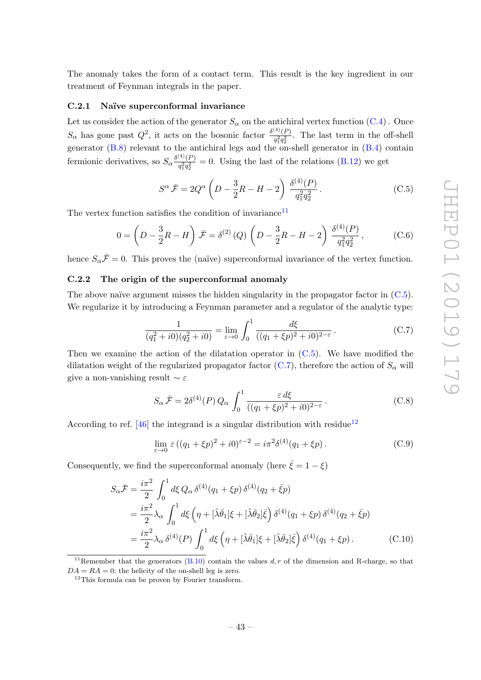The anomaly takes the form of a contact term. This result is the key ingredient in our treatment of Feynman integrals in the paper.

#### <span id="page-44-0"></span>C.2.1 Naïve superconformal invariance

Let us consider the action of the generator  $S_{\alpha}$  on the antichiral vertex function [\(C.4\)](#page-43-5). Once  $S_{\alpha}$  has gone past  $Q^2$ , it acts on the bosonic factor  $\frac{\delta^{(4)}(P)}{q^2q^2}$  $\frac{q_1^2(q_2^2)}{q_1^2q_2^2}$ . The last term in the off-shell generator  $(B.8)$  relevant to the antichiral legs and the on-shell generator in  $(B.4)$  contain fermionic derivatives, so  $S_{\alpha} \frac{\delta^{(4)}(P)}{g^2 g^2}$  $\frac{q_1^2}{q_1^2 q_2^2} = 0$ . Using the last of the relations [\(B.12\)](#page-42-6) we get

<span id="page-44-4"></span>
$$
S^{\alpha} \bar{\mathcal{F}} = 2Q^{\alpha} \left( D - \frac{3}{2}R - H - 2 \right) \frac{\delta^{(4)}(P)}{q_1^2 q_2^2}.
$$
 (C.5)

The vertex function satisfies the condition of invariance<sup>[11](#page-44-3)</sup>

$$
0 = \left(D - \frac{3}{2}R - H\right)\bar{\mathcal{F}} = \delta^{(2)}\left(Q\right)\left(D - \frac{3}{2}R - H - 2\right)\frac{\delta^{(4)}(P)}{q_1^2 q_2^2},\tag{C.6}
$$

hence  $S_{\alpha} \bar{\mathcal{F}} = 0$ . This proves the (naïve) superconformal invariance of the vertex function.

# <span id="page-44-1"></span>C.2.2 The origin of the superconformal anomaly

The above naïve argument misses the hidden singularity in the propagator factor in  $(C.5)$ . We regularize it by introducing a Feynman parameter and a regulator of the analytic type:

<span id="page-44-5"></span>
$$
\frac{1}{(q_1^2 + i0)(q_2^2 + i0)} = \lim_{\varepsilon \to 0} \int_0^1 \frac{d\xi}{((q_1 + \xi p)^2 + i0)^{2-\varepsilon}}.
$$
 (C.7)

Then we examine the action of the dilatation operator in  $(C.5)$ . We have modified the dilatation weight of the regularized propagator factor [\(C.7\)](#page-44-5), therefore the action of  $S_{\alpha}$  will give a non-vanishing result  $\sim \varepsilon$ 

$$
S_{\alpha}\bar{\mathcal{F}} = 2\delta^{(4)}(P)Q_{\alpha}\int_0^1 \frac{\varepsilon d\xi}{((q_1+\xi p)^2+i0)^{2-\varepsilon}}.
$$
 (C.8)

According to ref. [\[46\]](#page-54-13) the integrand is a singular distribution with residue<sup>[12](#page-44-6)</sup>

<span id="page-44-2"></span>
$$
\lim_{\varepsilon \to 0} \varepsilon \left( (q_1 + \xi p)^2 + i0 \right)^{\varepsilon - 2} = i\pi^2 \delta^{(4)}(q_1 + \xi p) \,. \tag{C.9}
$$

Consequently, we find the superconformal anomaly (here  $\bar{\xi} = 1 - \xi$ )

$$
S_{\alpha}\bar{\mathcal{F}} = \frac{i\pi^2}{2} \int_0^1 d\xi \, Q_{\alpha} \, \delta^{(4)}(q_1 + \xi p) \, \delta^{(4)}(q_2 + \bar{\xi} p) = \frac{i\pi^2}{2} \lambda_{\alpha} \int_0^1 d\xi \left( \eta + [\tilde{\lambda}\bar{\theta}_1]\xi + [\tilde{\lambda}\bar{\theta}_2]\bar{\xi} \right) \delta^{(4)}(q_1 + \xi p) \, \delta^{(4)}(q_2 + \bar{\xi} p) = \frac{i\pi^2}{2} \lambda_{\alpha} \, \delta^{(4)}(P) \int_0^1 d\xi \left( \eta + [\tilde{\lambda}\bar{\theta}_1]\xi + [\tilde{\lambda}\bar{\theta}_2]\bar{\xi} \right) \delta^{(4)}(q_1 + \xi p) . \tag{C.10}
$$

<span id="page-44-3"></span><sup>&</sup>lt;sup>11</sup>Remember that the generators [\(B.10\)](#page-41-3) contain the values  $d, r$  of the dimension and R-charge, so that  $DA = RA = 0$ ; the helicity of the on-shell leg is zero.

<span id="page-44-6"></span><sup>&</sup>lt;sup>12</sup>This formula can be proven by Fourier transform.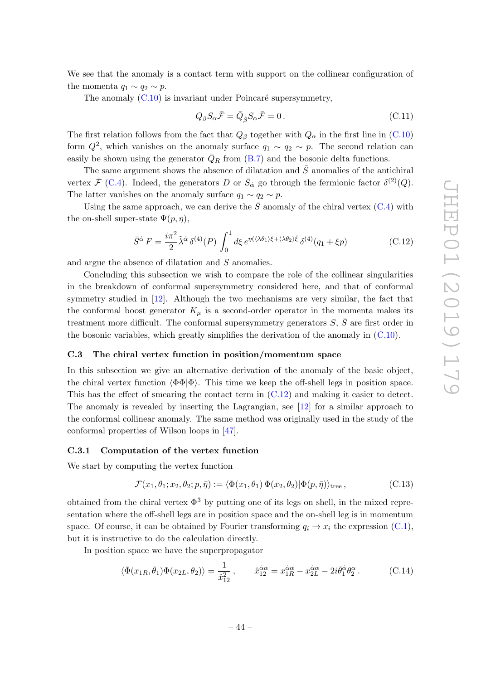We see that the anomaly is a contact term with support on the collinear configuration of the momenta  $q_1 \sim q_2 \sim p$ .

The anomaly  $(C.10)$  is invariant under Poincaré supersymmetry,

<span id="page-45-4"></span><span id="page-45-3"></span>
$$
Q_{\beta} S_{\alpha} \bar{\mathcal{F}} = \bar{Q}_{\dot{\beta}} S_{\alpha} \bar{\mathcal{F}} = 0.
$$
\n(C.11)

The first relation follows from the fact that  $Q_\beta$  together with  $Q_\alpha$  in the first line in [\(C.10\)](#page-44-2) form  $Q^2$ , which vanishes on the anomaly surface  $q_1 \sim q_2 \sim p$ . The second relation can easily be shown using the generator  $\overline{Q}_R$  from [\(B.7\)](#page-41-1) and the bosonic delta functions.

The same argument shows the absence of dilatation and  $\overline{S}$  anomalies of the antichiral vertex  $\bar{\mathcal{F}}$  [\(C.4\)](#page-43-5). Indeed, the generators D or  $\bar{S}_{\dot{\alpha}}$  go through the fermionic factor  $\delta^{(2)}(Q)$ . The latter vanishes on the anomaly surface  $q_1 \sim q_2 \sim p$ .

Using the same approach, we can derive the  $\overline{S}$  anomaly of the chiral vertex [\(C.4\)](#page-43-5) with the on-shell super-state  $\Psi(p,\eta)$ ,

$$
\bar{S}^{\dot{\alpha}} F = \frac{i\pi^2}{2} \tilde{\lambda}^{\dot{\alpha}} \delta^{(4)}(P) \int_0^1 d\xi \, e^{\eta(\langle \lambda \theta_1 \rangle \xi + \langle \lambda \theta_2 \rangle \bar{\xi}} \delta^{(4)}(q_1 + \xi p) \tag{C.12}
$$

and argue the absence of dilatation and S anomalies.

Concluding this subsection we wish to compare the role of the collinear singularities in the breakdown of conformal supersymmetry considered here, and that of conformal symmetry studied in [\[12\]](#page-52-8). Although the two mechanisms are very similar, the fact that the conformal boost generator  $K_{\mu}$  is a second-order operator in the momenta makes its treatment more difficult. The conformal supersymmetry generators  $S, \overline{S}$  are first order in the bosonic variables, which greatly simplifies the derivation of the anomaly in [\(C.10\)](#page-44-2).

### <span id="page-45-0"></span>C.3 The chiral vertex function in position/momentum space

In this subsection we give an alternative derivation of the anomaly of the basic object, the chiral vertex function  $\langle \Phi \Phi | \Phi \rangle$ . This time we keep the off-shell legs in position space. This has the effect of smearing the contact term in [\(C.12\)](#page-45-4) and making it easier to detect. The anomaly is revealed by inserting the Lagrangian, see [\[12\]](#page-52-8) for a similar approach to the conformal collinear anomaly. The same method was originally used in the study of the conformal properties of Wilson loops in [\[47\]](#page-54-14).

#### <span id="page-45-1"></span>C.3.1 Computation of the vertex function

We start by computing the vertex function

<span id="page-45-5"></span><span id="page-45-2"></span>
$$
\mathcal{F}(x_1, \theta_1; x_2, \theta_2; p, \bar{\eta}) := \langle \Phi(x_1, \theta_1) \Phi(x_2, \theta_2) | \Phi(p, \bar{\eta}) \rangle_{\text{tree}},
$$
\n(C.13)

obtained from the chiral vertex  $\Phi^3$  by putting one of its legs on shell, in the mixed representation where the off-shell legs are in position space and the on-shell leg is in momentum space. Of course, it can be obtained by Fourier transforming  $q_i \rightarrow x_i$  the expression [\(C.1\)](#page-43-2), but it is instructive to do the calculation directly.

In position space we have the superpropagator

$$
\langle \bar{\Phi}(x_{1R}, \bar{\theta}_1) \Phi(x_{2L}, \theta_2) \rangle = \frac{1}{\hat{x}_{12}^2}, \qquad \hat{x}_{12}^{\dot{\alpha}\alpha} = x_{1R}^{\dot{\alpha}\alpha} - x_{2L}^{\dot{\alpha}\alpha} - 2i\bar{\theta}_1^{\dot{\alpha}}\theta_2^{\alpha}.
$$
 (C.14)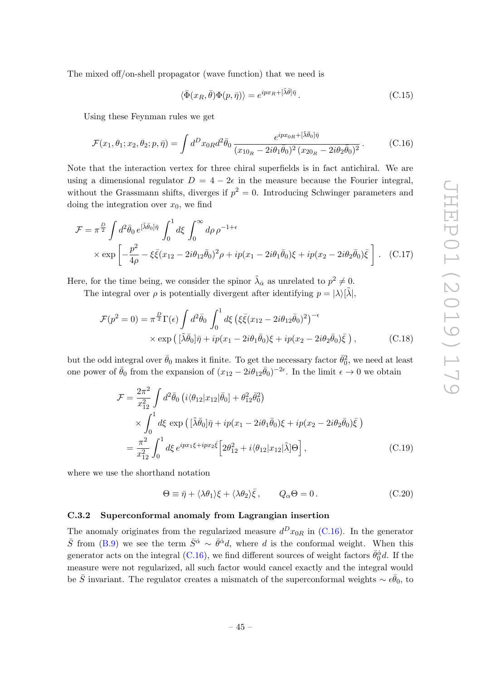The mixed off/on-shell propagator (wave function) that we need is

<span id="page-46-3"></span><span id="page-46-1"></span>
$$
\langle \bar{\Phi}(x_R, \bar{\theta}) \Phi(p, \bar{\eta}) \rangle = e^{ipx_R + [\tilde{\lambda}\bar{\theta}]\bar{\eta}}.
$$
\n(C.15)

Using these Feynman rules we get

$$
\mathcal{F}(x_1, \theta_1; x_2, \theta_2; p, \bar{\eta}) = \int d^D x_{0R} d^2 \bar{\theta}_0 \frac{e^{ipx_{0R} + [\tilde{\lambda}\bar{\theta}_0]\bar{\eta}}}{(x_{10_R} - 2i\theta_1\bar{\theta}_0)^2 (x_{20_R} - 2i\theta_2\bar{\theta}_0)^2}.
$$
 (C.16)

Note that the interaction vertex for three chiral superfields is in fact antichiral. We are using a dimensional regulator  $D = 4 - 2\epsilon$  in the measure because the Fourier integral, without the Grassmann shifts, diverges if  $p^2 = 0$ . Introducing Schwinger parameters and doing the integration over  $x_0$ , we find

$$
\mathcal{F} = \pi^{\frac{D}{2}} \int d^2 \bar{\theta}_0 e^{[\tilde{\lambda}\bar{\theta}_0]\bar{\eta}} \int_0^1 d\xi \int_0^\infty d\rho \,\rho^{-1+\epsilon} \times \exp\left[ -\frac{p^2}{4\rho} - \xi \bar{\xi} (x_{12} - 2i\theta_{12}\bar{\theta}_0)^2 \rho + i p(x_1 - 2i\theta_1\bar{\theta}_0) \xi + i p(x_2 - 2i\theta_2\bar{\theta}_0) \bar{\xi} \right].
$$
 (C.17)

Here, for the time being, we consider the spinor  $\tilde{\lambda}_{\dot{\alpha}}$  as unrelated to  $p^2 \neq 0$ .

The integral over  $\rho$  is potentially divergent after identifying  $p = |\lambda\rangle |\tilde{\lambda}|$ ,

$$
\mathcal{F}(p^2 = 0) = \pi^{\frac{D}{2}} \Gamma(\epsilon) \int d^2 \bar{\theta}_0 \int_0^1 d\xi \left( \xi \bar{\xi} (x_{12} - 2i\theta_{12} \bar{\theta}_0)^2 \right)^{-\epsilon} \times \exp \left( [\tilde{\lambda} \bar{\theta}_0] \bar{\eta} + i p (x_1 - 2i\theta_1 \bar{\theta}_0) \xi + i p (x_2 - 2i\theta_2 \bar{\theta}_0) \bar{\xi} \right), \qquad (C.18)
$$

but the odd integral over  $\bar{\theta}_0$  makes it finite. To get the necessary factor  $\bar{\theta}_0^2$ , we need at least one power of  $\bar{\theta}_0$  from the expansion of  $(x_{12} - 2i\theta_{12}\bar{\theta}_0)^{-2\epsilon}$ . In the limit  $\epsilon \to 0$  we obtain

$$
\mathcal{F} = \frac{2\pi^2}{x_{12}^2} \int d^2\bar{\theta}_0 \left( i \langle \theta_{12} | x_{12} | \bar{\theta}_0 \right) + \theta_{12}^2 \bar{\theta}_0^2 \right) \times \int_0^1 d\xi \exp \left( \left[ \tilde{\lambda} \bar{\theta}_0 \right] \bar{\eta} + i p (x_1 - 2i\theta_1 \bar{\theta}_0) \xi + i p (x_2 - 2i\theta_2 \bar{\theta}_0) \bar{\xi} \right) = \frac{\pi^2}{x_{12}^2} \int_0^1 d\xi e^{ipx_1\xi + ipx_2\bar{\xi}} \left[ 2\theta_{12}^2 + i \langle \theta_{12} | x_{12} | \tilde{\lambda} \right] \Theta \right],
$$
(C.19)

where we use the shorthand notation

<span id="page-46-2"></span>
$$
\Theta \equiv \bar{\eta} + \langle \lambda \theta_1 \rangle \xi + \langle \lambda \theta_2 \rangle \bar{\xi}, \qquad Q_\alpha \Theta = 0. \qquad (C.20)
$$

## <span id="page-46-0"></span>C.3.2 Superconformal anomaly from Lagrangian insertion

The anomaly originates from the regularized measure  $d^D x_{0R}$  in [\(C.16\)](#page-46-1). In the generator  $\bar{S}$  from [\(B.9\)](#page-41-4) we see the term  $\bar{S}^{\dot{\alpha}} \sim \bar{\theta}^{\dot{\alpha}} d$ , where d is the conformal weight. When this generator acts on the integral [\(C.16\)](#page-46-1), we find different sources of weight factors  $\bar{\theta}_0^{\dot{\alpha}}d$ . If the measure were not regularized, all such factor would cancel exactly and the integral would be  $\bar{S}$  invariant. The regulator creates a mismatch of the superconformal weights  $\sim \epsilon \bar{\theta}_0$ , to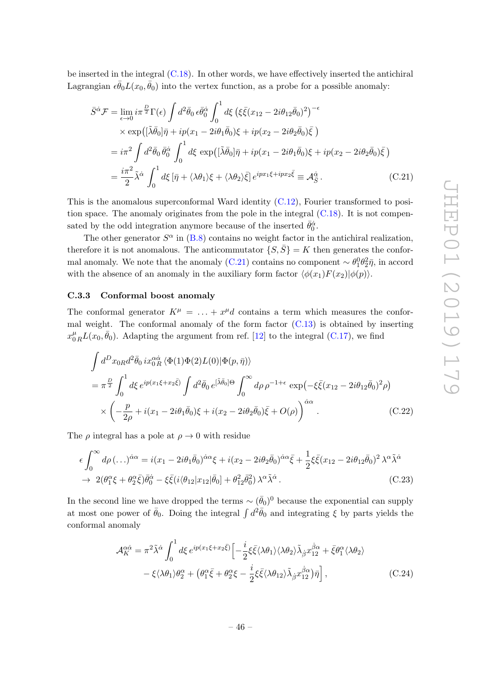be inserted in the integral [\(C.18\)](#page-46-2). In other words, we have effectively inserted the antichiral Lagrangian  $\epsilon \bar{\theta}_0 L(x_0, \bar{\theta}_0)$  into the vertex function, as a probe for a possible anomaly:

<span id="page-47-1"></span>
$$
\bar{S}^{\dot{\alpha}} \mathcal{F} = \lim_{\epsilon \to 0} i \pi^{\frac{D}{2}} \Gamma(\epsilon) \int d^{2} \bar{\theta}_{0} \epsilon \bar{\theta}_{0}^{\dot{\alpha}} \int_{0}^{1} d\xi \left( \xi \bar{\xi} (x_{12} - 2i\theta_{12} \bar{\theta}_{0})^{2} \right)^{-\epsilon} \times \exp \left( [\tilde{\lambda} \bar{\theta}_{0}] \bar{\eta} + i p (x_{1} - 2i\theta_{1} \bar{\theta}_{0}) \xi + i p (x_{2} - 2i\theta_{2} \bar{\theta}_{0}) \bar{\xi} \right) \n= i \pi^{2} \int d^{2} \bar{\theta}_{0} \bar{\theta}_{0}^{\dot{\alpha}} \int_{0}^{1} d\xi \exp \left( [\tilde{\lambda} \bar{\theta}_{0}] \bar{\eta} + i p (x_{1} - 2i\theta_{1} \bar{\theta}_{0}) \xi + i p (x_{2} - 2i\theta_{2} \bar{\theta}_{0}) \bar{\xi} \right) \n= \frac{i \pi^{2}}{2} \tilde{\lambda}^{\dot{\alpha}} \int_{0}^{1} d\xi \left[ \bar{\eta} + \langle \lambda \theta_{1} \rangle \xi + \langle \lambda \theta_{2} \rangle \bar{\xi} \right] e^{ipx_{1} \xi + ipx_{2} \bar{\xi}} \equiv \mathcal{A}_{\bar{S}}^{\dot{\alpha}} . \tag{C.21}
$$

This is the anomalous superconformal Ward identity [\(C.12\)](#page-45-4), Fourier transformed to position space. The anomaly originates from the pole in the integral  $(C.18)$ . It is not compensated by the odd integration anymore because of the inserted  $\bar{\theta}_0^{\dot{\alpha}}$ .

The other generator  $S^{\alpha}$  in [\(B.8\)](#page-41-2) contains no weight factor in the antichiral realization, therefore it is not anomalous. The anticommutator  $\{S,\bar{S}\}=K$  then generates the confor-mal anomaly. We note that the anomaly [\(C.21\)](#page-47-1) contains no component  $\sim \theta_1^0 \theta_2^2 \bar{\eta}$ , in accord with the absence of an anomaly in the auxiliary form factor  $\langle \phi(x_1)F(x_2)|\phi(p)\rangle$ .

## <span id="page-47-0"></span>C.3.3 Conformal boost anomaly

The conformal generator  $K^{\mu} = \ldots + x^{\mu}d$  contains a term which measures the conformal weight. The conformal anomaly of the form factor  $(C.13)$  is obtained by inserting  $x_{0R}^{\mu}L(x_0, \bar{\theta}_0)$ . Adapting the argument from ref. [\[12\]](#page-52-8) to the integral [\(C.17\)](#page-46-3), we find

$$
\int d^D x_{0R} d^2 \bar{\theta}_0 i x_0^{\alpha \dot{\alpha}} \langle \Phi(1) \Phi(2) L(0) | \Phi(p, \bar{\eta}) \rangle
$$
\n
$$
= \pi^{\frac{D}{2}} \int_0^1 d\xi \, e^{ip(x_1\xi + x_2\bar{\xi})} \int d^2 \bar{\theta}_0 \, e^{[\tilde{\lambda}\bar{\theta}_0]\Theta} \int_0^\infty d\rho \, \rho^{-1+\epsilon} \exp\left(-\xi \bar{\xi} (x_{12} - 2i\theta_{12}\bar{\theta}_0)^2 \rho\right)
$$
\n
$$
\times \left(-\frac{p}{2\rho} + i(x_1 - 2i\theta_1\bar{\theta}_0)\xi + i(x_2 - 2i\theta_2\bar{\theta}_0)\bar{\xi} + O(\rho)\right)^{\dot{\alpha}\alpha}.
$$
\n(C.22)

The  $\rho$  integral has a pole at  $\rho \to 0$  with residue

$$
\epsilon \int_0^{\infty} d\rho \, (\dots)^{\dot{\alpha}\alpha} = i(x_1 - 2i\theta_1 \bar{\theta}_0)^{\dot{\alpha}\alpha} \xi + i(x_2 - 2i\theta_2 \bar{\theta}_0)^{\dot{\alpha}\alpha} \bar{\xi} + \frac{1}{2} \xi \bar{\xi} (x_{12} - 2i\theta_{12} \bar{\theta}_0)^2 \lambda^{\alpha} \tilde{\lambda}^{\dot{\alpha}} \n\to 2(\theta_1^{\alpha}\xi + \theta_2^{\alpha}\bar{\xi}) \bar{\theta}_0^{\dot{\alpha}} - \xi \bar{\xi} (i(\theta_{12}|x_{12}|\bar{\theta}_0) + \theta_{12}^2 \bar{\theta}_0^2) \lambda^{\alpha} \tilde{\lambda}^{\dot{\alpha}}.
$$
\n(C.23)

In the second line we have dropped the terms  $\sim (\bar{\theta}_0)^0$  because the exponential can supply at most one power of  $\bar{\theta}_0$ . Doing the integral  $\int d^2\bar{\theta}_0$  and integrating  $\xi$  by parts yields the conformal anomaly

$$
\mathcal{A}_{K}^{\alpha\dot{\alpha}} = \pi^{2}\tilde{\lambda}^{\dot{\alpha}} \int_{0}^{1} d\xi \, e^{ip(x_{1}\xi + x_{2}\bar{\xi})} \left[ -\frac{i}{2} \xi \bar{\xi} \langle \lambda \theta_{1} \rangle \langle \lambda \theta_{2} \rangle \tilde{\lambda}_{\dot{\beta}} x_{12}^{\dot{\beta}\alpha} + \bar{\xi} \theta_{1}^{\alpha} \langle \lambda \theta_{2} \rangle \right. \\
\left. - \xi \langle \lambda \theta_{1} \rangle \theta_{2}^{\alpha} + \left( \theta_{1}^{\alpha} \bar{\xi} + \theta_{2}^{\alpha} \xi - \frac{i}{2} \xi \bar{\xi} \langle \lambda \theta_{12} \rangle \tilde{\lambda}_{\dot{\beta}} x_{12}^{\dot{\beta}\alpha} \right) \bar{\eta} \right], \tag{C.24}
$$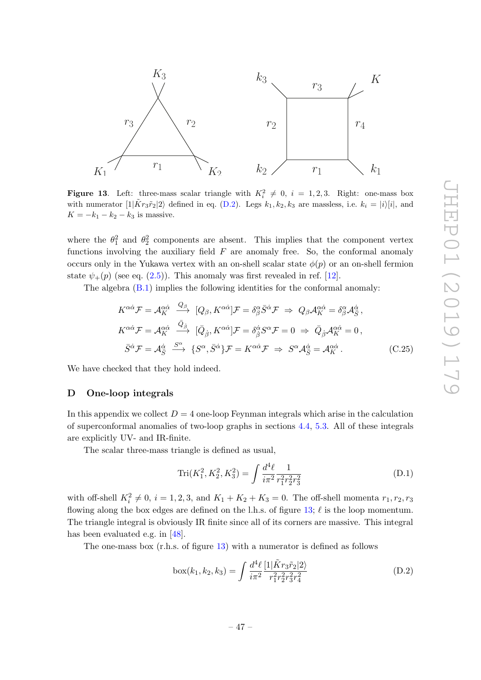

<span id="page-48-3"></span>**Figure 13.** Left: three-mass scalar triangle with  $K_i^2 \neq 0$ ,  $i = 1, 2, 3$ . Right: one-mass box with numerator  $[1|\tilde{K}r_3\tilde{r}_2|2\rangle$  defined in eq. [\(D.2\)](#page-48-2). Legs  $k_1, k_2, k_3$  are massless, i.e.  $k_i = |i\rangle[i]$ , and  $K = -k_1 - k_2 - k_3$  is massive.

where the  $\theta_1^2$  and  $\theta_2^2$  components are absent. This implies that the component vertex functions involving the auxiliary field  $F$  are anomaly free. So, the conformal anomaly occurs only in the Yukawa vertex with an on-shell scalar state  $\phi(p)$  or an on-shell fermion state  $\psi_{+}(p)$  (see eq. [\(2.5\)](#page-8-8)). This anomaly was first revealed in ref. [\[12\]](#page-52-8).

The algebra [\(B.1\)](#page-40-3) implies the following identities for the conformal anomaly:

$$
K^{\alpha\dot{\alpha}}\mathcal{F} = \mathcal{A}_{K}^{\alpha\dot{\alpha}} \xrightarrow{Q_{\beta}} [Q_{\beta}, K^{\alpha\dot{\alpha}}]\mathcal{F} = \delta_{\beta}^{\alpha}\bar{S}^{\dot{\alpha}}\mathcal{F} \Rightarrow Q_{\beta}\mathcal{A}_{K}^{\alpha\dot{\alpha}} = \delta_{\beta}^{\alpha}\mathcal{A}_{\bar{S}}^{\dot{\alpha}},
$$
  
\n
$$
K^{\alpha\dot{\alpha}}\mathcal{F} = \mathcal{A}_{K}^{\alpha\dot{\alpha}} \xrightarrow{\bar{Q}_{\dot{\beta}}} [\bar{Q}_{\dot{\beta}}, K^{\alpha\dot{\alpha}}]\mathcal{F} = \delta_{\dot{\beta}}^{\dot{\alpha}}S^{\alpha}\mathcal{F} = 0 \Rightarrow \bar{Q}_{\dot{\beta}}\mathcal{A}_{K}^{\alpha\dot{\alpha}} = 0,
$$
  
\n
$$
\bar{S}^{\dot{\alpha}}\mathcal{F} = \mathcal{A}_{\bar{S}}^{\dot{\alpha}} \xrightarrow{S^{\alpha}} \{S^{\alpha}, \bar{S}^{\dot{\alpha}}\}\mathcal{F} = K^{\alpha\dot{\alpha}}\mathcal{F} \Rightarrow S^{\alpha}\mathcal{A}_{\bar{S}}^{\dot{\alpha}} = \mathcal{A}_{K}^{\alpha\dot{\alpha}}.
$$
 (C.25)

We have checked that they hold indeed.

## <span id="page-48-0"></span>D One-loop integrals

In this appendix we collect  $D = 4$  one-loop Feynman integrals which arise in the calculation of superconformal anomalies of two-loop graphs in sections [4.4,](#page-25-0) [5.3.](#page-32-0) All of these integrals are explicitly UV- and IR-finite.

The scalar three-mass triangle is defined as usual,

<span id="page-48-1"></span>
$$
Tri(K_1^2, K_2^2, K_3^2) = \int \frac{d^4\ell}{i\pi^2} \frac{1}{r_1^2 r_2^2 r_3^2}
$$
\n(D.1)

with off-shell  $K_i^2 \neq 0$ ,  $i = 1, 2, 3$ , and  $K_1 + K_2 + K_3 = 0$ . The off-shell momenta  $r_1, r_2, r_3$ flowing along the box edges are defined on the l.h.s. of figure [13;](#page-48-3)  $\ell$  is the loop momentum. The triangle integral is obviously IR finite since all of its corners are massive. This integral has been evaluated e.g. in [\[48\]](#page-55-0).

The one-mass box (r.h.s. of figure [13\)](#page-48-3) with a numerator is defined as follows

<span id="page-48-2"></span>box
$$
(k_1, k_2, k_3)
$$
 = 
$$
\int \frac{d^4 \ell}{i \pi^2} \frac{\left[1|\tilde{K}r_3 \tilde{r}_2|2\right]}{r_1^2 r_2^2 r_3^2 r_4^2}
$$
 (D.2)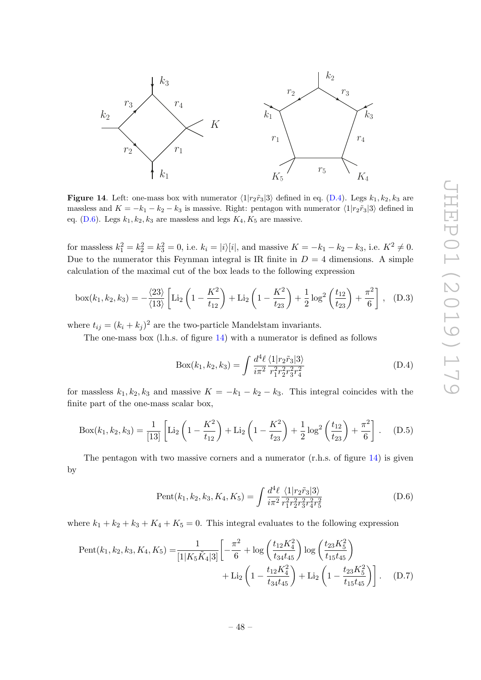

<span id="page-49-5"></span>Figure 14. Left: one-mass box with numerator  $\langle 1|r_2\tilde{r}_3|3\rangle$  defined in eq. [\(D.4\)](#page-49-1). Legs  $k_1, k_2, k_3$  are massless and  $K = -k_1 - k_2 - k_3$  is massive. Right: pentagon with numerator  $\langle 1 | r_2 \tilde{r}_3 | 3 \rangle$  defined in eq. [\(D.6\)](#page-49-3). Legs  $k_1, k_2, k_3$  are massless and legs  $K_4, K_5$  are massive.

for massless  $k_1^2 = k_2^2 = k_3^2 = 0$ , i.e.  $k_i = |i\rangle[i|$ , and massive  $K = -k_1 - k_2 - k_3$ , i.e.  $K^2 \neq 0$ . Due to the numerator this Feynman integral is IR finite in  $D = 4$  dimensions. A simple calculation of the maximal cut of the box leads to the following expression

$$
box(k_1, k_2, k_3) = -\frac{\langle 23 \rangle}{\langle 13 \rangle} \left[ Li_2 \left( 1 - \frac{K^2}{t_{12}} \right) + Li_2 \left( 1 - \frac{K^2}{t_{23}} \right) + \frac{1}{2} \log^2 \left( \frac{t_{12}}{t_{23}} \right) + \frac{\pi^2}{6} \right], \quad (D.3)
$$

where  $t_{ij} = (k_i + k_j)^2$  are the two-particle Mandelstam invariants.

The one-mass box (l.h.s. of figure [14\)](#page-49-5) with a numerator is defined as follows

<span id="page-49-2"></span><span id="page-49-1"></span><span id="page-49-0"></span>
$$
Box(k_1, k_2, k_3) = \int \frac{d^4 \ell}{i \pi^2} \frac{\langle 1 | r_2 \tilde{r}_3 | 3 \rangle}{r_1^2 r_2^2 r_3^2 r_4^2}
$$
 (D.4)

for massless  $k_1, k_2, k_3$  and massive  $K = -k_1 - k_2 - k_3$ . This integral coincides with the finite part of the one-mass scalar box,

$$
Box(k_1, k_2, k_3) = \frac{1}{[13]} \left[ Li_2 \left( 1 - \frac{K^2}{t_{12}} \right) + Li_2 \left( 1 - \frac{K^2}{t_{23}} \right) + \frac{1}{2} \log^2 \left( \frac{t_{12}}{t_{23}} \right) + \frac{\pi^2}{6} \right].
$$
 (D.5)

The pentagon with two massive corners and a numerator (r.h.s. of figure [14\)](#page-49-5) is given by

<span id="page-49-4"></span><span id="page-49-3"></span>
$$
Pent(k_1, k_2, k_3, K_4, K_5) = \int \frac{d^4 \ell}{i \pi^2} \frac{\langle 1 | r_2 \tilde{r}_3 | 3 \rangle}{r_1^2 r_2^2 r_3^2 r_4^2 r_5^2}
$$
(D.6)

where  $k_1 + k_2 + k_3 + K_4 + K_5 = 0$ . This integral evaluates to the following expression

$$
\begin{split} \text{Pent}(k_1, k_2, k_3, K_4, K_5) &= \frac{1}{[1|K_5\tilde{K}_4|3]} \left[ -\frac{\pi^2}{6} + \log\left(\frac{t_{12}K_4^2}{t_{34}t_{45}}\right) \log\left(\frac{t_{23}K_5^2}{t_{15}t_{45}}\right) + \text{Li}_2\left(1 - \frac{t_{12}K_4^2}{t_{34}t_{45}}\right) + \text{Li}_2\left(1 - \frac{t_{23}K_5^2}{t_{15}t_{45}}\right) \right]. \end{split} \tag{D.7}
$$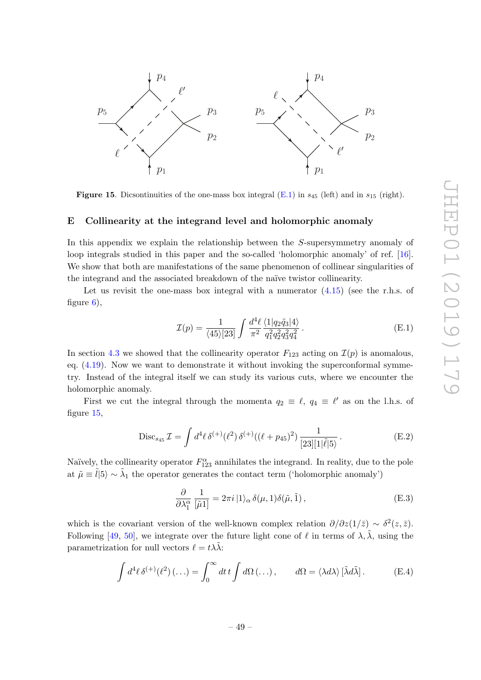

<span id="page-50-2"></span>**Figure 15.** Dicsontinuities of the one-mass box integral  $(E.1)$  in  $s_{45}$  (left) and in  $s_{15}$  (right).

#### <span id="page-50-0"></span>E Collinearity at the integrand level and holomorphic anomaly

In this appendix we explain the relationship between the S-supersymmetry anomaly of loop integrals studied in this paper and the so-called 'holomorphic anomaly' of ref. [\[16\]](#page-53-1). We show that both are manifestations of the same phenomenon of collinear singularities of the integrand and the associated breakdown of the naïve twistor collinearity.

Let us revisit the one-mass box integral with a numerator  $(4.15)$  (see the r.h.s. of figure  $6$ ,

<span id="page-50-1"></span>
$$
\mathcal{I}(p) = \frac{1}{\langle 45 \rangle [23]} \int \frac{d^4 \ell}{\pi^2} \frac{\langle 1 | q_2 \tilde{q}_3 | 4 \rangle}{q_1^2 q_2^2 q_3^2 q_4^2} . \tag{E.1}
$$

In section [4.3](#page-22-0) we showed that the collinearity operator  $F_{123}$  acting on  $\mathcal{I}(p)$  is anomalous, eq. [\(4.19\)](#page-23-3). Now we want to demonstrate it without invoking the superconformal symmetry. Instead of the integral itself we can study its various cuts, where we encounter the holomorphic anomaly.

First we cut the integral through the momenta  $q_2 \equiv \ell, q_4 \equiv \ell'$  as on the l.h.s. of figure [15,](#page-50-2)

$$
\text{Disc}_{s_{45}} \mathcal{I} = \int d^4 \ell \, \delta^{(+)}(\ell^2) \, \delta^{(+)}((\ell + p_{45})^2) \, \frac{1}{[23][1|\tilde{\ell}|5\rangle} \,. \tag{E.2}
$$

Naïvely, the collinearity operator  $F_{123}^{\alpha}$  annihilates the integrand. In reality, due to the pole at  $\tilde{\mu} \equiv \tilde{l} | 5 \rangle \sim \tilde{\lambda}_1$  the operator generates the contact term ('holomorphic anomaly')

<span id="page-50-5"></span><span id="page-50-4"></span><span id="page-50-3"></span>
$$
\frac{\partial}{\partial \lambda_1^{\alpha}} \frac{1}{[\tilde{\mu}1]} = 2\pi i \, |1\rangle_{\alpha} \, \delta(\mu, 1) \delta(\tilde{\mu}, \tilde{1}), \tag{E.3}
$$

which is the covariant version of the well-known complex relation  $\partial/\partial z(1/\bar{z}) \sim \delta^2(z,\bar{z})$ . Following [\[49,](#page-55-1) [50\]](#page-55-2), we integrate over the future light cone of  $\ell$  in terms of  $\lambda$ ,  $\tilde{\lambda}$ , using the parametrization for null vectors  $\ell = t\lambda\tilde{\lambda}$ :

$$
\int d^4\ell \,\delta^{(+)}(\ell^2)\,(\ldots) = \int_0^\infty dt \, t \int d\Omega\,(\ldots)\,, \qquad d\Omega = \langle \lambda d\lambda \rangle \, [\tilde{\lambda} d\tilde{\lambda}]\,. \tag{E.4}
$$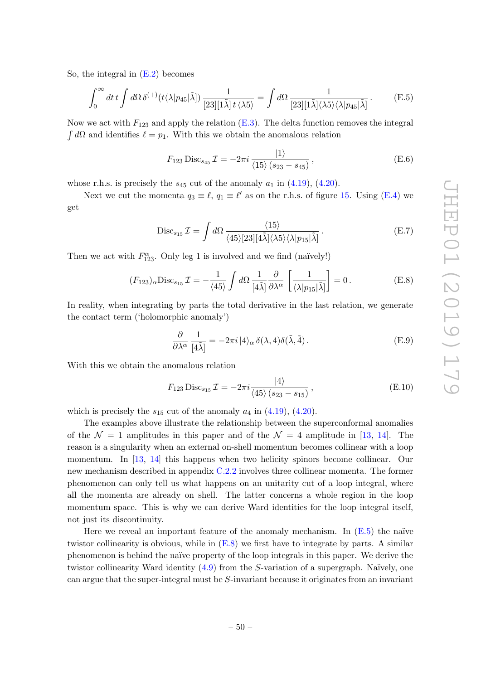So, the integral in  $(E.2)$  becomes

$$
\int_0^\infty dt \, t \int d\Omega \, \delta^{(+)}(t \langle \lambda | p_{45} | \tilde{\lambda}) \, \frac{1}{[23][1\tilde{\lambda}] \, t \, \langle \lambda 5 \rangle} = \int d\Omega \, \frac{1}{[23][1\tilde{\lambda}] \langle \lambda 5 \rangle \langle \lambda | p_{45} | \tilde{\lambda}]} \,. \tag{E.5}
$$

Now we act with  $F_{123}$  and apply the relation  $(E.3)$ . The delta function removes the integral  $\int d\Omega$  and identifies  $\ell = p_1$ . With this we obtain the anomalous relation

<span id="page-51-0"></span>
$$
F_{123} \operatorname{Disc}_{s_{45}} \mathcal{I} = -2\pi i \, \frac{|1\rangle}{\langle 15 \rangle \left(s_{23} - s_{45}\right)},\tag{E.6}
$$

whose r.h.s. is precisely the  $s_{45}$  cut of the anomaly  $a_1$  in  $(4.19)$ ,  $(4.20)$ .

Next we cut the momenta  $q_3 \equiv \ell, q_1 \equiv \ell'$  as on the r.h.s. of figure [15.](#page-50-2) Using [\(E.4\)](#page-50-5) we get

$$
\text{Disc}_{s_{15}} \mathcal{I} = \int d\Omega \, \frac{\langle 15 \rangle}{\langle 45 \rangle [23] [4 \tilde{\lambda}] \langle \lambda 5 \rangle \langle \lambda | p_{15} | \tilde{\lambda}]} \,. \tag{E.7}
$$

Then we act with  $F_{123}^{\alpha}$ . Only leg 1 is involved and we find (naïvely!)

$$
(F_{123})_{\alpha} \text{Disc}_{s_{15}} \mathcal{I} = -\frac{1}{\langle 45 \rangle} \int d\Omega \, \frac{1}{[4\tilde{\lambda}]} \frac{\partial}{\partial \lambda^{\alpha}} \left[ \frac{1}{\langle \lambda | p_{15} | \tilde{\lambda} ]} \right] = 0. \tag{E.8}
$$

In reality, when integrating by parts the total derivative in the last relation, we generate the contact term ('holomorphic anomaly')

<span id="page-51-1"></span>
$$
\frac{\partial}{\partial \lambda^{\alpha}} \frac{1}{[4\tilde{\lambda}]} = -2\pi i \, |4\rangle_{\alpha} \, \delta(\lambda, 4) \delta(\tilde{\lambda}, \tilde{4}) \,. \tag{E.9}
$$

With this we obtain the anomalous relation

$$
F_{123} \operatorname{Disc}_{s_{15}} \mathcal{I} = -2\pi i \frac{|4\rangle}{\langle 45 \rangle (s_{23} - s_{15})},
$$
 (E.10)

which is precisely the  $s_{15}$  cut of the anomaly  $a_4$  in  $(4.19)$ ,  $(4.20)$ .

The examples above illustrate the relationship between the superconformal anomalies of the  $\mathcal{N} = 1$  amplitudes in this paper and of the  $\mathcal{N} = 4$  amplitude in [\[13,](#page-52-9) [14\]](#page-53-15). The reason is a singularity when an external on-shell momentum becomes collinear with a loop momentum. In [\[13,](#page-52-9) [14\]](#page-53-15) this happens when two helicity spinors become collinear. Our new mechanism described in appendix [C.2.2](#page-44-1) involves three collinear momenta. The former phenomenon can only tell us what happens on an unitarity cut of a loop integral, where all the momenta are already on shell. The latter concerns a whole region in the loop momentum space. This is why we can derive Ward identities for the loop integral itself, not just its discontinuity.

Here we reveal an important feature of the anomaly mechanism. In  $(E.5)$  the naïve twistor collinearity is obvious, while in  $(E.8)$  we first have to integrate by parts. A similar phenomenon is behind the na¨ıve property of the loop integrals in this paper. We derive the twistor collinearity Ward identity  $(4.9)$  from the S-variation of a supergraph. Naïvely, one can argue that the super-integral must be S-invariant because it originates from an invariant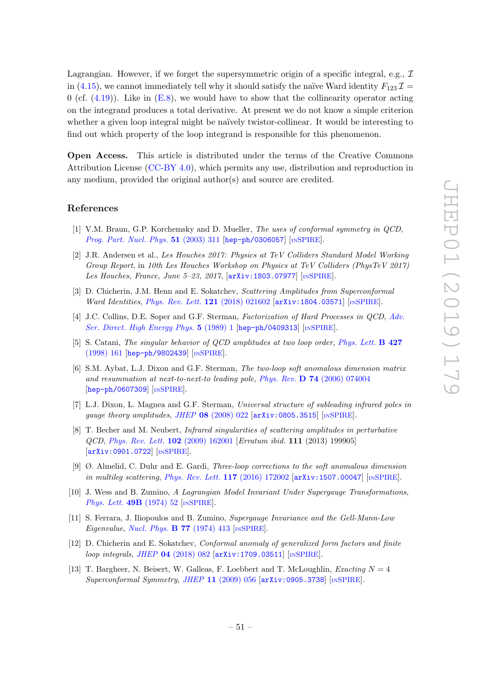Lagrangian. However, if we forget the supersymmetric origin of a specific integral, e.g.,  $\mathcal{I}$ in [\(4.15\)](#page-22-1), we cannot immediately tell why it should satisfy the naïve Ward identity  $F_{123} \mathcal{I} =$ 0 (cf.  $(4.19)$ ). Like in  $(E.8)$ , we would have to show that the collinearity operator acting on the integrand produces a total derivative. At present we do not know a simple criterion whether a given loop integral might be naïvely twistor-collinear. It would be interesting to find out which property of the loop integrand is responsible for this phenomenon.

Open Access. This article is distributed under the terms of the Creative Commons Attribution License [\(CC-BY 4.0\)](https://creativecommons.org/licenses/by/4.0/), which permits any use, distribution and reproduction in any medium, provided the original author(s) and source are credited.

# References

- <span id="page-52-0"></span>[1] V.M. Braun, G.P. Korchemsky and D. Mueller, The uses of conformal symmetry in QCD, [Prog. Part. Nucl. Phys.](https://doi.org/10.1016/S0146-6410(03)90004-4) 51 (2003) 311 [[hep-ph/0306057](https://arxiv.org/abs/hep-ph/0306057)] [IN[SPIRE](https://inspirehep.net/search?p=find+EPRINT+hep-ph/0306057)].
- <span id="page-52-1"></span>[2] J.R. Andersen et al., Les Houches 2017: Physics at TeV Colliders Standard Model Working Group Report, in 10th Les Houches Workshop on Physics at TeV Colliders (PhysTeV 2017) Les Houches, France, June  $5-23$ ,  $2017$ ,  $\text{arXiv:1803.07977}$  $\text{arXiv:1803.07977}$  $\text{arXiv:1803.07977}$   $\text{[insPIRE]}$ .
- <span id="page-52-2"></span>[3] D. Chicherin, J.M. Henn and E. Sokatchev, Scattering Amplitudes from Superconformal Ward Identities, [Phys. Rev. Lett.](https://doi.org/10.1103/PhysRevLett.121.021602) 121 (2018) 021602 [[arXiv:1804.03571](https://arxiv.org/abs/1804.03571)] [IN[SPIRE](https://inspirehep.net/search?p=find+J+%22Phys.Rev.Lett.,121,021602%22)].
- <span id="page-52-3"></span>[4] J.C. Collins, D.E. Soper and G.F. Sterman, Factorization of Hard Processes in QCD, [Adv.](https://doi.org/10.1142/9789814503266_0001) [Ser. Direct. High Energy Phys.](https://doi.org/10.1142/9789814503266_0001) 5 (1989) 1 [[hep-ph/0409313](https://arxiv.org/abs/hep-ph/0409313)] [IN[SPIRE](https://inspirehep.net/search?p=find+EPRINT+hep-ph/0409313)].
- <span id="page-52-4"></span>[5] S. Catani, The singular behavior of QCD amplitudes at two loop order, [Phys. Lett.](https://doi.org/10.1016/S0370-2693(98)00332-3) B 427 [\(1998\) 161](https://doi.org/10.1016/S0370-2693(98)00332-3) [[hep-ph/9802439](https://arxiv.org/abs/hep-ph/9802439)] [IN[SPIRE](https://inspirehep.net/search?p=find+EPRINT+hep-ph/9802439)].
- [6] S.M. Aybat, L.J. Dixon and G.F. Sterman, The two-loop soft anomalous dimension matrix and resummation at next-to-next-to leading pole, Phys. Rev.  $\bf{D}$  74 [\(2006\) 074004](https://doi.org/10.1103/PhysRevD.74.074004) [[hep-ph/0607309](https://arxiv.org/abs/hep-ph/0607309)] [IN[SPIRE](https://inspirehep.net/search?p=find+EPRINT+hep-ph/0607309)].
- [7] L.J. Dixon, L. Magnea and G.F. Sterman, Universal structure of subleading infrared poles in gauge theory amplitudes, JHEP 08 [\(2008\) 022](https://doi.org/10.1088/1126-6708/2008/08/022) [[arXiv:0805.3515](https://arxiv.org/abs/0805.3515)] [IN[SPIRE](https://inspirehep.net/search?p=find+EPRINT+arXiv:0805.3515)].
- [8] T. Becher and M. Neubert, *Infrared singularities of scattering amplitudes in perturbative* QCD, [Phys. Rev. Lett.](https://doi.org/10.1103/PhysRevLett.102.162001) 102 (2009) 162001 [Erratum ibid. 111 (2013) 199905] [[arXiv:0901.0722](https://arxiv.org/abs/0901.0722)] [IN[SPIRE](https://inspirehep.net/search?p=find+EPRINT+arXiv:0901.0722)].
- <span id="page-52-5"></span>[9] Ø. Almelid, C. Duhr and E. Gardi, Three-loop corrections to the soft anomalous dimension in multileg scattering, [Phys. Rev. Lett.](https://doi.org/10.1103/PhysRevLett.117.172002)  $117$  (2016) 172002  $\left[$ [arXiv:1507.00047](https://arxiv.org/abs/1507.00047) $\right]$   $\left[$ In[SPIRE](https://inspirehep.net/search?p=find+J+%22Phys.Rev.Lett.,117,172002%22) $\right]$ .
- <span id="page-52-6"></span>[10] J. Wess and B. Zumino, A Lagrangian Model Invariant Under Supergauge Transformations, [Phys. Lett.](https://doi.org/10.1016/0370-2693(74)90578-4) **49B** (1974) 52 [IN[SPIRE](https://inspirehep.net/search?p=find+J+%22Phys.Lett.,B49,52%22)].
- <span id="page-52-7"></span>[11] S. Ferrara, J. Iliopoulos and B. Zumino, Supergauge Invariance and the Gell-Mann-Low Eigenvalue, [Nucl. Phys.](https://doi.org/10.1016/0550-3213(74)90372-1)  $\bf{B}$  **77** (1974) 413 [IN[SPIRE](https://inspirehep.net/search?p=find+J+%22Nucl.Phys.,B77,413%22)].
- <span id="page-52-8"></span>[12] D. Chicherin and E. Sokatchev, Conformal anomaly of generalized form factors and finite loop integrals, JHEP 04 [\(2018\) 082](https://doi.org/10.1007/JHEP04(2018)082) [[arXiv:1709.03511](https://arxiv.org/abs/1709.03511)] [IN[SPIRE](https://inspirehep.net/search?p=find+J+%22JHEP,1804,082%22)].
- <span id="page-52-9"></span>[13] T. Bargheer, N. Beisert, W. Galleas, F. Loebbert and T. McLoughlin, *Exacting*  $N = 4$ Superconformal Symmetry, JHEP 11 [\(2009\) 056](https://doi.org/10.1088/1126-6708/2009/11/056)  $arXiv:0905.3738$  [IN[SPIRE](https://inspirehep.net/search?p=find+EPRINT+arXiv:0905.3738)].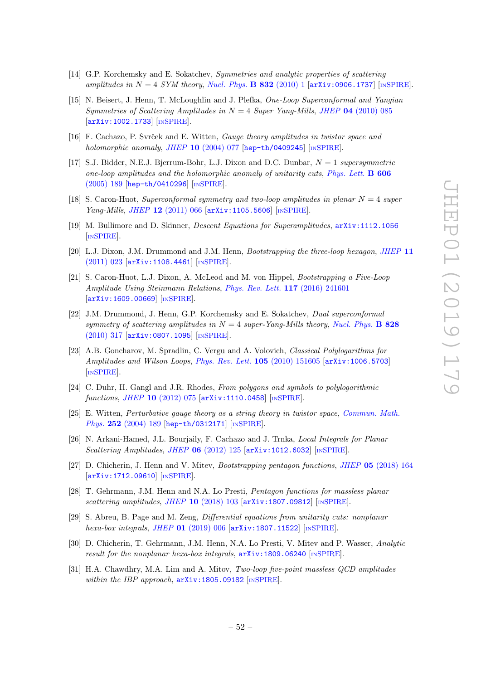- <span id="page-53-15"></span>[14] G.P. Korchemsky and E. Sokatchev, Symmetries and analytic properties of scattering amplitudes in  $N = 4$  SYM theory, [Nucl. Phys.](https://doi.org/10.1016/j.nuclphysb.2010.01.022) **B** 832 (2010) 1 [[arXiv:0906.1737](https://arxiv.org/abs/0906.1737)] [IN[SPIRE](https://inspirehep.net/search?p=find+EPRINT+arXiv:0906.1737)].
- <span id="page-53-0"></span>[15] N. Beisert, J. Henn, T. McLoughlin and J. Plefka, One-Loop Superconformal and Yangian Symmetries of Scattering Amplitudes in  $N = 4$  Super Yang-Mills, JHEP 04 [\(2010\) 085](https://doi.org/10.1007/JHEP04(2010)085) [[arXiv:1002.1733](https://arxiv.org/abs/1002.1733)] [IN[SPIRE](https://inspirehep.net/search?p=find+EPRINT+arXiv:1002.1733)].
- <span id="page-53-1"></span>[16] F. Cachazo, P. Svrček and E. Witten, *Gauge theory amplitudes in twistor space and* holomorphic anomaly, JHEP 10 [\(2004\) 077](https://doi.org/10.1088/1126-6708/2004/10/077) [[hep-th/0409245](https://arxiv.org/abs/hep-th/0409245)] [IN[SPIRE](https://inspirehep.net/search?p=find+EPRINT+hep-th/0409245)].
- <span id="page-53-2"></span>[17] S.J. Bidder, N.E.J. Bjerrum-Bohr, L.J. Dixon and D.C. Dunbar,  $N = 1$  supersymmetric one-loop amplitudes and the holomorphic anomaly of unitarity cuts, [Phys. Lett.](https://doi.org/10.1016/j.physletb.2004.11.073) B 606 [\(2005\) 189](https://doi.org/10.1016/j.physletb.2004.11.073) [[hep-th/0410296](https://arxiv.org/abs/hep-th/0410296)] [IN[SPIRE](https://inspirehep.net/search?p=find+EPRINT+hep-th/0410296)].
- <span id="page-53-3"></span>[18] S. Caron-Huot, Superconformal symmetry and two-loop amplitudes in planar  $N = 4$  super Yang-Mills, JHEP 12 [\(2011\) 066](https://doi.org/10.1007/JHEP12(2011)066) [[arXiv:1105.5606](https://arxiv.org/abs/1105.5606)] [IN[SPIRE](https://inspirehep.net/search?p=find+EPRINT+arXiv:1105.5606)].
- <span id="page-53-4"></span>[19] M. Bullimore and D. Skinner, Descent Equations for Superamplitudes, [arXiv:1112.1056](https://arxiv.org/abs/1112.1056) [IN[SPIRE](https://inspirehep.net/search?p=find+EPRINT+arXiv:1112.1056)].
- <span id="page-53-5"></span>[20] L.J. Dixon, J.M. Drummond and J.M. Henn, Bootstrapping the three-loop hexagon, [JHEP](https://doi.org/10.1007/JHEP11(2011)023) 11 [\(2011\) 023](https://doi.org/10.1007/JHEP11(2011)023) [[arXiv:1108.4461](https://arxiv.org/abs/1108.4461)] [IN[SPIRE](https://inspirehep.net/search?p=find+EPRINT+arXiv:1108.4461)].
- <span id="page-53-6"></span>[21] S. Caron-Huot, L.J. Dixon, A. McLeod and M. von Hippel, Bootstrapping a Five-Loop Amplitude Using Steinmann Relations, [Phys. Rev. Lett.](https://doi.org/10.1103/PhysRevLett.117.241601) 117 (2016) 241601 [[arXiv:1609.00669](https://arxiv.org/abs/1609.00669)] [IN[SPIRE](https://inspirehep.net/search?p=find+J+%22Phys.Rev.Lett.,117,241601%22)].
- <span id="page-53-7"></span>[22] J.M. Drummond, J. Henn, G.P. Korchemsky and E. Sokatchev, Dual superconformal symmetry of scattering amplitudes in  $N = 4$  super-Yang-Mills theory, [Nucl. Phys.](https://doi.org/10.1016/j.nuclphysb.2009.11.022) **B** 828 [\(2010\) 317](https://doi.org/10.1016/j.nuclphysb.2009.11.022) [[arXiv:0807.1095](https://arxiv.org/abs/0807.1095)] [IN[SPIRE](https://inspirehep.net/search?p=find+EPRINT+arXiv:0807.1095)].
- <span id="page-53-8"></span>[23] A.B. Goncharov, M. Spradlin, C. Vergu and A. Volovich, Classical Polylogarithms for Amplitudes and Wilson Loops, [Phys. Rev. Lett.](https://doi.org/10.1103/PhysRevLett.105.151605) 105 (2010) 151605 [[arXiv:1006.5703](https://arxiv.org/abs/1006.5703)] [IN[SPIRE](https://inspirehep.net/search?p=find+EPRINT+arXiv:1006.5703)].
- <span id="page-53-9"></span>[24] C. Duhr, H. Gangl and J.R. Rhodes, From polygons and symbols to polylogarithmic functions, JHEP 10 [\(2012\) 075](https://doi.org/10.1007/JHEP10(2012)075) [[arXiv:1110.0458](https://arxiv.org/abs/1110.0458)] [IN[SPIRE](https://inspirehep.net/search?p=find+EPRINT+arXiv:1110.0458)].
- <span id="page-53-10"></span>[25] E. Witten, Perturbative gauge theory as a string theory in twistor space, [Commun. Math.](https://doi.org/10.1007/s00220-004-1187-3) Phys. 252 [\(2004\) 189](https://doi.org/10.1007/s00220-004-1187-3) [[hep-th/0312171](https://arxiv.org/abs/hep-th/0312171)] [IN[SPIRE](https://inspirehep.net/search?p=find+EPRINT+hep-th/0312171)].
- <span id="page-53-11"></span>[26] N. Arkani-Hamed, J.L. Bourjaily, F. Cachazo and J. Trnka, Local Integrals for Planar Scattering Amplitudes, JHEP  $06$  [\(2012\) 125](https://doi.org/10.1007/JHEP06(2012)125)  $\text{arXiv:1012.6032}$  $\text{arXiv:1012.6032}$  $\text{arXiv:1012.6032}$  [IN[SPIRE](https://inspirehep.net/search?p=find+EPRINT+arXiv:1012.6032)].
- <span id="page-53-12"></span>[27] D. Chicherin, J. Henn and V. Mitev, *Bootstrapping pentagon functions*, *JHEP* **05** [\(2018\) 164](https://doi.org/10.1007/JHEP05(2018)164) [[arXiv:1712.09610](https://arxiv.org/abs/1712.09610)] [IN[SPIRE](https://inspirehep.net/search?p=find+J+%22JHEP,1805,164%22)].
- [28] T. Gehrmann, J.M. Henn and N.A. Lo Presti, Pentagon functions for massless planar scattering amplitudes, JHEP  $10$  [\(2018\) 103](https://doi.org/10.1007/JHEP10(2018)103) [[arXiv:1807.09812](https://arxiv.org/abs/1807.09812)] [IN[SPIRE](https://inspirehep.net/search?p=find+J+%22JHEP,1810,103%22)].
- [29] S. Abreu, B. Page and M. Zeng, Differential equations from unitarity cuts: nonplanar hexa-box integrals, JHEP  $01$  [\(2019\) 006](https://doi.org/10.1007/JHEP01(2019)006)  $\left[$ [arXiv:1807.11522](https://arxiv.org/abs/1807.11522) $\right]$   $\left[$ IN[SPIRE](https://inspirehep.net/search?p=find+EPRINT+arXiv:1807.11522) $\right]$ .
- <span id="page-53-13"></span>[30] D. Chicherin, T. Gehrmann, J.M. Henn, N.A. Lo Presti, V. Mitev and P. Wasser, Analytic result for the nonplanar hexa-box integrals,  $arXiv:1809.06240$  [IN[SPIRE](https://inspirehep.net/search?p=find+EPRINT+arXiv:1809.06240)].
- <span id="page-53-14"></span>[31] H.A. Chawdhry, M.A. Lim and A. Mitov, Two-loop five-point massless QCD amplitudes within the IBP approach,  $arXiv:1805.09182$  [IN[SPIRE](https://inspirehep.net/search?p=find+EPRINT+arXiv:1805.09182)].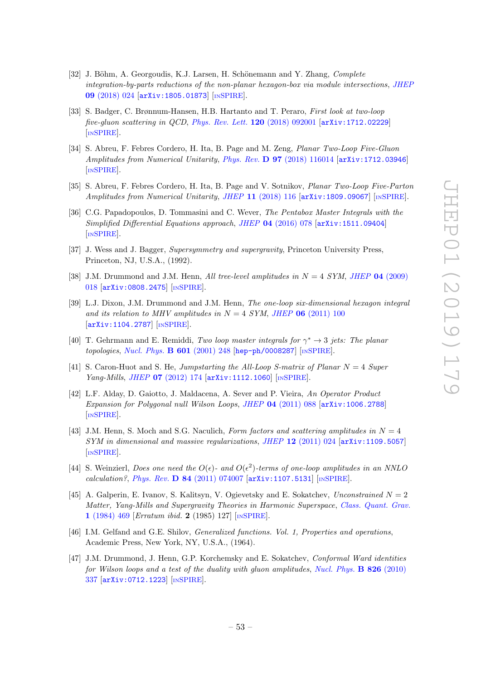- <span id="page-54-0"></span>[32] J. Böhm, A. Georgoudis, K.J. Larsen, H. Schönemann and Y. Zhang, Complete integration-by-parts reductions of the non-planar hexagon-box via module intersections, [JHEP](https://doi.org/10.1007/JHEP09(2018)024) 09 [\(2018\) 024](https://doi.org/10.1007/JHEP09(2018)024) [[arXiv:1805.01873](https://arxiv.org/abs/1805.01873)] [IN[SPIRE](https://inspirehep.net/search?p=find+J+%22JHEP,1809,024%22)].
- <span id="page-54-1"></span>[33] S. Badger, C. Brønnum-Hansen, H.B. Hartanto and T. Peraro, *First look at two-loop* five-gluon scattering in QCD, [Phys. Rev. Lett.](https://doi.org/10.1103/PhysRevLett.120.092001) 120 (2018) 092001 [[arXiv:1712.02229](https://arxiv.org/abs/1712.02229)] [IN[SPIRE](https://inspirehep.net/search?p=find+J+%22Phys.Rev.Lett.,120,092001%22)].
- [34] S. Abreu, F. Febres Cordero, H. Ita, B. Page and M. Zeng, Planar Two-Loop Five-Gluon Amplitudes from Numerical Unitarity, Phys. Rev. D 97 [\(2018\) 116014](https://doi.org/10.1103/PhysRevD.97.116014) [[arXiv:1712.03946](https://arxiv.org/abs/1712.03946)] [IN[SPIRE](https://inspirehep.net/search?p=find+J+%22Phys.Rev.,D97,116014%22)].
- <span id="page-54-2"></span>[35] S. Abreu, F. Febres Cordero, H. Ita, B. Page and V. Sotnikov, Planar Two-Loop Five-Parton Amplitudes from Numerical Unitarity, JHEP 11 [\(2018\) 116](https://doi.org/10.1007/JHEP11(2018)116) [[arXiv:1809.09067](https://arxiv.org/abs/1809.09067)] [IN[SPIRE](https://inspirehep.net/search?p=find+EPRINT+arXiv:1809.09067)].
- <span id="page-54-3"></span>[36] C.G. Papadopoulos, D. Tommasini and C. Wever, The Pentabox Master Integrals with the Simplified Differential Equations approach, JHEP 04 [\(2016\) 078](https://doi.org/10.1007/JHEP04(2016)078) [[arXiv:1511.09404](https://arxiv.org/abs/1511.09404)] [IN[SPIRE](https://inspirehep.net/search?p=find+J+%22JHEP,1604,078%22)].
- <span id="page-54-4"></span>[37] J. Wess and J. Bagger, Supersymmetry and supergravity, Princeton University Press, Princeton, NJ, U.S.A., (1992).
- <span id="page-54-5"></span>[38] J.M. Drummond and J.M. Henn, All tree-level amplitudes in  $N = 4$  SYM, JHEP 04 [\(2009\)](https://doi.org/10.1088/1126-6708/2009/04/018) [018](https://doi.org/10.1088/1126-6708/2009/04/018) [[arXiv:0808.2475](https://arxiv.org/abs/0808.2475)] [IN[SPIRE](https://inspirehep.net/search?p=find+EPRINT+arXiv:0808.2475)].
- <span id="page-54-6"></span>[39] L.J. Dixon, J.M. Drummond and J.M. Henn, The one-loop six-dimensional hexagon integral and its relation to MHV amplitudes in  $N = 4$  SYM, JHEP 06 [\(2011\) 100](https://doi.org/10.1007/JHEP06(2011)100) [[arXiv:1104.2787](https://arxiv.org/abs/1104.2787)] [IN[SPIRE](https://inspirehep.net/search?p=find+EPRINT+arXiv:1104.2787)].
- <span id="page-54-7"></span>[40] T. Gehrmann and E. Remiddi, Two loop master integrals for  $\gamma^* \to 3$  jets: The planar topologies, [Nucl. Phys.](https://doi.org/10.1016/S0550-3213(01)00057-8)  $\bf{B}$  601 (2001) 248 [[hep-ph/0008287](https://arxiv.org/abs/hep-ph/0008287)] [IN[SPIRE](https://inspirehep.net/search?p=find+EPRINT+hep-ph/0008287)].
- <span id="page-54-8"></span>[41] S. Caron-Huot and S. He, *Jumpstarting the All-Loop S-matrix of Planar N = 4 Super* Yang-Mills, JHEP 07 [\(2012\) 174](https://doi.org/10.1007/JHEP07(2012)174) [[arXiv:1112.1060](https://arxiv.org/abs/1112.1060)] [IN[SPIRE](https://inspirehep.net/search?p=find+EPRINT+arXiv:1112.1060)].
- <span id="page-54-9"></span>[42] L.F. Alday, D. Gaiotto, J. Maldacena, A. Sever and P. Vieira, An Operator Product Expansion for Polygonal null Wilson Loops, JHEP 04 [\(2011\) 088](https://doi.org/10.1007/JHEP04(2011)088) [[arXiv:1006.2788](https://arxiv.org/abs/1006.2788)] [IN[SPIRE](https://inspirehep.net/search?p=find+EPRINT+arXiv:1006.2788)].
- <span id="page-54-10"></span>[43] J.M. Henn, S. Moch and S.G. Naculich, Form factors and scattering amplitudes in  $N = 4$  $SYM$  in dimensional and massive regularizations, JHEP 12 [\(2011\) 024](https://doi.org/10.1007/JHEP12(2011)024)  $[ary1109.5057]$ [IN[SPIRE](https://inspirehep.net/search?p=find+EPRINT+arXiv:1109.5057)].
- <span id="page-54-11"></span>[44] S. Weinzierl, Does one need the  $O(\epsilon)$ - and  $O(\epsilon^2)$ -terms of one-loop amplitudes in an NNLO calculation?, Phys. Rev. D 84 [\(2011\) 074007](https://doi.org/10.1103/PhysRevD.84.074007)  $\left[$ [arXiv:1107.5131](https://arxiv.org/abs/1107.5131) $\right]$  [IN[SPIRE](https://inspirehep.net/search?p=find+EPRINT+arXiv:1107.5131)].
- <span id="page-54-12"></span>[45] A. Galperin, E. Ivanov, S. Kalitsyn, V. Ogievetsky and E. Sokatchev, Unconstrained  $N = 2$ Matter, Yang-Mills and Supergravity Theories in Harmonic Superspace, [Class. Quant. Grav.](https://doi.org/10.1088/0264-9381/1/5/004) 1 [\(1984\) 469](https://doi.org/10.1088/0264-9381/1/5/004) [Erratum ibid. 2 (1985) 127] [IN[SPIRE](https://inspirehep.net/search?p=find+J+%22Class.Quant.Grav.,1,469%22)].
- <span id="page-54-13"></span>[46] I.M. Gelfand and G.E. Shilov, Generalized functions. Vol. 1, Properties and operations, Academic Press, New York, NY, U.S.A., (1964).
- <span id="page-54-14"></span>[47] J.M. Drummond, J. Henn, G.P. Korchemsky and E. Sokatchev, Conformal Ward identities for Wilson loops and a test of the duality with gluon amplitudes, [Nucl. Phys.](https://doi.org/10.1016/j.nuclphysb.2009.10.013) **B** 826 (2010) [337](https://doi.org/10.1016/j.nuclphysb.2009.10.013) [[arXiv:0712.1223](https://arxiv.org/abs/0712.1223)] [IN[SPIRE](https://inspirehep.net/search?p=find+EPRINT+arXiv:0712.1223)].